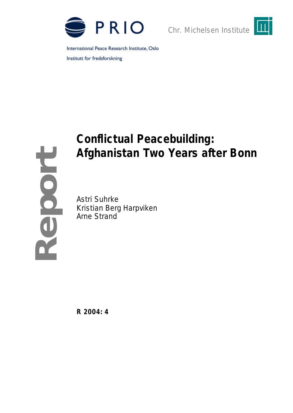



International Peace Research Institute, Oslo Institutt for fredsforskning

# **Report**

# **Conflictual Peacebuilding: Afghanistan Two Years after Bonn**

Astri Suhrke Kristian Berg Harpviken Arne Strand

**R 2004: 4**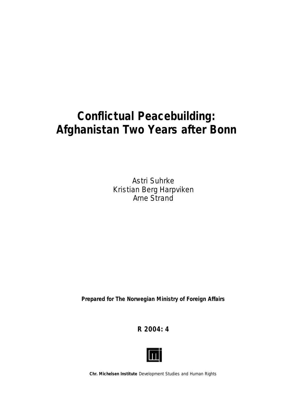# **Conflictual Peacebuilding: Afghanistan Two Years after Bonn**

Astri Suhrke Kristian Berg Harpviken Arne Strand

**Prepared for The Norwegian Ministry of Foreign Affairs**

**R 2004: 4**



**Chr. Michelsen Institute** *Development Studies and Human Rights*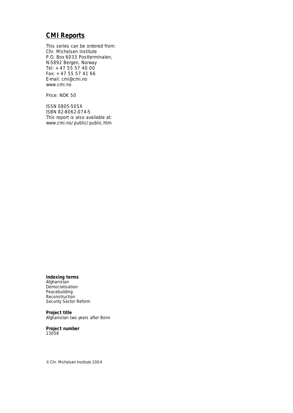### **CMI Reports**

This series can be ordered from: Chr. Michelsen Institute P.O. Box 6033 Postterminalen, N-5892 Bergen, Norway Tel: + 47 55 57 40 00 Fax: + 47 55 57 41 66 E-mail: cmi@cmi.no www.cmi.no

Price: NOK 50

ISSN 0805-505X ISBN 82-8062-074-5 This report is also available at: www.cmi.no/public/public.htm

### **Indexing terms**

Afghanistan Democratisation Peacebuilding **Reconstruction** Security Sector Reform

**Project title** Afghanistan two years after Bonn

**Project number** 23058

© Chr. Michelsen Institute 2004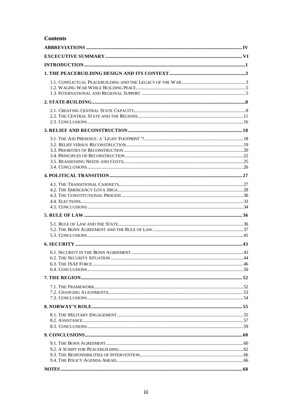### **Contents**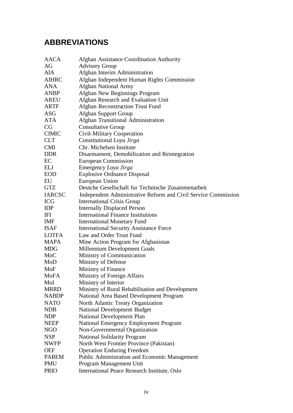# **ABBREVIATIONS**

| <b>AACA</b>   | <b>Afghan Assistance Coordination Authority</b>                |
|---------------|----------------------------------------------------------------|
| AG            | <b>Advisory Group</b>                                          |
| AIA           | Afghan Interim Administration                                  |
| <b>AIHRC</b>  | Afghan Independent Human Rights Commission                     |
| <b>ANA</b>    | <b>Afghan National Army</b>                                    |
| <b>ANBP</b>   | Afghan New Beginnings Program                                  |
| AREU          | Afghan Research and Evaluation Unit                            |
| <b>ARTF</b>   | <b>Afghan Reconstruction Trust Fund</b>                        |
| ASG           | <b>Afghan Support Group</b>                                    |
| <b>ATA</b>    | Afghan Transitional Administration                             |
| CG            | <b>Consultative Group</b>                                      |
| <b>CIMIC</b>  | <b>Civil-Military Cooperation</b>                              |
| <b>CLT</b>    | Constitutional Loya Jirga                                      |
| <b>CMI</b>    | Chr. Michelsen Institute                                       |
| <b>DDR</b>    | Disarmament, Demobilization and Reintegration                  |
| EC            | <b>European Commission</b>                                     |
| ELJ           | Emergency Loya Jirga                                           |
| <b>EOD</b>    | <b>Explosive Ordnance Disposal</b>                             |
| EU            | European Union                                                 |
| <b>GTZ</b>    | Deutche Gesellschaft fur Technische Zusammenarbeit             |
| <b>IARCSC</b> | Independent Administrative Reform and Civil Service Commission |
| <b>ICG</b>    | <b>International Crisis Group</b>                              |
| <b>IDP</b>    | <b>Internally Displaced Person</b>                             |
| IFI           | <b>International Finance Institutions</b>                      |
| IMF           | <b>International Monetary Fund</b>                             |
| <b>ISAF</b>   | <b>International Security Assistance Force</b>                 |
| <b>LOTFA</b>  | Law and Order Trust Fund                                       |
| <b>MAPA</b>   | Mine Action Program for Afghanistan                            |
| <b>MDG</b>    | Millennium Development Goals                                   |
| MoC           | Ministry of Communication                                      |
| MoD           | Ministry of Defense                                            |
| MoF           | Ministry of Finance                                            |
| <b>MoFA</b>   | Ministry of Foreign Affairs                                    |
| MoI           | Ministry of Interior                                           |
| <b>MRRD</b>   | Ministry of Rural Rehabilitation and Development               |
| <b>NABDP</b>  | National Area Based Development Program                        |
| <b>NATO</b>   | North Atlantic Treaty Organization                             |
| <b>NDB</b>    | <b>National Development Budget</b>                             |
| <b>NDP</b>    | National Development Plan                                      |
| <b>NEEP</b>   | National Emergency Employment Program                          |
| <b>NGO</b>    | Non-Governmental Organization                                  |
| <b>NSP</b>    | <b>National Solidarity Program</b>                             |
| NWFP          | North West Frontier Province (Pakistan)                        |
| <b>OEF</b>    | <b>Operation Enduring Freedom</b>                              |
| <b>PAREM</b>  | Public Administration and Economic Management                  |
| PMU           | Program Management Unit                                        |
| <b>PRIO</b>   | International Peace Research Institute, Oslo                   |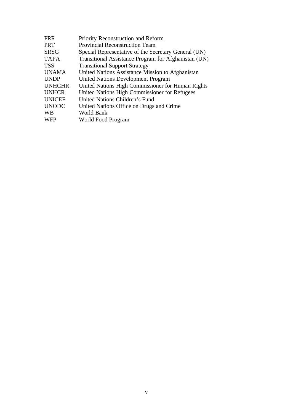| <b>PRR</b>    | Priority Reconstruction and Reform                   |
|---------------|------------------------------------------------------|
| <b>PRT</b>    | <b>Provincial Reconstruction Team</b>                |
| <b>SRSG</b>   | Special Representative of the Secretary General (UN) |
| <b>TAPA</b>   | Transitional Assistance Program for Afghanistan (UN) |
| <b>TSS</b>    | <b>Transitional Support Strategy</b>                 |
| <b>UNAMA</b>  | United Nations Assistance Mission to Afghanistan     |
| <b>UNDP</b>   | <b>United Nations Development Program</b>            |
| <b>UNHCHR</b> | United Nations High Commissioner for Human Rights    |
| <b>UNHCR</b>  | United Nations High Commissioner for Refugees        |
| <b>UNICEF</b> | United Nations Children's Fund                       |
| <b>UNODC</b>  | United Nations Office on Drugs and Crime             |
| <b>WB</b>     | World Bank                                           |
| <b>WFP</b>    | World Food Program                                   |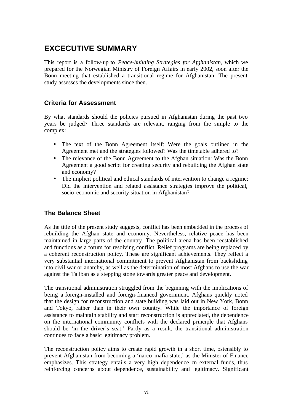# **EXCECUTIVE SUMMARY**

This report is a follow-up to *Peace-building Strategies for Afghanistan*, which we prepared for the Norwegian Ministry of Foreign Affairs in early 2002, soon after the Bonn meeting that established a transitional regime for Afghanistan. The present study assesses the developments since then.

### **Criteria for Assessment**

By what standards should the policies pursued in Afghanistan during the past two years be judged? Three standards are relevant, ranging from the simple to the complex:

- The text of the Bonn Agreement itself: Were the goals outlined in the Agreement met and the strategies followed? Was the timetable adhered to?
- The relevance of the Bonn Agreement to the Afghan situation: Was the Bonn Agreement a good script for creating security and rebuilding the Afghan state and economy?
- The implicit political and ethical standards of intervention to change a regime: Did the intervention and related assistance strategies improve the political, socio-economic and security situation in Afghanistan?

### **The Balance Sheet**

As the title of the present study suggests, conflict has been embedded in the process of rebuilding the Afghan state and economy. Nevertheless, relative peace has been maintained in large parts of the country. The political arena has been reestablished and functions as a forum for resolving conflict. Relief programs are being replaced by a coherent reconstruction policy. These are significant achievements. They reflect a very substantial international commitment to prevent Afghanistan from backsliding into civil war or anarchy, as well as the determination of most Afghans to use the war against the Taliban as a stepping stone towards greater peace and development.

The transitional administration struggled from the beginning with the implications of being a foreign-installed and foreign-financed government. Afghans quickly noted that the design for reconstruction and state building was laid out in New York, Bonn and Tokyo, rather than in their own country. While the importance of foreign assistance to maintain stability and start reconstruction is appreciated, the dependence on the international community conflicts with the declared principle that Afghans should be 'in the driver's seat.' Partly as a result, the transitional administration continues to face a basic legitimacy problem.

The reconstruction policy aims to create rapid growth in a short time, ostensibly to prevent Afghanistan from becoming a 'narco-mafia state,' as the Minister of Finance emphasizes. This strategy entails a very high dependence on external funds, thus reinforcing concerns about dependence, sustainability and legitimacy. Significant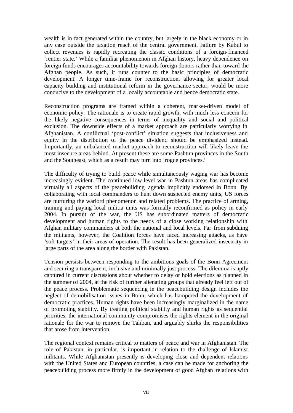wealth is in fact generated within the country, but largely in the black economy or in any case outside the taxation reach of the central government. Failure by Kabul to collect revenues is rapidly recreating the classic conditions of a foreign-financed 'rentier state.' While a familiar phenomenon in Afghan history, heavy dependence on foreign funds encourages accountability towards foreign donors rather than toward the Afghan people. As such, it runs counter to the basic principles of democratic development. A longer time-frame for reconstruction, allowing for greater local capacity building and institutional reform in the governance sector, would be more conducive to the development of a locally accountable and hence democratic state.

Reconstruction programs are framed within a coherent, market-driven model of economic policy. The rationale is to create rapid growth, with much less concern for the likely negative consequences in terms of inequality and social and political exclusion. The downside effects of a market approach are particularly worrying in Afghanistan. A conflictual 'post-conflict' situation suggests that inclusiveness and equity in the distribution of the peace dividend should be emphasized instead. Importantly, an unbalanced market approach to reconstruction will likely leave the most insecure areas behind. At present these are some Pashtun provinces in the South and the Southeast, which as a result may turn into 'rogue provinces.'

The difficulty of trying to build peace while simultaneously waging war has become increasingly evident. The continued low-level war in Pashtun areas has complicated virtually all aspects of the peacebuilding agenda implicitly endorsed in Bonn. By collaborating with local commanders to hunt down suspected enemy units, US forces are nurturing the warlord phenomenon and related problems. The practice of arming, training and paying local militia units was formally reconfirmed as policy in early 2004. In pursuit of the war, the US has subordinated matters of democratic development and human rights to the needs of a close working relationship with Afghan military commanders at both the national and local levels. Far from subduing the militants, however, the Coalition forces have faced increasing attacks, as have 'soft targets' in their areas of operation. The result has been generalized insecurity in large parts of the area along the border with Pakistan.

Tension persists between responding to the ambitious goals of the Bonn Agreement and securing a transparent, inclusive and minimally just process. The dilemma is aptly captured in current discussions about whether to delay or hold elections as planned in the summer of 2004, at the risk of further alienating groups that already feel left out of the peace process. Problematic sequencing in the peacebuilding design includes the neglect of demobilisation issues in Bonn, which has hampered the development of democratic practices. Human rights have been increasingly marginalized in the name of promoting stability. By treating political stability and human rights as sequential priorities, the international community compromises the rights element in the original rationale for the war to remove the Taliban, and arguably shirks the responsibilities that arose from intervention.

The regional context remains critical to matters of peace and war in Afghanistan. The role of Pakistan, in particular, is important in relation to the challenge of Islamist militants. While Afghanistan presently is developing close and dependent relations with the United States and European countries, a case can be made for anchoring the peacebuilding process more firmly in the development of good Afghan relations with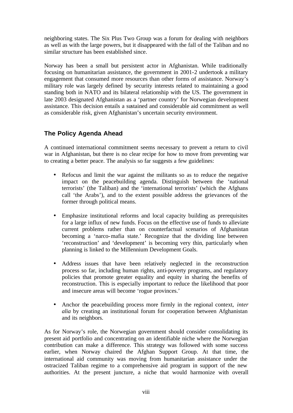neighboring states. The Six Plus Two Group was a forum for dealing with neighbors as well as with the large powers, but it disappeared with the fall of the Taliban and no similar structure has been established since.

Norway has been a small but persistent actor in Afghanistan. While traditionally focusing on humanitarian assistance, the government in 2001-2 undertook a military engagement that consumed more resources than other forms of assistance. Norway's military role was largely defined by security interests related to maintaining a good standing both in NATO and its bilateral relationship with the US. The government in late 2003 designated Afghanistan as a 'partner country' for Norwegian development assistance. This decision entails a sustained and considerable aid commitment as well as considerable risk, given Afghanistan's uncertain security environment.

### **The Policy Agenda Ahead**

A continued international commitment seems necessary to prevent a return to civil war in Afghanistan, but there is no clear recipe for how to move from preventing war to creating a better peace. The analysis so far suggests a few guidelines:

- Refocus and limit the war against the militants so as to reduce the negative impact on the peacebuilding agenda. Distinguish between the 'national terrorists' (the Taliban) and the 'international terrorists' (which the Afghans call 'the Arabs'), and to the extent possible address the grievances of the former through political means.
- Emphasize institutional reforms and local capacity building as prerequisites for a large influx of new funds. Focus on the effective use of funds to alleviate current problems rather than on counterfactual scenarios of Afghanistan becoming a 'narco-mafia state.' Recognize that the dividing line between 'reconstruction' and 'development' is becoming very thin, particularly when planning is linked to the Millennium Development Goals.
- Address issues that have been relatively neglected in the reconstruction process so far, including human rights, anti-poverty programs, and regulatory policies that promote greater equality and equity in sharing the benefits of reconstruction. This is especially important to reduce the likelihood that poor and insecure areas will become 'rogue provinces.'
- Anchor the peacebuilding process more firmly in the regional context, *inter alia* by creating an institutional forum for cooperation between Afghanistan and its neighbors.

As for Norway's role, the Norwegian government should consider consolidating its present aid portfolio and concentrating on an identifiable niche where the Norwegian contribution can make a difference. This strategy was followed with some success earlier, when Norway chaired the Afghan Support Group. At that time, the international aid community was moving from humanitarian assistance under the ostracized Taliban regime to a comprehensive aid program in support of the new authorities. At the present juncture, a niche that would harmonize with overall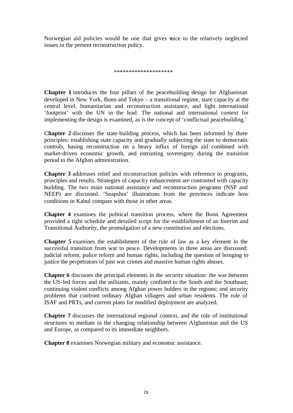Norwegian aid policies would be one that gives voice to the relatively neglected issues in the present reconstruction policy.

\*\*\*\*\*\*\*\*\*\*\*\*\*\*\*\*\*\*\*\*

**Chapter 1** introduces the four pillars of the peacebuilding design for Afghanistan developed in New York, Bonn and Tokyo – a transitional regime, state capacity at the central level, humanitarian and reconstruction assistance, and light international 'footprint' with the UN in the lead. The national and international context for implementing the design is examined, as is the concept of 'conflictual peacebuilding.'

C**hapter 2** discusses the state-building process, which has been informed by three principles: establishing state capacity and gradually subjecting the state to democratic controls, basing reconstruction on a heavy influx of foreign aid combined with market-driven economic growth, and entrusting sovereignty during the transition period to the Afghan administration.

**Chapter 3** addresses relief and reconstruction policies with reference to programs, principles and results. Strategies of capacity enhancement are contrasted with capacity building. The two main national assistance and reconstruction programs (NSP and NEEP) are discussed. 'Snapshot' illustrations from the provinces indicate how conditions in Kabul compare with those in other areas.

**Chapter 4** examines the political transition process, where the Bonn Agreement provided a tight schedule and detailed script for the establishment of an Interim and Transitional Authority, the promulgation of a new constitution and elections.

**Chapter 5** examines the establishment of the rule of law as a key element in the successful transition from war to peace. Developments in three areas are discussed: judicial reform, police reform and human rights, including the question of bringing to justice the perpetrators of past war crimes and massive human rights abuses.

**Chapter 6** discusses the principal elements in the security situation: the war between the US-led forces and the militants, mainly confined to the South and the Southeast; continuing violent conflicts among Afghan power holders in the regions; and security problems that confront ordinary Afghan villagers and urban residents. The role of ISAF and PRTs, and current plans for modified deployment are analyzed.

**Chapter 7** discusses the international regional context, and the role of institutional structures to mediate in the changing relationship between Afghanistan and the US and Europe, as compared to its immediate neighbors.

**Chapter 8** examines Norwegian military and economic assistance.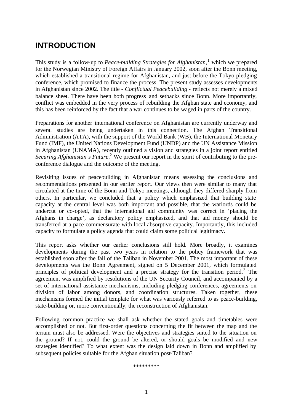# **INTRODUCTION**

This study is a follow-up to *Peace-building Strategies for Afghanistan*,<sup>1</sup> which we prepared for the Norwegian Ministry of Foreign Affairs in January 2002, soon after the Bonn meeting, which established a transitional regime for Afghanistan, and just before the Tokyo pledging conference, which promised to finance the process. The present study assesses developments in Afghanistan since 2002. The title - *Conflictual Peacebuilding* - reflects not merely a mixed balance sheet. There have been both progress and setbacks since Bonn. More importantly, conflict was embedded in the very process of rebuilding the Afghan state and economy, and this has been reinforced by the fact that a war continues to be waged in parts of the country.

Preparations for another international conference on Afghanistan are currently underway and several studies are being undertaken in this connection. The Afghan Transitional Administration (ATA), with the support of the World Bank (WB), the International Monetary Fund (IMF), the United Nations Development Fund (UNDP) and the UN Assistance Mission in Afghanistan (UNAMA), recently outlined a vision and strategies in a joint report entitled Securing Afghanistan's Future.<sup>2</sup> We present our report in the spirit of contributing to the preconference dialogue and the outcome of the meeting.

Revisiting issues of peacebuilding in Afghanistan means assessing the conclusions and recommendations presented in our earlier report. Our views then were similar to many that circulated at the time of the Bonn and Tokyo meetings, although they differed sharply from others. In particular, we concluded that a policy which emphasized that building state capacity at the central level was both important and possible, that the warlords could be undercut or co-opted, that the international aid community was correct in 'placing the Afghans in charge', as declaratory policy emphasized, and that aid money should be transferred at a pace commensurate with local absorptive capacity. Importantly, this included capacity to formulate a policy agenda that could claim some political legitimacy.

This report asks whether our earlier conclusions still hold. More broadly, it examines developments during the past two years in relation to the policy framework that was established soon after the fall of the Taliban in November 2001. The most important of these developments was the Bonn Agreement, signed on 5 December 2001, which formulated principles of political development and a precise strategy for the transition period.<sup>3</sup> The agreement was amplified by resolutions of the UN Security Council, and accompanied by a set of international assistance mechanisms, including pledging conferences, agreements on division of labor among donors, and coordination structures. Taken together, these mechanisms formed the initial template for what was variously referred to as peace-building, state-building or, more conventionally, the reconstruction of Afghanistan.

Following common practice we shall ask whether the stated goals and timetables were accomplished or not. But first-order questions concerning the fit between the map and the terrain must also be addressed. Were the objectives and strategies suited to the situation on the ground? If not, could the ground be altered, or should goals be modified and new strategies identified? To what extent was the design laid down in Bonn and amplified by subsequent policies suitable for the Afghan situation post-Taliban?

\*\*\*\*\*\*\*\*\*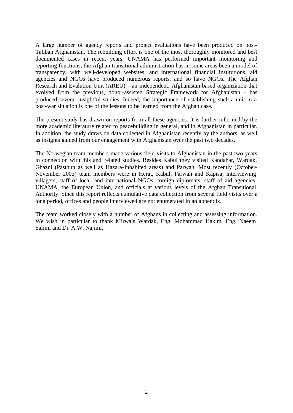A large number of agency reports and project evaluations have been produced on post-Taliban Afghanistan. The rebuilding effort is one of the most thoroughly monitored and best documented cases in recent years. UNAMA has performed important monitoring and reporting functions, the Afghan transitional administration has in some areas been a model of transparency, with well-developed websites, and international financial institutions, aid agencies and NGOs have produced numerous reports, and so have NGOs. The Afghan Research and Evalution Unit (AREU) - an independent, Afghanistan-based organization that evolved from the previous, donor-assisted Strategic Framework for Afghanistan - has produced several insightful studies. Indeed, the importance of establishing such a unit in a post-war situation is one of the lessons to be learned from the Afghan case.

The present study has drawn on reports from all these agencies. It is further informed by the more academic literature related to peacebuilding in general, and in Afghanistan in particular. In addition, the study draws on data collected in Afghanistan recently by the authors, as well as insights gained from our engagement with Afghanistan over the past two decades.

The Norwegian team members made various field visits to Afghanistan in the past two years in connection with this and related studies. Besides Kabul they visited Kandahar, Wardak, Ghazni (Pasthun as well as Hazara-inhabited areas) and Parwan. Most recently (October-November 2003) team members were in Herat, Kabul, Parwan and Kapisa, interviewing villagers, staff of local and international NGOs, foreign diplomats, staff of aid agencies, UNAMA, the European Union, and officials at various levels of the Afghan Transitional Authority. Since this report reflects cumulative data collection from several field visits over a long period, offices and people interviewed are not enumerated in an appendix.

The team worked closely with a number of Afghans in collecting and assessing information. We wish in particular to thank Mirwais Wardak, Eng. Mohammad Hakim, Eng. Naeem Salimi and Dr. A.W. Najimi.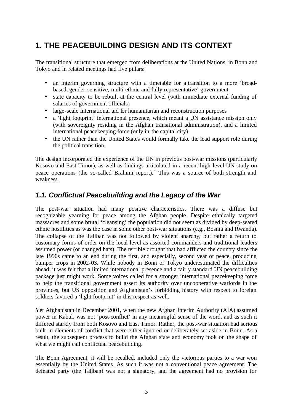# **1. THE PEACEBUILDING DESIGN AND ITS CONTEXT**

The transitional structure that emerged from deliberations at the United Nations, in Bonn and Tokyo and in related meetings had five pillars:

- an interim governing structure with a timetable for a transition to a more 'broadbased, gender-sensitive, multi-ethnic and fully representative' government
- state capacity to be rebuilt at the central level (with immediate external funding of salaries of government officials)
- large-scale international aid for humanitarian and reconstruction purposes
- a 'light footprint' international presence, which meant a UN assistance mission only (with sovereignty residing in the Afghan transitional administration), and a limited international peacekeeping force (only in the capital city)
- the UN rather than the United States would formally take the lead support role during the political transition.

The design incorporated the experience of the UN in previous post-war missions (particularly Kosovo and East Timor), as well as findings articulated in a recent high-level UN study on peace operations (the so-called Brahimi report).<sup>4</sup> This was a source of both strength and weakness.

### *1.1. Conflictual Peacebuilding and the Legacy of the War*

The post-war situation had many positive characteristics. There was a diffuse but recognizable yearning for peace among the Afghan people. Despite ethnically targeted massacres and some brutal 'cleansing' the population did not seem as divided by deep-seated ethnic hostilities as was the case in some other post-war situations (e.g., Bosnia and Rwanda). The collapse of the Taliban was not followed by violent anarchy, but rather a return to customary forms of order on the local level as assorted commanders and traditional leaders assumed power (or changed hats). The terrible drought that had afflicted the country since the late 1990s came to an end during the first, and especially, second year of peace, producing bumper crops in 2002-03. While nobody in Bonn or Tokyo underestimated the difficulties ahead, it was felt that a limited international presence and a fairly standard UN peacebuilding package just might work. Some voices called for a stronger international peacekeeping force to help the transitional government assert its authority over uncooperative warlords in the provinces, but US opposition and Afghanistan's forbidding history with respect to foreign soldiers favored a 'light footprint' in this respect as well.

Yet Afghanistan in December 2001, when the new Afghan Interim Authority (AIA) assumed power in Kabul, was not 'post-conflict' in any meaningful sense of the word, and as such it differed starkly from both Kosovo and East Timor. Rather, the post-war situation had serious built-in elements of conflict that were either ignored or deliberately set aside in Bonn. As a result, the subsequent process to build the Afghan state and economy took on the shape of what we might call conflictual peacebuilding.

The Bonn Agreement, it will be recalled, included only the victorious parties to a war won essentially by the United States. As such it was not a conventional peace agreement. The defeated party (the Taliban) was not a signatory, and the agreement had no provision for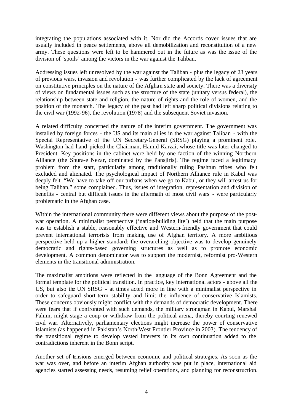integrating the populations associated with it. Nor did the Accords cover issues that are usually included in peace settlements, above all demobilization and reconstitution of a new army. These questions were left to be hammered out in the future as was the issue of the division of 'spoils' among the victors in the war against the Taliban.

Addressing issues left unresolved by the war against the Taliban - plus the legacy of 23 years of previous wars, invasion and revolution - was further complicated by the lack of agreement on constitutive principles on the nature of the Afghan state and society. There was a diversity of views on fundamental issues such as the structure of the state (unitary versus federal), the relationship between state and religion, the nature of rights and the role of women, and the position of the monarch. The legacy of the past had left sharp political divisions relating to the civil war (1992-96), the revolution (1978) and the subsequent Soviet invasion.

A related difficulty concerned the nature of the interim government. The government was installed by foreign forces - the US and its main allies in the war against Taliban - with the Special Representative of the UN Secretary-General (SRSG) playing a prominent role. Washington had hand-picked the Chairman, Hamid Karzai, whose title was later changed to President. Key positions in the cabinet were held by one faction of the winning Northern Alliance (the Shura-e Nezar, dominated by the Pansjiris). The regime faced a legitimacy problem from the start, particularly among traditionally ruling Pashtun tribes who felt excluded and alienated. The psychological impact of Northern Alliance rule in Kabul was deeply felt. "We have to take off our turbans when we go to Kabul, or they will arrest us for being Taliban," some complained. Thus, issues of integration, representation and division of benefits - central but difficult issues in the aftermath of most civil wars - were particularly problematic in the Afghan case.

Within the international community there were different views about the purpose of the postwar operation. A minimalist perspective ('nation-building lite') held that the main purpose was to establish a stable, reasonably effective and Western-friendly government that could prevent international terrorists from making use of Afghan territory. A more ambitious perspective held up a higher standard: the overarching objective was to develop genuinely democratic and rights-based governing structures as well as to promote economic development. A common denominator was to support the modernist, reformist pro-Western elements in the transitional administration.

The maximalist ambitions were reflected in the language of the Bonn Agreement and the formal template for the political transition. In practice, key international actors - above all the US, but also the UN SRSG - at times acted more in line with a minimalist perspective in order to safeguard short-term stability and limit the influence of conservative Islamists. These concerns obviously might conflict with the demands of democratic development. There were fears that if confronted with such demands, the military strongman in Kabul, Marshal Fahim, might stage a coup or withdraw from the political arena, thereby courting renewed civil war. Alternatively, parliamentary elections might increase the power of conservative Islamists (as happened in Pakistan's North-West Frontier Province in 2003). The tendency of the transitional regime to develop vested interests in its own continuation added to the contradictions inherent in the Bonn script.

Another set of tensions emerged between economic and political strategies. As soon as the war was over, and before an interim Afghan authority was put in place, international aid agencies started assessing needs, resuming relief operations, and planning for reconstruction.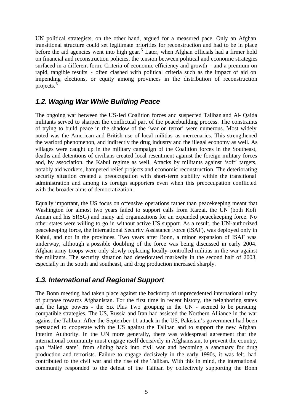UN political strategists, on the other hand, argued for a measured pace. Only an Afghan transitional structure could set legitimate priorities for reconstruction and had to be in place before the aid agencies went into high gear.<sup>5</sup> Later, when Afghan officials had a firmer hold on financial and reconstruction policies, the tension between political and economic strategies surfaced in a different form. Criteria of economic efficiency and growth - and a premium on rapid, tangible results - often clashed with political criteria such as the impact of aid on impending elections, or equity among provinces in the distribution of reconstruction projects.<sup>6</sup>

### *1.2. Waging War While Building Peace*

The ongoing war between the US-led Coalition forces and suspected Taliban and Al- Qaida militants served to sharpen the conflictual part of the peacebuilding process. The constraints of trying to build peace in the shadow of the 'war on terror' were numerous. Most widely noted was the American and British use of local militias as mercenaries. This strengthened the warlord phenomenon, and indirectly the drug industry and the illegal economy as well. As villages were caught up in the military campaign of the Coalition forces in the Southeast, deaths and detentions of civilians created local resentment against the foreign military forces and, by association, the Kabul regime as well. Attacks by militants against 'soft' targets, notably aid workers, hampered relief projects and economic reconstruction. The deteriorating security situation created a preoccupation with short-term stability within the transitional administration and among its foreign supporters even when this preoccupation conflicted with the broader aims of democratization.

Equally important, the US focus on offensive operations rather than peacekeeping meant that Washington for almost two years failed to support calls from Karzai, the UN (both Kofi Annan and his SRSG) and many aid organizations for an expanded peacekeeping force. No other states were willing to go in without active US support. As a result, the UN-authorized peacekeeping force, the International Security Assistance Force (ISAF), was deployed only in Kabul, and not in the provinces. Two years after Bonn, a minor expansion of ISAF was underway, although a possible doubling of the force was being discussed in early 2004. Afghan army troops were only slowly replacing locally-controlled militias in the war against the militants. The security situation had deteriorated markedly in the second half of 2003, especially in the south and southeast, and drug production increased sharply.

### *1.3. International and Regional Support*

The Bonn meeting had taken place against the backdrop of unprecedented international unity of purpose towards Afghanistan. For the first time in recent history, the neighboring states and the large powers - the Six Plus Two grouping in the UN - seemed to be pursuing compatible strategies. The US, Russia and Iran had assisted the Northern Alliance in the war against the Taliban. After the September 11 attack in the US, Pakistan's government had been persuaded to cooperate with the US against the Taliban and to support the new Afghan Interim Authority. In the UN more generally, there was widespread agreement that the international community must engage itself decisively in Afghanistan, to prevent the country, *qua* 'failed state', from sliding back into civil war and becoming a sanctuary for drug production and terrorists. Failure to engage decisively in the early 1990s, it was felt, had contributed to the civil war and the rise of the Taliban. With this in mind, the international community responded to the defeat of the Taliban by collectively supporting the Bonn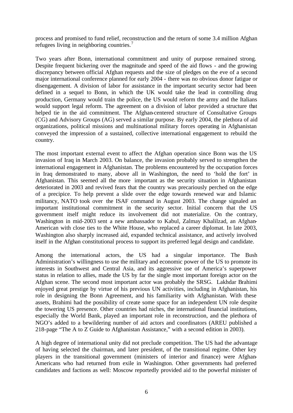process and promised to fund relief, reconstruction and the return of some 3.4 million Afghan refugees living in neighboring countries.<sup>7</sup>

Two years after Bonn, international commitment and unity of purpose remained strong. Despite frequent bickering over the magnitude and speed of the aid flows - and the growing discrepancy between official Afghan requests and the size of pledges on the eve of a second major international conference planned for early 2004 - there was no obvious donor fatigue or disengagement. A division of labor for assistance in the important security sector had been defined in a sequel to Bonn, in which the UK would take the lead in controlling drug production, Germany would train the police, the US would reform the army and the Italians would support legal reform. The agreement on a division of labor provided a structure that helped tie in the aid commitment. The Afghan-centered structure of Consultative Groups (CG) and Advisory Groups (AG) served a similar purpose. By early 2004, the plethora of aid organizations, political missions and multinational military forces operating in Afghanistan conveyed the impression of a sustained, collective international engagement to rebuild the country.

The most important external event to affect the Afghan operation since Bonn was the US invasion of Iraq in March 2003. On balance, the invasion probably served to strengthen the international engagement in Afghanistan. The problems encountered by the occupation forces in Iraq demonstrated to many, above all in Washington, the need to 'hold the fort' in Afghanistan. This seemed all the more important as the security situation in Afghanistan deteriorated in 2003 and revived fears that the country was precariously perched on the edge of a precipice. To help prevent a slide over the edge towards renewed war and Islamic militancy, NATO took over the ISAF command in August 2003. The change signaled an important institutional commitment in the security sector. Initial concern that the US government itself might reduce its involvement did not materialize. On the contrary, Washington in mid-2003 sent a new ambassador to Kabul, Zalmay Khalilzad, an Afghan-American with close ties to the White House, who replaced a career diplomat. In late 2003, Washington also sharply increased aid, expanded technical assistance, and actively involved itself in the Afghan constitutional process to support its preferred legal design and candidate.

Among the international actors, the US had a singular importance. The Bush Administration's willingness to use the military and economic power of the US to promote its interests in Southwest and Central Asia, and its aggressive use of America's superpower status in relation to allies, made the US by far the single most important foreign actor on the Afghan scene. The second most important actor was probably the SRSG. Lakhdar Brahimi enjoyed great prestige by virtue of his previous UN activities, including in Afghanistan, his role in designing the Bonn Agreement, and his familiarity with Afghanistan. With these assets, Brahimi had the possibility of create some space for an independent UN role despite the towering US presence. Other countries had niches, the international financial institutions, especially the World Bank, played an important role in reconstruction, and the plethora of NGO's added to a bewildering number of aid actors and coordinators (AREU published a 218-page "The A to Z Guide to Afghanistan Assistance," with a second edition in 2003).

A high degree of international unity did not preclude competition. The US had the advantage of having selected the chairman, and later president, of the transitional regime. Other key players in the transitional government (ministers of interior and finance) were Afghan-Americans who had returned from exile in Washington. Other governments had preferred candidates and factions as well: Moscow reportedly provided aid to the powerful minister of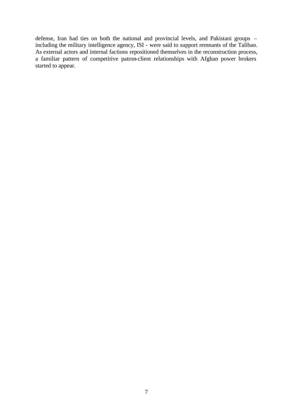defense, Iran had ties on both the national and provincial levels, and Pakistani groups – including the military intelligence agency, ISI - were said to support remnants of the Taliban. As external actors and internal factions repositioned themselves in the reconstruction process, a familiar pattern of competitive patron-client relationships with Afghan power brokers started to appear.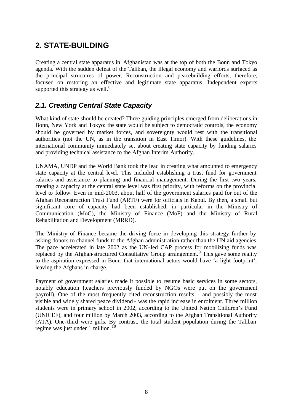# **2. STATE-BUILDING**

Creating a central state apparatus in Afghanistan was at the top of both the Bonn and Tokyo agenda. With the sudden defeat of the Taliban, the illegal economy and warlords surfaced as the principal structures of power. Reconstruction and peacebuilding efforts, therefore, focused on restoring an effective and legitimate state apparatus. Independent experts supported this strategy as well. $8$ 

### *2.1. Creating Central State Capacity*

What kind of state should be created? Three guiding principles emerged from deliberations in Bonn, New York and Tokyo: the state would be subject to democratic controls, the economy should be governed by market forces, and sovereignty would rest with the transitional authorities (not the UN, as in the transition in East Timor). With these guidelines, the international community immediately set about creating state capacity by funding salaries and providing technical assistance to the Afghan Interim Authority.

UNAMA, UNDP and the World Bank took the lead in creating what amounted to emergency state capacity at the central level. This included establishing a trust fund for government salaries and assistance to planning and financial management. During the first two years, creating a capacity at the central state level was first priority, with reforms on the provincial level to follow. Even in mid-2003, about half of the government salaries paid for out of the Afghan Reconstruction Trust Fund (ARTF) were for officials in Kabul. By then, a small but significant core of capacity had been established, in particular in the Ministry of Communication (MoC), the Ministry of Finance (MoF) and the Ministry of Rural Rehabilitation and Development (MRRD).

The Ministry of Finance became the driving force in developing this strategy further by asking donors to channel funds to the Afghan administration rather than the UN aid agencies. The pace accelerated in late 2002 as the UN-led CAP process for mobilizing funds was replaced by the Afghan-structured Consultative Group arrangement.<sup>9</sup> This gave some reality to the aspiration expressed in Bonn that international actors would have 'a light footprint', leaving the Afghans in charge.

Payment of government salaries made it possible to resume basic services in some sectors, notably education **(**teachers previously funded by NGOs were put on the government payroll). One of the most frequently cited reconstruction results - and possibly the most visible and widely shared peace dividend - was the rapid increase in enrolment. Three million students were in primary school in 2002, according to the United Nation Children's Fund (UNICEF), and four million by March 2003, according to the Afghan Transitional Authority (ATA). One-third were girls. By contrast, the total student population during the Taliban regime was just under 1 million.<sup>10</sup>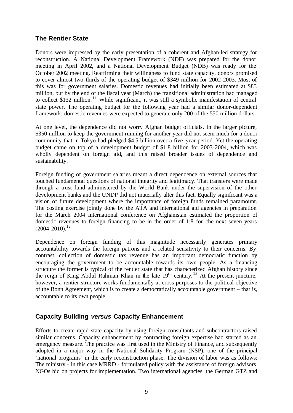### **The Rentier State**

Donors were impressed by the early presentation of a coherent and Afghan-led strategy for reconstruction. A National Development Framework (NDF) was prepared for the donor meeting in April 2002, and a National Development Budget (NDB) was ready for the October 2002 meeting. Reaffirming their willingness to fund state capacity, donors promised to cover almost two-thirds of the operating budget of \$349 million for 2002-2003. Most of this was for government salaries. Domestic revenues had initially been estimated at \$83 million, but by the end of the fiscal year (March) the transitional administration had managed to collect \$132 million.<sup>11</sup> While significant, it was still a symbolic manifestation of central state power. The operating budget for the following year had a similar donor-dependent framework: domestic revenues were expected to generate only 200 of the 550 million dollars.

At one level, the dependence did not worry Afghan budget officials. In the larger picture, \$350 million to keep the government running for another year did not seem much for a donor community that in Tokyo had pledged \$4.5 billion over a five-year period. Yet the operating budget came on top of a development budget of \$1.8 billion for 2003-2004, which was wholly dependent on foreign aid, and this raised broader issues of dependence and sustainability.

Foreign funding of government salaries meant a direct dependence on external sources that touched fundamental questions of national integrity and legitimacy. That transfers were made through a trust fund administered by the World Bank under the supervision of the other development banks and the UNDP did not materially alter this fact. Equally significant was a vision of future development where the importance of foreign funds remained paramount. The costing exercise jointly done by the ATA and international aid agencies in preparation for the March 2004 international conference on Afghanistan estimated the proportion of domestic revenues to foreign financing to be in the order of 1:8 for the next seven years  $(2004 - 2010)^{12}$ 

Dependence on foreign funding of this magnitude necessarily generates primary accountability towards the foreign patrons and a related sensitivity to their concerns. By contrast, collection of domestic tax revenue has an important democratic function by encouraging the government to be accountable towards its own people. As a financing structure the former is typical of the rentier state that has characterized Afghan history since the reign of King Abdul Rahman Khan in the late  $19<sup>th</sup>$  century.<sup>13</sup> At the present juncture, however, a rentier structure works fundamentally at cross purposes to the political objective of the Bonn Agreement, which is to create a democratically accountable government – that is, accountable to its own people.

### **Capacity Building** *versus* **Capacity Enhancement**

Efforts to create rapid state capacity by using foreign consultants and subcontractors raised similar concerns. Capacity enhancement by contracting foreign expertise had started as an emergency measure. The practice was first used in the Ministry of Finance, and subsequently adopted in a major way in the National Solidarity Program (NSP), one of the principal 'national programs' in the early reconstruction phase. The division of labor was as follows: The ministry - in this case MRRD - formulated policy with the assistance of foreign advisors. NGOs bid on projects for implementation. Two international agencies, the German GTZ and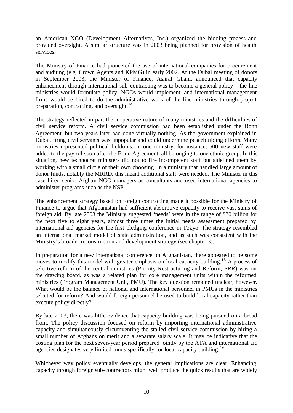an American NGO (Development Alternatives, Inc.) organized the bidding process and provided oversight. A similar structure was in 2003 being planned for provision of health services.

The Ministry of Finance had pioneered the use of international companies for procurement and auditing (e.g. Crown Agents and KPMG) in early 2002. At the Dubai meeting of donors in September 2003, the Minister of Finance, Ashraf Ghani, announced that capacity enhancement through international sub-contracting was to become a general policy - the line ministries would formulate policy, NGOs would implement, and international management firms would be hired to do the administrative work of the line ministries through project preparation, contracting, and oversight.<sup>14</sup>

The strategy reflected in part the inoperative nature of many ministries and the difficulties of civil service reform. A civil service commission had been established under the Bonn Agreement, but two years later had done virtually nothing. As the government explained in Dubai, firing civil servants was unpopular and could undermine peacebuilding efforts. Many ministries represented political fiefdoms. In one ministry, for instance, 500 new staff were added to the payroll soon after the Bonn Agreement, all belonging to one ethnic group. In this situation, new technocrat ministers did not to fire incompetent staff but sidelined them by working with a small circle of their own choosing. In a ministry that handled large amount of donor funds, notably the MRRD, this meant additional staff were needed. The Minister in this case hired senior Afghan NGO managers as consultants and used international agencies to administer programs such as the NSP.

The enhancement strategy based on foreign contracting made it possible for the Ministry of Finance to argue that Afghanistan had sufficient absorptive capacity to receive vast sums of foreign aid. By late 2003 the Ministry suggested 'needs' were in the range of \$30 billion for the next five to eight years, almost three times the initial needs assessment prepared by international aid agencies for the first pledging conference in Tokyo. The strategy resembled an international market model of state administration, and as such was consistent with the Ministry's broader reconstruction and development strategy (see chapter 3).

In preparation for a new international conference on Afghanistan, there appeared to be some moves to modify this model with greater emphasis on local capacity building.<sup>15</sup> A process of selective reform of the central ministries (Priority Restructuring and Reform, PRR) was on the drawing board, as was a related plan for core management units within the reformed ministries (Program Management Unit, PMU). The key question remained unclear, however. What would be the balance of national and international personnel in PMUs in the ministries selected for reform? And would foreign personnel be used to build local capacity rather than execute policy directly?

By late 2003, there was little evidence that capacity building was being pursued on a broad front. The policy discussion focused on reform by importing international administrative capacity and simultaneously circumventing the stalled civil service commission by hiring a small number of Afghans on merit and a separate salary scale. It may be indicative that the costing plan for the next seven-year period prepared jointly by the ATA and international aid agencies designates very limited funds specifically for local capacity building.<sup>16</sup>

Whichever way policy eventually develops, the general implications are clear. Enhancing capacity through foreign sub-contractors might well produce the quick results that are widely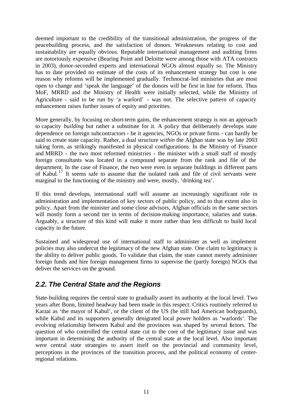deemed important to the credibility of the transitional administration, the progress of the peacebuilding process, and the satisfaction of donors. Weaknesses relating to cost and sustainability are equally obvious. Reputable international management and auditing firms are notoriously expensive (Bearing Point and Deloitte were among those with ATA contracts in 2003), donor-seconded experts and international NGOs almost equally so. The Ministry has to date provided no estimate of the costs of its enhancement strategy but cost is one reason why reforms will be implemented gradually. Technocrat-led ministries that are most open to change and 'speak the language' of the donors will be first in line for reform. Thus MoF, MRRD and the Ministry of Health were initially selected, while the Ministry of Agriculture - said to be run by 'a warlord' - was not. The selective pattern of capacity enhancement raises further issues of equity and priorities.

More generally, by focusing on short-term gains, the enhancement strategy is not an approach to capacity *building* but rather a substitute for it. A policy that deliberately develops state dependence on foreign subcontractors - be it agencies, NGOs or private firms - can hardly be said to create state capacity. Rather, a dual structure *within* the Afghan state was by late 2003 taking form, as strikingly manifested in physical configurations. In the Ministry of Finance and MRRD - the two most reformed ministries - the minister with a small staff of mostly foreign consultants was located in a compound separate from the rank and file of the department. In the case of Finance, the two were even in separate buildings in different parts of Kabul. <sup>17</sup> It seems safe to assume that the isolated rank and file of civil servants were marginal to the functioning of the ministry and were, mostly, 'drinking tea'.

If this trend develops, international staff will assume an increasingly significant role in administration and implementation of key sectors of public policy, and to that extent also in policy. Apart from the minister and some close advisors, Afghan officials in the same sectors will mostly form a second tier in terms of decision-making importance, salaries and status. Arguably, a structure of this kind will make it more rather than less difficult to build local capacity in the future.

Sustained and widespread use of international staff to administer as well as implement policies may also undercut the legitimacy of the new Afghan state. One claim to legitimacy is the ability to deliver public goods. To validate that claim, the state cannot merely administer foreign funds and hire foreign management firms to supervise the (partly foreign) NGOs that deliver the services on the ground.

### *2.2. The Central State and the Regions*

State-building requires the central state to gradually assert its authority at the local level. Two years after Bonn, limited headway had been made in this respect. Critics routinely referred to Karzai as 'the mayor of Kabul', or the client of the US (he still had American bodyguards), while Kabul and its supporters generally denigrated local power holders as 'warlords'. The evolving relationship between Kabul and the provinces was shaped by several factors. The question of who controlled the central state cut to the core of the legitimacy issue and was important in determining the authority of the central state at the local level. Also important were central state strategies to assert itself on the provincial and community level, perceptions in the provinces of the transition process, and the political economy of centerregional relations.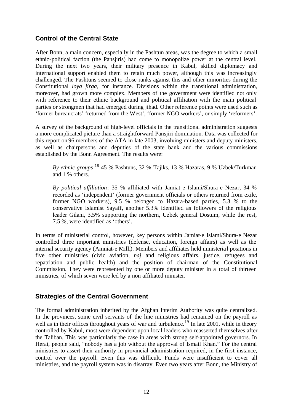### **Control of the Central State**

After Bonn, a main concern, especially in the Pashtun areas, was the degree to which a small ethnic-political faction (the Pansjiris) had come to monopolize power at the central level. During the next two years, their military presence in Kabul, skilled diplomacy and international support enabled them to retain much power, although this was increasingly challenged. The Pashtuns seemed to close ranks against this and other minorities during the Constitutional *loya jirga,* for instance. Divisions within the transitional administration, moreover, had grown more complex. Members of the government were identified not only with reference to their ethnic background and political affiliation with the main political parties or strongmen that had emerged during jihad. Other reference points were used such as 'former bureaucrats' 'returned from the West', 'former NGO workers', or simply 'reformers'.

A survey of the background of high-level officials in the transitional administration suggests a more complicated picture than a straightforward Pansjiri domination. Data was collected for this report on 96 members of the ATA in late 2003, involving ministers and deputy ministers, as well as chairpersons and deputies of the state bank and the various commissions established by the Bonn Agreement. The results were:

*By ethnic groups*: <sup>18</sup> 45 % Pashtuns, 32 % Tajiks, 13 % Hazaras, 9 % Uzbek/Turkman and 1 % others.

*By political affiliation*: 35 % affiliated with Jamiat-e Islami/Shura-e Nezar, 34 % recorded as 'independent' (former government officials or others returned from exile, former NGO workers), 9.5 % belonged to Hazara-based parties, 5.3 % to the conservative Islamist Sayaff, another 5.3% identified as followers of the religious leader Gilani, 3.5% supporting the northern, Uzbek general Dostum, while the rest, 7.5 %, were identified as 'others'.

In terms of ministerial control, however, key persons within Jamiat-e Islami/Shura-e Nezar controlled three important ministries (defense, education, foreign affairs) as well as the internal security agency (Amniat-e Milli). Members and affiliates held ministeria l positions in five other ministries (civic aviation, *haj* and religious affairs, justice, refugees and repatriation and public health) and the position of chairman of the Constitutional Commission. They were represented by one or more deputy minister in a total of thirteen ministries, of which seven were led by a non affiliated minister.

### **Strategies of the Central Government**

The formal administration inherited by the Afghan Interim Authority was quite centralized. In the provinces, some civil servants of the line ministries had remained on the payroll as well as in their offices throughout years of war and turbulence.<sup>19</sup> In late 2001, while in theory controlled by Kabul, most were dependent upon local leaders who reasserted themselves after the Taliban. This was particularly the case in areas with strong self-appointed governors. In Herat, people said, "nobody has a job without the approval of Ismail Khan." For the central ministries to assert their authority in provincial administration required, in the first instance, control over the payroll. Even this was difficult. Funds were insufficient to cover all ministries, and the payroll system was in disarray. Even two years after Bonn, the Ministry of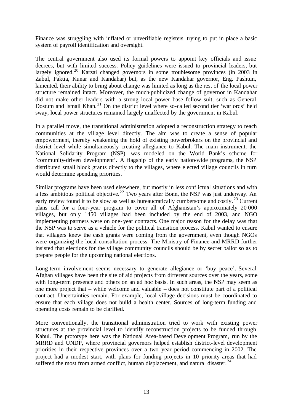Finance was struggling with inflated or unverifiable registers, trying to put in place a basic system of payroll identification and oversight.

The central government also used its formal powers to appoint key officials and issue decrees, but with limited success. Policy guidelines were issued to provincial leaders, but largely ignored.<sup>20</sup> Karzai changed governors in some troublesome provinces (in 2003 in Zabul, Paktia, Kunar and Kandahar) but, as the new Kandahar governor, Eng. Pashtun, lamented, their ability to bring about change was limited as long as the rest of the local power structure remained intact. Moreover, the much-publicized change of governor in Kandahar did not make other leaders with a strong local power base follow suit, such as General Dostum and Ismail Khan.<sup>21</sup> On the district level where so-called second tier 'warlords' held sway, local power structures remained largely unaffected by the government in Kabul.

In a parallel move, the transitional administration adopted a reconstruction strategy to reach communities at the village level directly. The aim was to create a sense of popular empowerment, thereby weakening the hold of existing powerbrokers on the provincial and district level while simultaneously creating allegiance to Kabul. The main instrument, the National Solidarity Program (NSP), was modeled on the World Bank's scheme for 'community-driven development'. A flagship of the early nation-wide programs, the NSP distributed small block grants directly to the villages, where elected village councils in turn would determine spending priorities.

Similar programs have been used elsewhere, but mostly in less conflictual situations and with a less ambitious political objective.<sup>22</sup> Two years after Bonn, the NSP was just underway. An early review found it to be slow as well as bureaucratically cumbersome and costly.<sup>23</sup> Current plans call for a four-year program to cover all of Afghanistan's approximately 20 000 villages, but only 1450 villages had been included by the end of 2003, and NGO implementing partners were on one-year contracts. One major reason for the delay was that the NSP was to serve as a vehicle for the political transition process. Kabul wanted to ensure that villagers knew the cash grants were coming from the government, even though NGOs were organizing the local consultation process. The Ministry of Finance and MRRD further insisted that elections for the village community councils should be by secret ballot so as to prepare people for the upcoming national elections.

Long-term involvement seems necessary to generate allegiance or 'buy peace'. Several Afghan villages have been the site of aid projects from different sources over the years, some with long-term presence and others on an ad hoc basis. In such areas, the NSP may seem as one more project that – while welcome and valuable – does not constitute part of a political contract. Uncertainties remain. For example, local village decisions must be coordinated to ensure that each village does not build a health center. Sources of long-term funding and operating costs remain to be clarified.

More conventionally, the transitional administration tried to work with existing power structures at the provincial level to identify reconstruction projects to be funded through Kabul. The prototype here was the National Area-based Development Program, run by the MRRD and UNDP, where provincial governors helped establish district-level development priorities in their respective provinces over a two-year period commencing in 2002. The project had a modest start, with plans for funding projects in 10 priority areas that had suffered the most from armed conflict, human displacement, and natural disaster.  $24$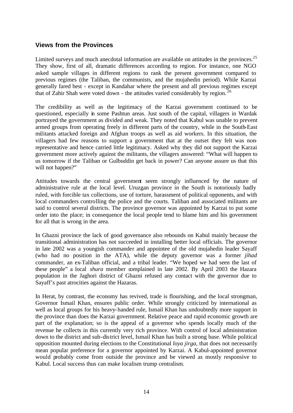### **Views from the Provinces**

Limited surveys and much anecdotal information are available on attitudes in the provinces.<sup>25</sup> They show, first of all, dramatic differences according to region. For instance, one NGO asked sample villages in different regions to rank the present government compared to previous regimes (the Taliban, the communists, and the mujahedin period). While Karzai generally fared best - except in Kandahar where the present and all previous regimes except that of Zahir Shah were voted down - the attitudes varied considerably by region.<sup>26</sup>

The credibility as well as the legitimacy of the Karzai government continued to be questioned, especially in some Pashtun areas. Just south of the capital, villagers in Wardak portrayed the government as divided and weak. They noted that Kabul was unable to prevent armed groups from operating freely in different parts of the country, while in the South-East militants attacked foreign and Afghan troops as well as aid workers. In this situation, the villagers had few reasons to support a government that at the outset they felt was nonrepresentative and hence carried little legitimacy. Asked why they did not support the Karzai government more actively against the militants, the villagers answered: "What will happen to us tomorrow if the Taliban or Gulbuddin get back in power? Can anyone assure us that this will not happen?"

Attitudes towards the central government seem strongly influenced by the nature of administrative rule at the local level. Uruzgan province in the South is notoriously badly ruled, with forcible tax collections, use of torture, harassment of political opponents, and with local commanders controlling the police and the courts. Taliban and associated militants are said to control several districts. The province governor was appointed by Karzai to put some order into the place; in consequence the local people tend to blame him and his government for all that is wrong in the area.

In Ghazni province the lack of good governance also rebounds on Kabul mainly because the transitional administration has not succeeded in installing better local officials. The governor in late 2002 was a youngish commander and appointee of the old mujahedin leader Sayaff (who had no position in the ATA), while the deputy governor was a former *jihad* commander, an ex-Taliban official, and a tribal leader. "We hoped we had seen the last of these people" a local *shura* member complained in late 2002. By April 2003 the Hazara population in the Jaghori district of Ghazni refused any contact with the governor due to Sayaff's past atrocities against the Hazaras.

In Herat, by contrast, the economy has revived, trade is flourishing, and the local strongman, Governor Ismail Khan, ensures public order. While strongly criticized by international as well as local groups for his heavy-handed rule, Ismail Khan has undoubtedly more support in the province than does the Karzai government. Relative peace and rapid economic growth are part of the explanation; so is the appeal of a governor who spends locally much of the revenue he collects in this currently very rich province. With control of local administration down to the district and sub-district level, Ismail Khan has built a strong base. While political opposition mounted during elections to the Constitutional *loya jirga,* that does not necessarily mean popular preference for a governor appointed by Karzai. A Kabul-appointed governor would probably come from outside the province and be viewed as mostly responsive to Kabul. Local success thus can make localism trump centralism.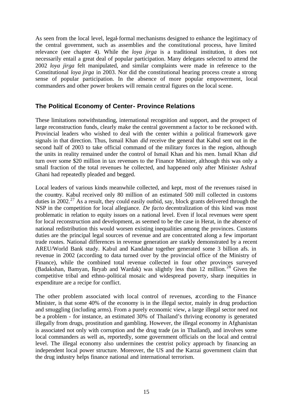As seen from the local level, legal-formal mechanisms designed to enhance the legitimacy of the central government, such as assemblies and the constitutional process, have limited relevance (see chapter 4). While the *loya jirga* is a traditional institution, it does not necessarily entail a great deal of popular participation. Many delegates selected to attend the 2002 *loya jirga* felt manipulated, and similar complaints were made in reference to the Constitutional *loya jirga* in 2003. Nor did the constitutional hearing process create a strong sense of popular participation. In the absence of more popular empowerment, local commanders and other power brokers will remain central figures on the local scene.

### **The Political Economy of Center- Province Relations**

These limitations notwithstanding, international recognition and support, and the prospect of large reconstruction funds, clearly make the central government a factor to be reckoned with. Provincial leaders who wished to deal with the center within a political framework gave signals in that direction. Thus, Ismail Khan *did* receive the general that Kabul sent out in the second half of 2003 to take official command of the military forces in the region, although the units in reality remained under the control of Ismail Khan and his men. Ismail Khan *did* turn over some \$20 million in tax revenues to the Finance Minister, although this was only a small fraction of the total revenues he collected, and happened only after Minister Ashraf Ghani had repeatedly pleaded and begged.

Local leaders of various kinds meanwhile collected, and kept, most of the revenues raised in the country. Kabul received only 80 million of an estimated 500 mill collected in customs duties in  $2002.<sup>27</sup>$  As a result, they could easily outbid, say, block grants delivered through the NSP in the competition for local allegiance. *De facto* decentralization of this kind was most problematic in relation to equity issues on a national level. Even if local revenues were spent for local reconstruction and development, as seemed to be the case in Herat, in the absence of national redistribution this would worsen existing inequalities among the provinces. Customs duties are the principal legal sources of revenue and are concentrated along a few important trade routes. National differences in revenue generation are starkly demonstrated by a recent AREU/World Bank study. Kabul and Kandahar together generated some 3 billion afs. in revenue in 2002 (according to data turned over by the provincial office of the Ministry of Finance), while the combined total revenue collected in four other provinces surveyed (Badakshan, Bamyan, Faryab and Wardak) was slightly less than 12 million.<sup>28</sup> Given the competitive tribal and ethno-political mosaic and widespread poverty, sharp inequities in expenditure are a recipe for conflict.

The other problem associated with local control of revenues, according to the Finance Minister, is that some 40% of the economy is in the illegal sector, mainly in drug production and smuggling (including arms). From a purely economic view, a large illegal sector need not be a problem - for instance, an estimated 30% of Thailand's thriving economy is generated illegally from drugs, prostitution and gambling. However, the illegal economy in Afghanistan is associated not only with corruption and the drug trade (as in Thailand), and involves some local commanders as well as, reportedly, some government officials on the local and central level. The illegal economy also undermines the centrist policy approach by financing an independent local power structure. Moreover, the US and the Karzai government claim that the drug industry helps finance national and international terrorism.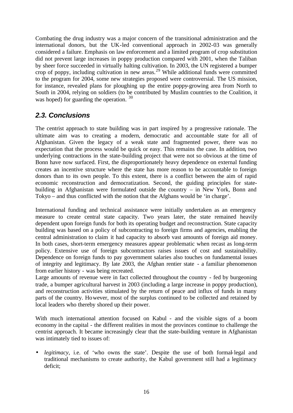Combating the drug industry was a major concern of the transitional administration and the international donors, but the UK-led conventional approach in 2002-03 was generally considered a failure. Emphasis on law enforcement and a limited program of crop substitution did not prevent large increases in poppy production compared with 2001, when the Taliban by sheer force succeeded in virtually halting cultivation. In 2003, the UN registered a bumper crop of poppy, including cultivation in new areas.<sup>29</sup> While additional funds were committed to the program for 2004, some new strategies proposed were controversial. The US mission, for instance, revealed plans for ploughing up the entire poppy-growing area from North to South in 2004, relying on soldiers (to be contributed by Muslim countries to the Coalition, it was hoped) for guarding the operation. <sup>30</sup>

### *2.3. Conclusions*

The centrist approach to state building was in part inspired by a progressive rationale. The ultimate aim was to creating a modern, democratic and accountable state for all of Afghanistan. Given the legacy of a weak state and fragmented power, there was no expectation that the process would be quick or easy. This remains the case. In addition, two underlying contractions in the state-building project that were not so obvious at the time of Bonn have now surfaced. First, the disproportionately heavy dependence on external funding creates an incentive structure where the state has more reason to be accountable to foreign donors than to its own people. To this extent, there is a conflict between the aim of rapid economic reconstruction and democratization. Second, the guiding principles for statebuilding in Afghanistan were formulated outside the country – in New York, Bonn and Tokyo – and thus conflicted with the notion that the Afghans would be 'in charge'.

International funding and technical assistance were initially undertaken as an emergency measure to create central state capacity. Two years later, the state remained heavily dependent upon foreign funds for both its operating budget and reconstruction. State capacity building was based on a policy of subcontracting to foreign firms and agencies, enabling the central administration to claim it had capacity to absorb vast amounts of foreign aid money. In both cases, short-term emergency measures appear problematic when recast as long-term policy. Extensive use of foreign subcontractors raises issues of cost and sustainability. Dependence on foreign funds to pay government salaries also touches on fundamental issues of integrity and legitimacy. By late 2003, the Afghan rentier state - a familiar phenomenon from earlier history - was being recreated.

Large amounts of revenue were in fact collected throughout the country - fed by burgeoning trade, a bumper agricultural harvest in 2003 (including a large increase in poppy production), and reconstruction activities stimulated by the return of peace and influx of funds in many parts of the country. However, most of the surplus continued to be collected and retained by local leaders who thereby shored up their power.

With much international attention focused on Kabul - and the visible signs of a boom economy in the capital - the different realities in most the provinces continue to challenge the centrist approach. It became increasingly clear that the state-building venture in Afghanistan was intimately tied to issues of:

• *legitimacy*, i.e. of 'who owns the state'. Despite the use of both formal-legal and traditional mechanisms to create authority, the Kabul government still had a legitimacy deficit;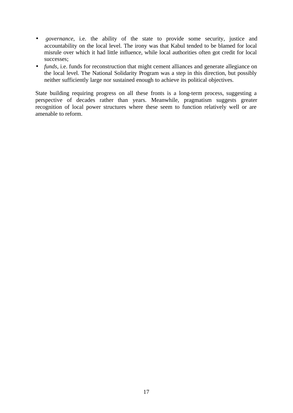- • *governance*, i.e. the ability of the state to provide some security, justice and accountability on the local level. The irony was that Kabul tended to be blamed for local misrule over which it had little influence, while local authorities often got credit for local successes;
- *funds*, i.e. funds for reconstruction that might cement alliances and generate allegiance on the local level. The National Solidarity Program was a step in this direction, but possibly neither sufficiently large nor sustained enough to achieve its political objectives.

State building requiring progress on all these fronts is a long-term process, suggesting a perspective of decades rather than years. Meanwhile, pragmatism suggests greater recognition of local power structures where these seem to function relatively well or are amenable to reform.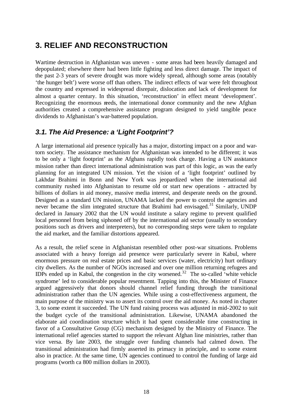# **3. RELIEF AND RECONSTRUCTION**

Wartime destruction in Afghanistan was uneven - some areas had been heavily damaged and depopulated; elsewhere there had been little fighting and less direct damage. The impact of the past 2-3 years of severe drought was more widely spread, although some areas (notably 'the hunger belt') were worse off than others. The indirect effects of war were felt throughout the country and expressed in widespread disrepair, dislocation and lack of development for almost a quarter century. In this situation, 'reconstruction' in effect meant 'development'. Recognizing the enormous reeds, the international donor community and the new Afghan authorities created a comprehensive assistance program designed to yield tangible peace dividends to Afghanistan's war-battered population.

### *3.1. The Aid Presence: a 'Light Footprint'?*

A large international aid presence typically has a major, distorting impact on a poor and wartorn society. The assistance mechanism for Afghanistan was intended to be different; it was to be only a 'light footprint' as the Afghans rapidly took charge. Having a UN assistance mission rather than direct international administration was part of this logic, as was the early planning for an integrated UN mission. Yet the vision of a 'light footprint' outlined by Lakhdar Brahimi in Bonn and New York was jeopardized when the international aid community rushed into Afghanistan to resume old or start new operations - attracted by billions of dollars in aid money, massive media interest, and desperate needs on the ground. Designed as a standard UN mission, UNAMA lacked the power to control the agencies and never became the slim integrated structure that Brahimi had envisaged.<sup>31</sup> Similarly, UNDP declared in January 2002 that the UN would institute a salary regime to prevent qualified local personnel from being siphoned off by the international aid sector (usually to secondary positions such as drivers and interpreters), but no corresponding steps were taken to regulate the aid market, and the familiar distortions appeared.

As a result, the relief scene in Afghanistan resembled other post-war situations. Problems associated with a heavy foreign aid presence were particularly severe in Kabul, where enormous pressure on real estate prices and basic services (water, electricity) hurt ordinary city dwellers. As the number of NGOs increased and over one million returning refugees and IDPs ended up in Kabul, the congestion in the city worsened.<sup>32</sup> The so-called 'white vehicle syndrome' led to considerable popular resentment. Tapping into this, the Minister of Finance argued aggressively that donors should channel relief funding through the transitional administration rather than the UN agencies. While using a cost-effectiveness argument, the main purpose of the ministry was to assert its control over the aid money. As noted in chapter 3, to some extent it succeeded. The UN fund raising process was adjusted in mid-2002 to suit the budget cycle of the transitional administration. Likewise, UNAMA abandoned the elaborate aid coordination structure which it had spent considerable time constructing in favor of a Consultative Group (CG) mechanism designed by the Ministry of Finance. The international relief agencies started to support the relevant Afghan line ministries, rather than vice versa. By late 2003, the struggle over funding channels had calmed down. The transitional administration had firmly asserted its primacy in principle, and to some extent also in practice. At the same time, UN agencies continued to control the funding of large aid programs (worth ca 800 million dollars in 2003).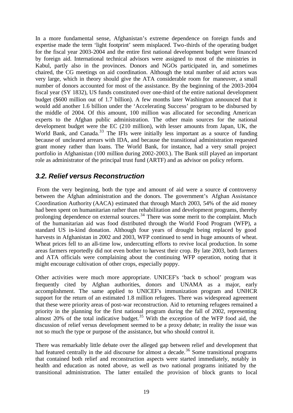In a more fundamental sense, Afghanistan's extreme dependence on foreign funds and expertise made the term 'light footprint' seem misplaced. Two-thirds of the operating budget for the fiscal year 2003-2004 and the entire first national development budget were financed by foreign aid. International technical advisors were assigned to most of the ministries in Kabul, partly also in the provinces. Donors and NGOs participated in, and sometimes chaired, the CG meetings on aid coordination. Although the total number of aid actors was very large, which in theory should give the ATA considerable room for maneuver, a small number of donors accounted for most of the assistance. By the beginning of the 2003-2004 fiscal year (SY 1832), US funds constituted over one-third of the entire national development budget (\$600 million out of 1.7 billion). A few months later Washington announced that it would add another 1.6 billion under the 'Accelerating Success' program to be disbursed by the middle of 2004. Of this amount, 100 million was allocated for seconding American experts to the Afghan public administration. The other main sources for the national development budget were the EC (210 million), with lesser amounts from Japan, UK, the World Bank, and Canada.<sup>33</sup> The IFIs were initially less important as a source of funding because of uncleared arrears with IDA, and because the transitional administration requested grant money rather than loans. The World Bank, for instance, had a very small project portfolio in Afghanistan (100 million during 2002-2003.). The Bank still played an important role as administrator of the principal trust fund (ARTF) and as advisor on policy reform.

### *3.2. Relief versus Reconstruction*

From the very beginning, both the type and amount of aid were a source of controversy between the Afghan administration and the donors. The government's Afghan Assistance Coordination Authority (AACA) estimated that through March 2003, 54% of the aid money had been spent on humanitarian rather than rehabilitation and development programs, thereby prolonging dependence on external sources.<sup>34</sup> There was some merit to the complaint. Much of the humanitarian aid was food distributed through the World Food Program (WFP), a standard US in-kind donation. Although four years of drought being replaced by good harvests in Afghanistan in 2002 and 2003, WFP continued to send in huge amounts of wheat. Wheat prices fell to an all-time low, undercutting efforts to revive local production. In some areas farmers reportedly did not even bother to harvest their crop. By late 2003, both farmers and ATA officials were complaining about the continuing WFP operation, noting that it might encourage cultivation of other crops, especially poppy.

Other activities were much more appropriate. UNICEF's 'back to school' program was frequently cited by Afghan authorities, donors and UNAMA as a major, early accomplishment. The same applied to UNICEF's immunization program and UNHCR support for the return of an estimated 1.8 million refugees. There was widespread agreement that these were priority areas of post-war reconstruction. Aid to returning refugees remained a priority in the planning for the first national program during the fall of 2002, representing almost 20% of the total indicative budget.<sup>35</sup> With the exception of the WFP food aid, the discussion of relief versus development seemed to be a proxy debate; in reality the issue was not so much the type or purpose of the assistance, but who should control it.

There was remarkably little debate over the alleged gap between relief and development that had featured centrally in the aid discourse for almost a decade.<sup>36</sup> Some transitional programs that contained both relief and reconstruction aspects were started immediately, notably in health and education as noted above, as well as two national programs initiated by the transitional administration. The latter entailed the provision of block grants to local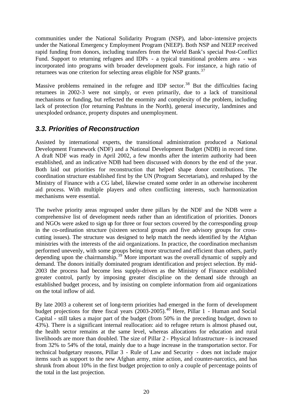communities under the National Solidarity Program (NSP), and labor-intensive projects under the National Emergency Employment Program (NEEP). Both NSP and NEEP received rapid funding from donors, including transfers from the World Bank's special Post-Conflict Fund. Support to returning refugees and IDPs - a typical transitional problem area - was incorporated into programs with broader development goals. For instance, a high ratio of returnees was one criterion for selecting areas eligible for NSP grants.<sup>37</sup>

Massive problems remained in the refugee and IDP sector.<sup>38</sup> But the difficulties facing returnees in 2002-3 were not simply, or even primarily, due to a lack of transitional mechanisms or funding, but reflected the enormity and complexity of the problem, including lack of protection (for returning Pashtuns in the North), general insecurity, landmines and unexploded ordnance, property disputes and unemployment.

### *3.3. Priorities of Reconstruction*

Assisted by international experts, the transitional administration produced a National Development Framework (NDF) and a National Development Budget (NDB) in record time. A draft NDF was ready in April 2002, a few months after the interim authority had been established, and an indicative NDB had been discussed with donors by the end of the year. Both laid out priorities for reconstruction that helped shape donor contributions. The coordination structure established first by the UN (Program Secretariats), and reshaped by the Ministry of Finance with a CG label, likewise created some order in an otherwise incoherent aid process. With multiple players and often conflicting interests, such harmonization mechanisms were essential.

The twelve priority areas regrouped under three pillars by the NDF and the NDB were a comprehensive list of development needs rather than an identification of priorities. Donors and NGOs were asked to sign up for three or four sectors covered by the corresponding group in the co-ordination structure (sixteen sectoral groups and five advisory groups for crosscutting issues). The structure was designed to help match the needs identified by the Afghan ministries with the interests of the aid organizations. In practice, the coordination mechanism performed unevenly, with some groups being more structured and efficient than others, partly depending upon the chairmanship.<sup>39</sup> More important was the overall dynamic of supply and demand. The donors initially dominated program identification and project selection. By mid-2003 the process had become less supply-driven as the Ministry of Finance established greater control, partly by imposing greater discipline on the demand side through an established budget process, and by insisting on complete information from aid organizations on the total inflow of aid.

By late 2003 a coherent set of long-term priorities had emerged in the form of development budget projections for three fiscal years  $(2003-2005)$ .<sup>40</sup> Here, Pillar 1 - Human and Social Capital - still takes a major part of the budget (from 50% in the preceding budget, down to 43%). There is a significant internal reallocation: aid to refugee return is almost phased out, the health sector remains at the same level, whereas allocations for education and rural livelihoods are more than doubled. The size of Pillar 2 - Physical Infrastructure - is increased from 32% to 54% of the total, mainly due to a huge increase in the transportation sector. For technical budgetary reasons, Pillar 3 - Rule of Law and Security - does not include major items such as support to the new Afghan army, mine action, and counter-narcotics, and has shrunk from about 10% in the first budget projection to only a couple of percentage points of the total in the last projection.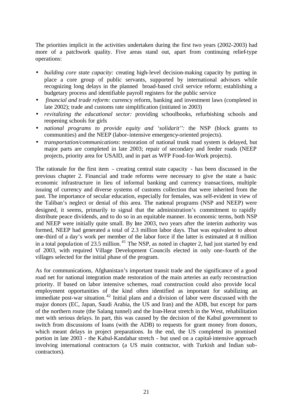The priorities implicit in the activities undertaken during the first two years (2002-2003) had more of a patchwork quality. Five areas stand out, apart from continuing relief-type operations:

- *building core state capacity:* creating high-level decision-making capacity by putting in place a core group of public servants, supported by international advisors while recognizing long delays in the planned broad-based civil service reform; establishing a budgetary process and identifiable payroll registers for the public service
- *financial and trade reform:* currency reform, banking and investment laws (completed in late 2002); trade and customs rate simplification (initiated in 2003)
- *revitalizing the educational sector:* providing schoolbooks, refurbishing schools and reopening schools for girls
- *national programs to provide equity and 'solidarit'':* the NSP (block grants to communities) and the NEEP (labor-intensive emergency-oriented projects).
- *transportation/communications*: restoration of national trunk road system is delayed, but major parts are completed in late 2003; repair of secondary and feeder roads (NEEP projects, priority area for USAID, and in part as WFP Food-for-Work projects).

The rationale for the first item - creating central state capacity - has been discussed in the previous chapter 2. Financial and trade reforms were necessary to give the state a basic economic infrastructure in lieu of informal banking and currency transactions, multiple issuing of currency and diverse systems of customs collection that were inherited from the past. The importance of secular education, especially for females, was self-evident in view of the Taliban's neglect or denial of this area. The national programs (NSP and NEEP) were designed, it seems, primarily to signal that the administration's commitment to rapidly distribute peace dividends, and to do so in an equitable manner. In economic terms, both NSP and NEEP were initially quite small. By late 2003, two years after the interim authority was formed, NEEP had generated a total of 2.3 million labor days. That was equivalent to about one-third of a day's work per member of the labor force if the latter is estimated at 8 million in a total population of  $23.5$  million.<sup>41</sup> The NSP, as noted in chapter 2, had just started by end of 2003, with required Village Development Councils elected in only one-fourth of the villages selected for the initial phase of the program.

As for communications, Afghanistan's important transit trade and the significance of a good road net for national integration made restoration of the main arteries an early reconstruction priority. If based on labor intensive schemes, road construction could also provide local employment opportunities of the kind often identified as important for stabilizing an immediate post-war situation.<sup>42</sup> Initial plans and a division of labor were discussed with the major donors (EC, Japan, Saudi Arabia, the US and Iran) and the ADB, but except for parts of the northern route (the Salang tunnel) and the Iran-Herat stretch in the West, rehabilitation met with serious delays. In part, this was caused by the decision of the Kabul government to switch from discussions of loans (with the ADB) to requests for grant money from donors, which meant delays in project preparations. In the end, the US completed its promised portion in late 2003 - the Kabul-Kandahar stretch - but used on a capital-intensive approach involving international contractors (a US main contractor, with Turkish and Indian subcontractors).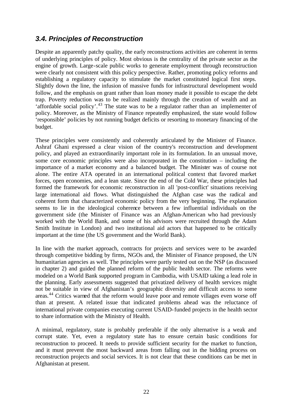### *3.4. Principles of Reconstruction*

Despite an apparently patchy quality, the early reconstructions activities are coherent in terms of underlying principles of policy. Most obvious is the centrality of the private sector as the engine of growth. Large-scale public works to generate employment through reconstruction were clearly not consistent with this policy perspective. Rather, promoting policy reforms and establishing a regulatory capacity to stimulate the market constituted logical first steps. Slightly down the line, the infusion of massive funds for infrastructural development would follow, and the emphasis on grant rather than loan money made it possible to escape the debt trap. Poverty reduction was to be realized mainly through the creation of wealth and an 'affordable social policy'.<sup>43</sup> The state was to be a regulator rather than an implementer of policy. Moreover, as the Ministry of Finance repeatedly emphasized, the state would follow 'responsible' policies by not running budget deficits or resorting to monetary financing of the budget.

These principles were consistently and coherently articulated by the Minister of Finance. Ashraf Ghani expressed a clear vision of the country's reconstruction and development policy, and played an extraordinarily important role in its formulation. In an unusual move, some core economic principles were also incorporated in the constitution – including the importance of a market economy and a balanced budget. The Minister was of course not alone. The entire ATA operated in an international political context that favored market forces, open economies, and a lean state. Since the end of the Cold War, these principles had formed the framework for economic reconstruction in all 'post-conflict' situations receiving large international aid flows. What distinguished the Afghan case was the radical and coherent form that characterized economic policy from the very beginning. The explanation seems to lie in the ideological coherence between a few influential individuals on the government side (the Minister of Finance was an Afghan-American who had previously worked with the World Bank, and some of his advisors were recruited through the Adam Smith Institute in London) and two institutional aid actors that happened to be critically important at the time (the US government and the World Bank).

In line with the market approach, contracts for projects and services were to be awarded through competitive bidding by firms, NGOs and, the Minister of Finance proposed, the UN humanitarian agencies as well. The principles were partly tested out on the NSP (as discussed in chapter 2) and guided the planned reform of the public health sector. The reforms were modeled on a World Bank supported program in Cambodia, with USAID taking a lead role in the planning. Early assessments suggested that privatized delivery of health services might not be suitable in view of Afghanistan's geographic diversity and difficult access to some areas.<sup>44</sup> Critics warned that the reform would leave poor and remote villages even worse off than at present. A related issue that indicated problems ahead was the reluctance of international private companies executing current USAID-funded projects in the health sector to share information with the Ministry of Health.

A minimal, regulatory, state is probably preferable if the only alternative is a weak and corrupt state. Yet, even a regulatory state has to ensure certain basic conditions for reconstruction to proceed. It needs to provide sufficient security for the market to function, and it must prevent the most backward areas from falling out in the bidding process on reconstruction projects and social services. It is not clear that these conditions can be met in Afghanistan at present.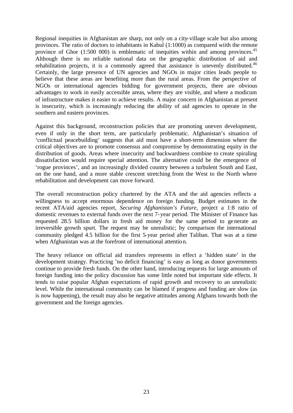Regional inequities in Afghanistan are sharp, not only on a city-village scale but also among provinces. The ratio of doctors to inhabitants in Kabul (1:1000) as compared wiith the remote province of Ghor  $(1:500\ 000)$  is emblematic of inequities within and among provinces.<sup>45</sup> Although there is no reliable national data on the geographic distribution of aid and rehabilitation projects, it is a commonly agreed that assistance is unevenly distributed.<sup>46</sup> Certainly, the large presence of UN agencies and NGOs in major cities leads people to believe that these areas are benefiting more than the rural areas. From the perspective of NGOs or international agencies bidding for government projects, there are obvious advantages to work in easily accessible areas, where they are visible, and where a modicum of infrastructure makes it easier to achieve results. A major concern in Afghanistan at present is insecurity, which is increasingly reducing the ability of aid agencies to operate in the southern and eastern provinces.

Against this background, reconstruction policies that are promoting uneven development, even if only in the short term, are particularly problematic. Afghanistan's situation of 'conflictual peacebuilding' suggests that aid must have a short-term dimension where the critical objectives are to promote consensus and compromise by demonstrating equity in the distribution of goods. Areas where insecurity and backwardness combine to create spiraling dissatisfaction would require special attention. The alternative could be the emergence of 'rogue provinces', and an increasingly divided country between a turbulent South and East, on the one hand, and a more stable crescent stretching from the West to the North where rehabilitation and development can move forward.

The overall reconstruction policy chartered by the ATA and the aid agencies reflects a willingness to accept enormous dependence on foreign funding. Budget estimates in the recent ATA/aid agencies report, *Securing Afghanistan's Future*, project a 1:8 ratio of domestic revenues to external funds over the next 7-year period. The Minister of Finance has requested 28.5 billion dollars in fresh aid money for the same period to generate an irreversible growth spurt. The request may be unrealistic; by comparison the international community pledged 4.5 billion for the first 5-year period after Taliban. That was at a time when Afghanistan was at the forefront of international attention.

The heavy reliance on official aid transfers represents in effect a 'hidden state' in the development strategy. Practicing 'no deficit financing' is easy as long as donor governments continue to provide fresh funds. On the other hand, introducing requests for large amounts of foreign funding into the policy discussion has some little noted but important side effects. It tends to raise popular Afghan expectations of rapid growth and recovery to an unrealistic level. While the international community can be blamed if progress and funding are slow (as is now happening), the result may also be negative attitudes among Afghans towards both the government and the foreign agencies.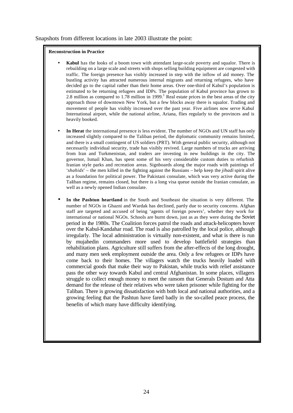### **Reconstruction in Practice**

- **Kabul** has the looks of a boom town with attendant large-scale poverty and squalor. There is rebuilding on a large scale and streets with shops selling building equipment are congested with traffic. The foreign presence has visibly increased in step with the inflow of aid money. The bustling activity has attracted numerous internal migrants and returning refugees, who have decided go to the capital rather than their home areas. Over one-third of Kabul's population is estimated to be returning refugees and IDPs. The population of Kabul province has grown to 2.8 million as compared to  $1.78$  million in 1999.<sup>1</sup> Real estate prices in the best areas of the city approach those of downtown New York, but a few blocks away there is squalor. Trading and movement of people has visibly increased over the past year. Five airlines now serve Kabul International airport, while the national airline, Ariana, flies regularly to the provinces and is heavily booked.
- **In Herat** the international presence is less evident. The number of NGOs and UN staff has only increased slightly compared to the Taliban period, the diplomatic community remains limited, and there is a small contingent of US soldiers (PRT). With general public security, although not necessarily individual security, trade has visibly revived. Large numbers of trucks are arriving from Iran and Turkmenistan, and traders are investing in new buildings in the city. The governor, Ismail Khan, has spent some of his very considerable custom duties to refurbish Iranian style parks and recreation areas. Signboards along the major roads with paintings of '*shahids*' – the men killed in the fighting against the Russians – help keep the *jihadi* spirit alive as a foundation for political power. The Pakistani consulate, which was very active during the Taliban regime, remains closed, but there is a long visa queue outside the Iranian consulate, as well as a newly opened Indian consulate.
- In the Pashtun heartland in the South and Southeast the situation is very different. The number of NGOs in Ghazni and Wardak has declined, partly due to security concerns. Afghan staff are targeted and accused of being 'agents of foreign powers', whether they work for international or national NGOs. Schools are burnt down, just as as they were during the Soviet period in the 1980s. The Coalition forces patrol the roads and attack-helicopters hover over the Kabul-Kandahar road. The road is also patrolled by the local police, although irregularly. The local administration is virtually non-existent, and what is there is run by mujahedin commanders more used to develop battlefield strategies than rehabilitation plans. Agriculture still suffers from the after-effects of the long drought, and many men seek employment outside the area. Only a few refugees or IDPs have come back to their homes. The villagers watch the trucks heavily loaded with commercial goods that make their way to Pakistan, while trucks with relief assistance pass the other way towards Kabul and central Afghanistan. In some places, villagers struggle to collect enough money to meet the ransom that Generals Dostum and Atta demand for the release of their relatives who were taken prisoner while fighting for the Taliban. There is growing dissatisfaction with both local and national authorities, and a growing feeling that the Pashtun have fared badly in the so-called peace process, the benefits of which many have difficulty identifying.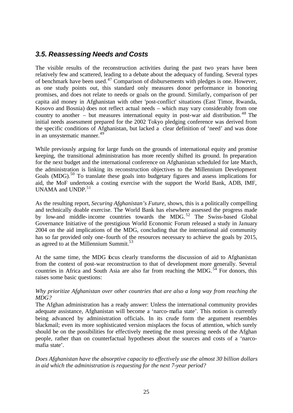### *3.5. Reassessing Needs and Costs*

The visible results of the reconstruction activities during the past two years have been relatively few and scattered, leading to a debate about the adequacy of funding. Several types of benchmark have been used.<sup>47</sup> Comparison of disbursements with pledges is one. However, as one study points out, this standard only measures donor performance in honoring promises, and does not relate to needs or goals on the ground. Similarly, comparison of per capita aid money in Afghanistan with other 'post-conflict' situations (East Timor, Rwanda, Kosovo and Bosnia) does not reflect actual needs – which may vary considerably from one country to another – but measures international equity in post-war aid distribution.<sup>48</sup> The initial needs assessment prepared for the 2002 Tokyo pledging conference was derived from the specific conditions of Afghanistan, but lacked a clear definition of 'need' and was done in an unsystematic manner.<sup>49</sup>

While previously arguing for large funds on the grounds of international equity and promise keeping, the transitional administration has more recently shifted its ground. In preparation for the next budget and the international conference on Afghanistan scheduled for late March, the administration is linking its reconstruction objectives to the Millennium Development Goals (MDG).<sup>50</sup> To translate these goals into budgetary figures and assess implications for aid, the MoF undertook a costing exercise with the support the World Bank, ADB, IMF, UNAMA and UNDP. $51$ 

As the resulting report, *Securing Afghanistan's Future,* shows, this is a politically compelling and technically doable exercise. The World Bank has elsewhere assessed the progress made by low-and middle-income countries towards the MDG.<sup>52</sup> The Swiss-based Global Governance Initiative of the prestigious World Economic Forum released a study in January 2004 on the aid implications of the MDG, concluding that the international aid community has so far provided only one-fourth of the resources necessary to achieve the goals by 2015, as agreed to at the Millennium Summit.<sup>53</sup>

At the same time, the MDG focus clearly transforms the discussion of aid to Afghanistan from the context of post-war reconstruction to that of development more generally. Several countries in Africa and South Asia are also far from reaching the MDG.<sup>54</sup> For donors, this raises some basic questions:

### *Why prioritize Afghanistan over other countries that are also a long way from reaching the MDG?*

The Afghan administration has a ready answer: Unless the international community provides adequate assistance, Afghanistan will become a 'narco-mafia state'. This notion is currently being advanced by administration officials. In its crude form the argument resembles blackmail; even its more sophisticated version misplaces the focus of attention, which surely should be on the possibilities for effectively meeting the most pressing needs of the Afghan people, rather than on counterfactual hypotheses about the sources and costs of a 'narcomafia state'.

*Does Afghanistan have the absorptive capacity to effectively use the almost 30 billion dollars in aid which the administration is requesting for the next 7-year period?*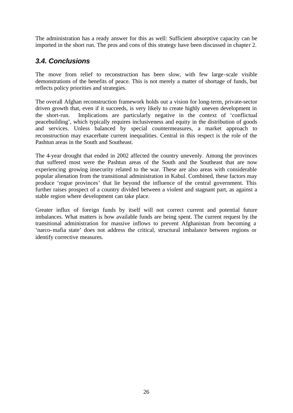The administration has a ready answer for this as well: Sufficient absorptive capacity can be imported in the short run. The pros and cons of this strategy have been discussed in chapter 2.

### *3.4. Conclusions*

The move from relief to reconstruction has been slow, with few large-scale visible demonstrations of the benefits of peace. This is not merely a matter of shortage of funds, but reflects policy priorities and strategies.

The overall Afghan reconstruction framework holds out a vision for long-term, private-sector driven growth that, even if it succeeds, is very likely to create highly uneven development in the short-run. Implications are particularly negative in the context of 'conflictual peacebuilding', which typically requires inclusiveness and equity in the distribution of goods and services. Unless balanced by special countermeasures, a market approach to reconstruction may exacerbate current inequalities. Central in this respect is the role of the Pashtun areas in the South and Southeast.

The 4-year drought that ended in 2002 affected the country unevenly. Among the provinces that suffered most were the Pashtun areas of the South and the Southeast that are now experiencing growing insecurity related to the war. These are also areas with considerable popular alienation from the transitional administration in Kabul. Combined, these factors may produce 'rogue provinces' that lie beyond the influence of the central government. This further raises prospect of a country divided between a violent and stagnant part, as against a stable region where development can take place.

Greater influx of foreign funds by itself will not correct current and potential future imbalances. What matters is how available funds are being spent. The current request by the transitional administration for massive inflows to prevent Afghanistan from becoming a 'narco-mafia state' does not address the critical, structural imbalance between regions or identify corrective measures.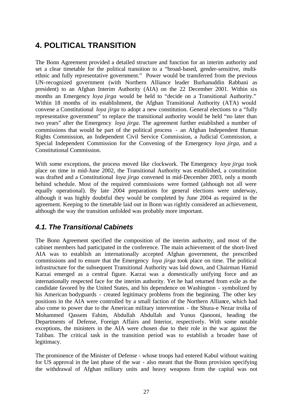# **4. POLITICAL TRANSITION**

The Bonn Agreement provided a detailed structure and function for an interim authority and set a clear timetable for the political transition to a "broad-based, gender-sensitive, multiethnic and fully representative government." Power would be transferred from the previous UN-recognized government (with Northern Alliance leader Burhanuddin Rabbani as president) to an Afghan Interim Authority (AIA) on the 22 December 2001. Within six months an Emergency *loya jirga* would be held to "decide on a Transitional Authority." Within 18 months of its establishment, the Afghan Transitional Authority (ATA) would convene a Constitutional *loya jirga* to adopt a new constitution. General elections to a "fully representative government" to replace the transitional authority would be held "no later than two years" after the Emergency *loya jirga*. The agreement further established a number of commissions that would be part of the political process - an Afghan Independent Human Rights Commission, an Independent Civil Service Commission, a Judicial Commission, a Special Independent Commission for the Convening of the Emergency *loya jirga,* and a Constitutional Commission.

With some exceptions, the process moved like clockwork. The Emergency *loya jirga* took place on time in mid-June 2002, the Transitional Authority was established, a constitution was drafted and a Constitutional *loya jirga* convened in mid-December 2003, only a month behind schedule. Most of the required commissions were formed (although not all were equally operational). By late 2004 preparations for general elections were underway, although it was highly doubtful they would be completed by June 2004 as required in the agreement. Keeping to the timetable laid out in Bonn was rightly considered an achievement, although the way the transition unfolded was probably more important.

## *4.1. The Transitional Cabinets*

The Bonn Agreement specified the composition of the interim authority, and most of the cabinet members had participated in the conference. The main achievement of the short-lived AIA was to establish an internationally accepted Afghan government, the prescribed commissions and to ensure that the Emergency *loya jirga* took place on time. The political infrastructure for the subsequent Transitional Authority was laid down, and Chairman Hamid Karzai emerged as a central figure. Karzai was a domestically unifying force and an internationally respected face for the interim authority. Yet he had returned from exile as the candidate favored by the United States, and his dependence on Washington - symbolized by his American bodyguards - created legitimacy problems from the beginning. The other key positions in the AIA were controlled by a small faction of the Northern Alliance, which had also come to power due to the American military intervention - the Shura-e Nezar troika of Mohammed Qassem Fahim, Abdullah Abdullah and Yunus Qanooni, heading the Departments of Defense, Foreign Affairs and Interior, respectively. With some notable exceptions, the ministers in the AIA were chosen due to their role in the war against the Taliban. The critical task in the transition period was to establish a broader base of legitimacy.

The prominence of the Minister of Defense - whose troops had entered Kabul without waiting for US approval in the last phase of the war - also meant that the Bonn provision specifying the withdrawal of Afghan military units and heavy weapons from the capital was not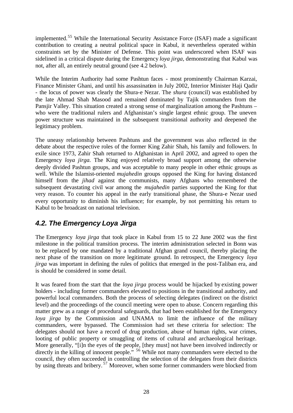implemented.<sup>55</sup> While the International Security Assistance Force (ISAF) made a significant contribution to creating a neutral political space in Kabul, it nevertheless operated within constraints set by the Minister of Defense. This point was underscored when ISAF was sidelined in a critical dispute during the Emergency *loya jirga,* demonstrating that Kabul was not, after all, an entirely neutral ground (see 4.2 below).

While the Interim Authority had some Pashtun faces - most prominently Chairman Karzai, Finance Minister Ghani, and until his assassination in July 2002, Interior Minister Haji Qadir - the locus of power was clearly the Shura-e Nezar. The *shura* (council) was established by the late Ahmad Shah Masood and remained dominated by Tajik commanders from the Pansiir Valley. This situation created a strong sense of marginalization among the Pashtuns – who were the traditional rulers and Afghanistan's single largest ethnic group. The uneven power structure was maintained in the subsequent transitional authority and deepened the legitimacy problem.

The uneasy relationship between Pashtuns and the government was also reflected in the debate about the respective roles of the former King Zahir Shah, his family and followers. In exile since 1973, Zahir Shah returned to Afghanistan in April 2002, and agreed to open the Emergency *loya jirga.* The King enjoyed relatively broad support among the otherwise deeply divided Pashtun groups, and was acceptable to many people in other ethnic groups as well. While the Islamist-oriented *mujahedin* groups opposed the King for having distanced himself from the *jihad* against the communists, many Afghans who remembered the subsequent devastating civil war among the *mujahedin* parties supported the King for that very reason. To counter his appeal in the early transitional phase, the Shura-e Nezar used every opportunity to diminish his influence; for example, by not permitting his return to Kabul to be broadcast on national television.

# *4.2. The Emergency Loya Jirga*

The Emergency *loya jirga* that took place in Kabul from 15 to 22 June 2002 was the first milestone in the political transition process. The interim administration selected in Bonn was to be replaced by one mandated by a traditional Afghan grand council, thereby placing the next phase of the transition on more legitimate ground. In retrospect, the Emergency *loya jirga* was important in defining the rules of politics that emerged in the post-Taliban era, and is should be considered in some detail.

It was feared from the start that the *loya jirga* process would be hijacked by existing power holders - including former commanders elevated to positions in the transitional authority, and powerful local commanders. Both the process of selecting delegates (indirect on the district level) and the proceedings of the council meeting were open to abuse. Concern regarding this matter grew as a range of procedural safeguards, that had been established for the Emergency *loya jirga* by the Commission and UNAMA to limit the influence of the military commanders, were bypassed. The Commission had set these criteria for selection: The delegates should not have a record of drug production, abuse of human rights, war crimes, looting of public property or smuggling of items of cultural and archaeological heritage. More generally, "[i]n the eyes of the people, [they must] not have been involved indirectly or directly in the killing of innocent people." <sup>56</sup> While not many commanders were elected to the council, they often succeeded in controlling the selection of the delegates from their districts by using threats and bribery. <sup>57</sup> Moreover, when some former commanders were blocked from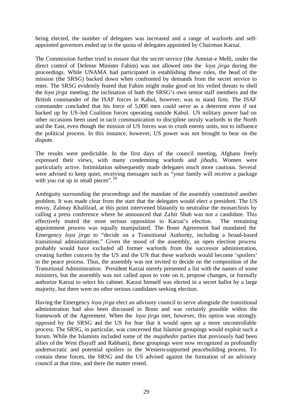being elected, the number of delegates was increased and a range of warlords and selfappointed governors ended up in the quota of delegates appointed by Chairman Karzai.

The Commission further tried to ensure that the secret service (the Amniat-e Melli, under the direct control of Defense Minister Fahim) was not allowed into the *loya jirga* during the proceedings. While UNAMA had participated in establishing these rules, the head of the mission (the SRSG) backed down when confronted by demands from the secret service to enter. The SRSG evidently feared that Fahim might make good on his veiled threats to shell the *loya jirga* meeting*;* the inclination of both the SRSG's own senior staff members and the British commander of the ISAF forces in Kabul, however, was to stand firm. The ISAF commander concluded that his force of 5,000 men could serve as a deterrent even if not backed up by US-led Coalition forces operating outside Kabul. US military power had on other occasions been used in tacit communication to discipline unruly warlords in the North and the East, even though the mission of US forces was to crush enemy units, not to influence the political process. In this instance, however, US power was not brought to bear on the dispute.

The results were predictable. In the first days of the council meeting, Afghans freely expressed their views, with many condemning warlords and *jihadis.* Women were particularly active. Intimidation subsequently made delegates much more cautious. Several were advised to keep quiet, receiving messages such as "your family will receive a package with you cut up in small pieces".<sup>58</sup>

Ambiguity surrounding the proceedings and the mandate of the assembly constituted another problem. It was made clear from the start that the delegates would elect a president. The US envoy, Zalmay Khalilzad, at this point intervened blatantly to neutralise the monarchists by calling a press conference where he announced that Zahir Shah was not a candidate. This effectively muted the most serious opposition to Karzai's election. The remaining appointment process was equally manipulated. The Bonn Agreement had mandated the Emergency *loya jirga* to "decide on a Transitional Authority, including a broad-based transitional administration." Given the mood of the assembly, an open election process probably would have excluded all former warlords from the successor administration, creating further concern by the US and the UN that these warlords would become 'spoilers' in the peace process. Thus, the assembly was not invited to decide on the composition of the Transitional Administration. President Karzai merely presented a list with the names of some ministers, but the assembly was not called upon to vote on it, propose changes, or formally authorize Karzai to select his cabinet. Karzai himself was elected in a secret ballot by a large majority, but there were no other serious candidates seeking election.

Having the Emergency *loya jirga* elect an advisory council to serve alongside the transitional administration had also been discussed in Bonn and was certainly possible within the framework of the Agreement. When the *loya jirga* met, however, this option was strongly opposed by the SRSG and the US for fear that it would open up a more uncontrollable process. The SRSG, in particular, was concerned that Islamist groupings would exploit such a forum. While the Islamists included some of the *mujahedin* parties that previously had been allies of the West (Sayaff and Rabbani), these groupings were now recognized as profoundly undemocratic and potential spoilers in the Western-supported peacebuilding process. To contain these forces, the SRSG and the US advised against the formation of an advisory council at that time, and there the matter rested.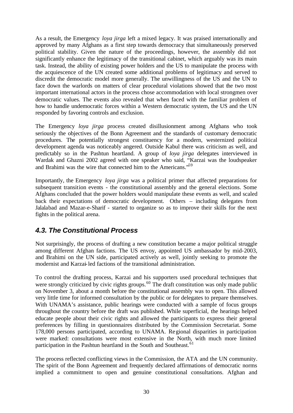As a result, the Emergency *loya jirga* left a mixed legacy. It was praised internationally and approved by many Afghans as a first step towards democracy that simultaneously preserved political stability. Given the nature of the proceedings, however, the assembly did not significantly enhance the legitimacy of the transitional cabinet, which arguably was its main task. Instead, the ability of existing power holders and the US to manipulate the process with the acquiescence of the UN created some additional problems of legitimacy and served to discredit the democratic model more generally. The unwillingness of the US and the UN to face down the warlords on matters of clear procedural violations showed that the two most important international actors in the process chose accommodation with local strongmen over democratic values. The events also revealed that when faced with the familiar problem of how to handle undemocratic forces within a Western democratic system, the US and the UN responded by favoring controls and exclusion.

The Emergency *loya jirga* process created disillusionment among Afghans who took seriously the objectives of the Bonn Agreement and the standards of customary democratic procedures. The potentially strongest constituency for a modern, westernized political development agenda was noticeably angered. Outside Kabul there was criticism as well, and predictably so in the Pashtun heartland. A group of *loya jirga* delegates interviewed in Wardak and Ghazni 2002 agreed with one speaker who said, "Karzai was the loudspeaker and Brahimi was the wire that connected him to the Americans."<sup>59</sup>

Importantly, the Emergency *loya jirga* was a political primer that affected preparations for subsequent transition events - the constitutional assembly and the general elections. Some Afghans concluded that the power holders would manipulate these events as well, and scaled back their expectations of democratic development. Others – including delegates from Jalalabad and Mazar-e-Sharif - started to organize so as to improve their skills for the next fights in the political arena.

## *4.3. The Constitutional Process*

Not surprisingly, the process of drafting a new constitution became a major political struggle among different Afghan factions. The US envoy, appointed US ambassador by mid-2003, and Brahimi on the UN side, participated actively as well, jointly seeking to promote the modernist and Karzai-led factions of the transitional administration.

To control the drafting process, Karzai and his supporters used procedural techniques that were strongly criticized by civic rights groups.<sup>60</sup> The draft constitution was only made public on November 3, about a month before the constitutional assembly was to open. This allowed very little time for informed consultation by the public or for delegates to prepare themselves. With UNAMA's assistance, public hearings were conducted with a sample of focus groups throughout the country before the draft was published. While superficial, the hearings helped educate people about their civic rights and allowed the participants to express their general preferences by filling in questionnaires distributed by the Commission Secretariat. Some 178,000 persons participated, according to UNAMA. Regional disparities in participation were marked: consultations were most extensive in the North, with much more limited participation in the Pashtun heartland in the South and Southeast.<sup>61</sup>

The process reflected conflicting views in the Commission, the ATA and the UN community. The spirit of the Bonn Agreement and frequently declared affirmations of democratic norms implied a commitment to open and genuine constitutional consultations. Afghan and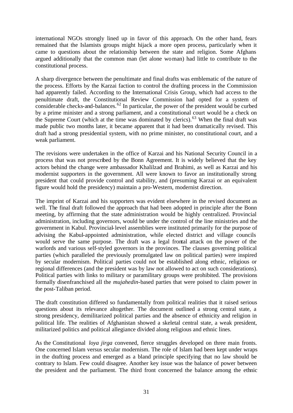international NGOs strongly lined up in favor of this approach. On the other hand, fears remained that the Islamists groups might hijack a more open process, particularly when it came to questions about the relationship between the state and religion. Some Afghans argued additionally that the common man (let alone woman) had little to contribute to the constitutional process.

A sharp divergence between the penultimate and final drafts was emblematic of the nature of the process. Efforts by the Karzai faction to control the drafting process in the Commission had apparently failed. According to the International Crisis Group, which had access to the penultimate draft, the Constitutional Review Commission had opted for a system of considerable checks-and-balances.<sup>62</sup> In particular, the power of the president would be curbed by a prime minister and a strong parliament, and a constitutional court would be a check on the Supreme Court (which at the time was dominated by clerics).<sup>63</sup> When the final draft was made public two months later, it became apparent that it had been dramatically revised. This draft had a strong presidential system, with no prime minister, no constitutional court, and a weak parliament.

The revisions were undertaken in the office of Karzai and his National Security Council in a process that was not prescribed by the Bonn Agreement. It is widely believed that the key actors behind the change were ambassador Khalilzad and Brahimi, as well as Karzai and his modernist supporters in the government. All were known to favor an institutionally strong president that could provide control and stability, and (presuming Karzai or an equivalent figure would hold the presidency) maintain a pro-Western, modernist direction.

The imprint of Karzai and his supporters was evident elsewhere in the revised document as well. The final draft followed the approach that had been adopted in principle after the Bonn meeting, by affirming that the state administration would be highly centralized. Provincial administration, including governors, would be under the control of the line ministries and the government in Kabul. Provincial-level assemblies were instituted primarily for the purpose of advising the Kabul-appointed administration, while elected district and village councils would serve the same purpose. The draft was a legal frontal attack on the power of the warlords and various self-styled governors in the provinces. The clauses governing political parties (which paralleled the previously promulgated law on political parties) were inspired by secular modernism. Political parties could not be established along ethnic, religious or regional differences (and the president was by law not allowed to act on such considerations). Political parties with links to military or paramilitary groups were prohibited. The provisions formally disenfranchised all the *mujahedin*-based parties that were poised to claim power in the post-Taliban period.

The draft constitution differed so fundamentally from political realities that it raised serious questions about its relevance altogether. The document outlined a strong central state, a strong presidency, demilitarized political parties and the absence of ethnicity and religion in political life. The realities of Afghanistan showed a skeletal central state, a weak president, militarized politics and political allegiance divided along religious and ethnic lines.

As the Constitutional *loya jirga* convened, fierce struggles developed on three main fronts. One concerned Islam versus secular modernism. The role of Islam had been kept under wraps in the drafting process and emerged as a bland principle specifying that no law should be contrary to Islam. Few could disagree. Another key issue was the balance of power between the president and the parliament. The third front concerned the balance among the ethnic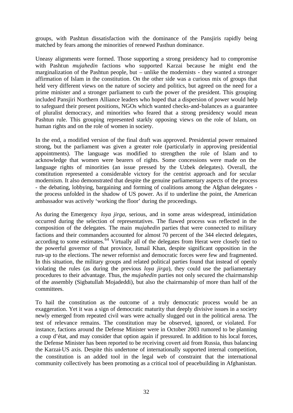groups, with Pashtun dissatisfaction with the dominance of the Pansjiris rapidly being matched by fears among the minorities of renewed Pasthun dominance.

Uneasy alignments were formed. Those supporting a strong presidency had to compromise with Pashtun *mujahedin* factions who supported Karzai because he might end the marginalization of the Pashtun people, but – unlike the modernists - they wanted a stronger affirmation of Islam in the constitution. On the other side was a curious mix of groups that held very different views on the nature of society and politics, but agreed on the need for a prime minister and a stronger parliament to curb the power of the president. This grouping included Pansjiri Northern Alliance leaders who hoped that a dispersion of power would help to safeguard their present positions, NGOs which wanted checks-and-balances as a guarantee of pluralist democracy, and minorities who feared that a strong presidency would mean Pashtun rule. This grouping represented starkly opposing views on the role of Islam, on human rights and on the role of women in society.

In the end, a modified version of the final draft was approved. Presidential power remained strong, but the parliament was given a greater role (particularly in approving presidential appointments). The language was modified to strengthen the role of Islam and to acknowledge that women were bearers of rights. Some concessions were made on the language rights of minorities (an issue pressed by the Uzbek delegates). Overall, the constitution represented a considerable victory for the centrist approach and for secular modernism. It also demonstrated that despite the genuine parliamentary aspects of the process - the debating, lobbying, bargaining and forming of coalitions among the Afghan delegates the process unfolded in the shadow of US power. As if to underline the point, the American ambassador was actively 'working the floor' during the proceedings.

As during the Emergency *loya jirga*, serious, and in some areas widespread, intimidation occurred during the selection of representatives. The flawed process was reflected in the composition of the delegates. The main *mujahedin* parties that were connected to military factions and their commanders accounted for almost 70 percent of the 344 elected delegates, according to some estimates.<sup>64</sup> Virtually all of the delegates from Herat were closely tied to the powerful governor of that province, Ismail Khan, despite significant opposition in the run-up to the elections. The newer reformist and democratic forces were few and fragmented. In this situation, the military groups and related political parties found that instead of openly violating the rules (as during the previous *loya jirga*), they could use the parliamentary procedures to their advantage. Thus, the *mujahedin* parties not only secured the chairmanship of the assembly (Sigbatullah Mojadeddi), but also the chairmanship of more than half of the committees.

To hail the constitution as the outcome of a truly democratic process would be an exaggeration. Yet it was a sign of democratic maturity that deeply divisive issues in a society newly emerged from repeated civil wars were actually slugged out in the political arena. The test of relevance remains. The constitution may be observed, ignored, or violated. For instance, factions around the Defense Minister were in October 2003 rumored to be planning a coup d'état, and may consider that option again if pressured. In addition to his local forces, the Defense Minister has been reported to be receiving covert aid from Russia, thus balancing the Karzai-US axis. Despite this undertone of internationally supported internal competition, the constitution is an added tool in the legal web of constraint that the international community collectively has been promoting as a critical tool of peacebuilding in Afghanistan.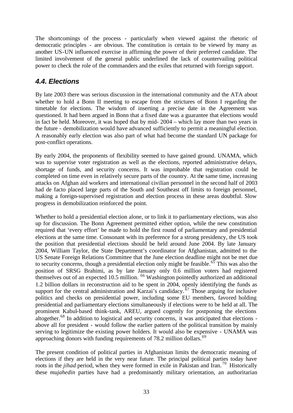The shortcomings of the process - particularly when viewed against the rhetoric of democratic principles - are obvious. The constitution is certain to be viewed by many as another US-UN influenced exercise in affirming the power of their preferred candidate. The limited involvement of the general public underlined the lack of countervailing political power to check the role of the commanders and the exiles that returned with foreign support.

## *4.4. Elections*

By late 2003 there was serious discussion in the international community and the ATA about whether to hold a Bonn II meeting to escape from the strictures of Bonn I regarding the timetable for elections. The wisdom of inserting a precise date in the Agreement was questioned. It had been argued in Bonn that a fixed date was a guarantee that elections would in fact be held. Moreover, it was hoped that by mid- 2004 – which lay more than two years in the future - demobilization would have advanced sufficiently to permit a meaningful election. A reasonably early election was also part of what had become the standard UN package for post-conflict operations.

By early 2004, the proponents of flexibility seemed to have gained ground. UNAMA, which was to supervise voter registration as well as the elections, reported administrative delays, shortage of funds, and security concerns. It was improbable that registration could be completed on time even in relatively secure parts of the country. At the same time, increasing attacks on Afghan aid workers and international civilian personnel in the second half of 2003 had de facto placed large parts of the South and Southeast off limits to foreign personnel, making a foreign-supervised registration and election process in these areas doubtful. Slow progress in demobilization reinforced the point.

Whether to hold a presidential election alone, or to link it to parliamentary elections, was also up for discussion. The Bonn Agreement permitted either option, while the new constitution required that 'every effort' be made to hold the first round of parliamentary and presidential elections at the same time. Consonant with its preference for a strong presidency, the US took the position that presidential elections should be held around June 2004. By late January 2004, William Taylor, the State Department's coordinator for Afghanistan, admitted to the US Senate Foreign Relations Committee that the June election deadline might not be met due to security concerns, though a presidential election only might be feasible.<sup>65</sup> This was also the position of SRSG Brahimi, as by late January only 0.6 million voters had registered themselves out of an expected 10.5 million. <sup>66</sup> Washington pointedly authorized an additional 1.2 billion dollars in reconstruction aid to be spent in 2004, openly identifying the funds as support for the central administration and Karzai's candidacy.  $67$  Those arguing for inclusive politics and checks on presidential power, including some EU members, favored holding presidential and parliamentary elections simultaneously if elections were to be held at all. The prominent Kabul-based think-tank, AREU, argued cogently for postponing the elections altogether.<sup>68</sup> In addition to logistical and security concerns, it was anticipated that elections above all for president - would follow the earlier pattern of the political transition by mainly serving to legitimize the existing power holders. It would also be expensive - UNAMA was approaching donors with funding requirements of  $78.2$  million dollars.<sup>69</sup>

The present condition of political parties in Afghanistan limits the democratic meaning of elections if they are held in the very near future. The principal political parties today have roots in the *jihad* period, when they were formed in exile in Pakistan and Iran.<sup>70</sup> Historically these *mujahedin* parties have had a predominantly military orientation, an authoritarian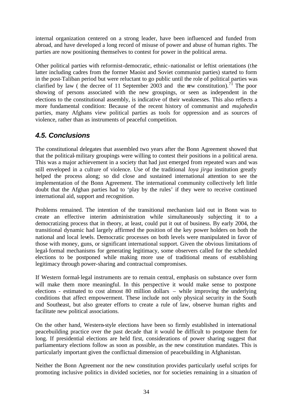internal organization centered on a strong leader, have been influenced and funded from abroad, and have developed a long record of misuse of power and abuse of human rights. The parties are now positioning themselves to contest for power in the political arena.

Other political parties with reformist-democratic, ethnic-nationalist or leftist orientations (the latter including cadres from the former Maoist and Soviet communist parties) started to form in the post-Taliban period but were reluctant to go public until the role of political parties was clarified by law ( the decree of 11 September 2003 and the new constitution).<sup>71</sup> The poor showing of persons associated with the new groupings, or seen as independent in the elections to the constitutional assembly, is indicative of their weaknesses. This also reflects a more fundamental condition: Because of the recent history of communist and *mujahedin* parties, many Afghans view political parties as tools for oppression and as sources of violence, rather than as instruments of peaceful competition.

## *4.5. Conclusions*

The constitutional delegates that assembled two years after the Bonn Agreement showed that that the political-military groupings were willing to contest their positions in a political arena. This was a major achievement in a society that had just emerged from repeated wars and was still enveloped in a culture of violence. Use of the traditional *loya jirga* institution greatly helped the process along; so did close and sustained international attention to see the implementation of the Bonn Agreement. The international community collectively left little doubt that the Afghan parties had to 'play by the rules' if they were to receive continued international aid, support and recognition.

Problems remained. The intention of the transitional mechanism laid out in Bonn was to create an effective interim administration while simultaneously subjecting it to a democratizing process that in theory, at least, could put it out of business. By early 2004, the transitional dynamic had largely affirmed the position of the key power holders on both the national and local levels. Democratic processes on both levels were manipulated in favor of those with money, guns, or significant international support. Given the obvious limitations of legal-formal mechanisms for generating legitimacy, some observers called for the scheduled elections to be postponed while making more use of traditional means of establishing legitimacy through power-sharing and contractual compromises.

If Western formal-legal instruments are to remain central, emphasis on substance over form will make them more meaningful. In this perspective it would make sense to postpone elections - estimated to cost almost 80 million dollars – while improving the underlying conditions that affect empowerment. These include not only physical security in the South and Southeast, but also greater efforts to create a rule of law, observe human rights and facilitate new political associations.

On the other hand, Western-style elections have been so firmly established in international peacebuilding practice over the past decade that it would be difficult to postpone them for long. If presidential elections are held first, considerations of power sharing suggest that parliamentary elections follow as soon as possible, as the new constitution mandates. This is particularly important given the conflictual dimension of peacebuilding in Afghanistan.

Neither the Bonn Agreement nor the new constitution provides particularly useful scripts for promoting inclusive politics in divided societies, nor for societies remaining in a situation of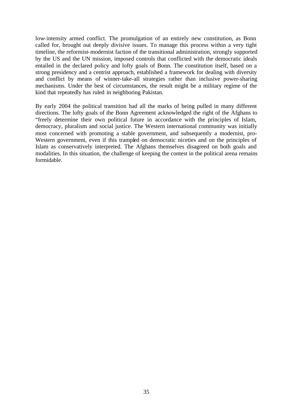low-intensity armed conflict. The promulgation of an entirely new constitution, as Bonn called for, brought out deeply divisive issues. To manage this process within a very tight timeline, the reformist-modernist faction of the transitional administration, strongly supported by the US and the UN mission, imposed controls that conflicted with the democratic ideals entailed in the declared policy and lofty goals of Bonn. The constitution itself, based on a strong presidency and a centrist approach, established a framework for dealing with diversity and conflict by means of winner-take-all strategies rather than inclusive power-sharing mechanisms. Under the best of circumstances, the result might be a military regime of the kind that repeatedly has ruled in neighboring Pakistan.

By early 2004 the political transition had all the marks of being pulled in many different directions. The lofty goals of the Bonn Agreement acknowledged the right of the Afghans to "freely determine their own political future in accordance with the principles of Islam, democracy, pluralism and social justice. The Western international community was initially most concerned with promoting a stable government, and subsequently a modernist, pro-Western government, even if this trampled on democratic niceties and on the principles of Islam as conservatively interpreted. The Afghans themselves disagreed on both goals and modalities. In this situation, the challenge of keeping the contest in the political arena remains formidable.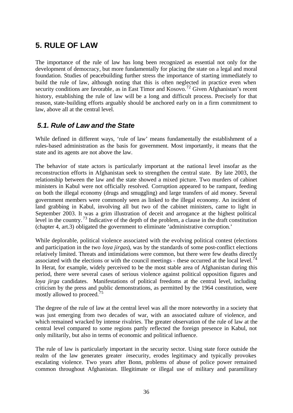# **5. RULE OF LAW**

The importance of the rule of law has long been recognized as essential not only for the development of democracy, but more fundamentally for placing the state on a legal and moral foundation. Studies of peacebuilding further stress the importance of starting immediately to build the rule of law, although noting that this is often neglected in practice even when security conditions are favorable, as in East Timor and Kosovo.<sup>72</sup> Given Afghanistan's recent history, establishing the rule of law will be a long and difficult process. Precisely for that reason, state-building efforts arguably should be anchored early on in a firm commitment to law, above all at the central level.

### *5.1. Rule of Law and the State*

While defined in different ways, 'rule of law' means fundamentally the establishment of a rules-based administration as the basis for government. Most importantly, it means that the state and its agents are not above the law.

The behavior of state actors is particularly important at the national level insofar as the reconstruction efforts in Afghanistan seek to strengthen the central state. By late 2003, the relationship between the law and the state showed a mixed picture. Two murders of cabinet ministers in Kabul were not officially resolved. Corruption appeared to be rampant, feeding on both the illegal economy (drugs and smuggling) and large transfers of aid money. Several government members were commonly seen as linked to the illegal economy. An incident of land grabbing in Kabul, involving all but two of the cabinet ministers, came to light in September 2003. It was a grim illustration of deceit and arrogance at the highest political level in the country. <sup>73</sup> Indicative of the depth of the problem, a clause in the draft constitution (chapter 4, art.3) obligated the government to eliminate 'administrative corruption.'

While deplorable, political violence associated with the evolving political contest (elections and participation in the two *loya jirgas*), was by the standards of some post-conflict elections relatively limited. Threats and intimidations were common, but there were few deaths directly associated with the elections or with the council meetings - these occurred at the local level.<sup> $74$ </sup> In Herat, for example, widely perceived to be the most stable area of Afghanistan during this period, there were several cases of serious violence against political opposition figures and *loya jirga* candidates. Manifestations of political freedoms at the central level, including criticism by the press and public demonstrations, as permitted by the 1964 constitution, were mostly allowed to proceed.<sup>75</sup>

The degree of the rule of law at the central level was all the more noteworthy in a society that was just emerging from two decades of war, with an associated culture of violence, and which remained wracked by intense rivalries. The greater observation of the rule of law at the central level compared to some regions partly reflected the foreign presence in Kabul, not only militarily, but also in terms of economic and political influence.

The rule of law is particularly important in the security sector. Using state force outside the realm of the law generates greater *in*security, erodes legitimacy and typically provokes escalating violence. Two years after Bonn, problems of abuse of police power remained common throughout Afghanistan. Illegitimate or illegal use of military and paramilitary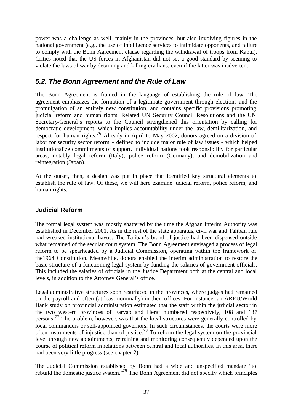power was a challenge as well, mainly in the provinces, but also involving figures in the national government (e.g., the use of intelligence services to intimidate opponents, and failure to comply with the Bonn Agreement clause regarding the withdrawal of troops from Kabul). Critics noted that the US forces in Afghanistan did not set a good standard by seeming to violate the laws of war by detaining and killing civilians, even if the latter was inadvertent.

## *5.2. The Bonn Agreement and the Rule of Law*

The Bonn Agreement is framed in the language of establishing the rule of law. The agreement emphasizes the formation of a legitimate government through elections and the promulgation of an entirely new constitution, and contains specific provisions promoting judicial reform and human rights. Related UN Security Council Resolutions and the UN Secretary-General's reports to the Council strengthened this orientation by calling for democratic development, which implies accountability under the law, demilitarization, and respect for human rights.<sup>76</sup> Already in April to May 2002, donors agreed on a division of labor for security sector reform - defined to include major rule of law issues - which helped institutionalize commitments of support. Individual nations took responsibility for particular areas, notably legal reform (Italy), police reform (Germany), and demobilization and reintegration (Japan).

At the outset, then, a design was put in place that identified key structural elements to establish the rule of law. Of these, we will here examine judicial reform, police reform, and human rights.

### **Judicial Reform**

The formal legal system was mostly shattered by the time the Afghan Interim Authority was established in December 2001. As in the rest of the state apparatus, civil war and Taliban rule had wreaked institutional havoc. The Taliban's brand of justice had been dispensed outside what remained of the secular court system. The Bonn Agreement envisaged a process of legal reform to be spearheaded by a Judicial Commission, operating within the framework of the1964 Constitution. Meanwhile, donors enabled the interim administration to restore the basic structure of a functioning legal system by funding the salaries of government officials. This included the salaries of officials in the Justice Department both at the central and local levels, in addition to the Attorney General's office.

Legal administrative structures soon resurfaced in the provinces, where judges had remained on the payroll and often (at least nominally) in their offices. For instance, an AREU/World Bank study on provincial administration estimated that the staff within the judicial sector in the two western provinces of Faryab and Herat numbered respectively, 108 and 137 persons.<sup>77</sup> The problem, however, was that the local structures were generally controlled by local commanders or self-appointed governors. In such circumstances, the courts were more often instruments of injustice than of justice.<sup>78</sup> To reform the legal system on the provincial level through new appointments, retraining and monitoring consequently depended upon the course of political reform in relations between central and local authorities. In this area, there had been very little progress (see chapter 2).

The Judicial Commission established by Bonn had a wide and unspecified mandate "to rebuild the domestic justice system."<sup>79</sup> The Bonn Agreement did not specify which principles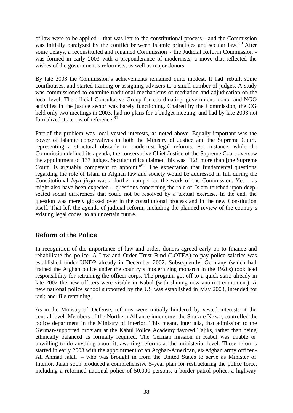of law were to be applied - that was left to the constitutional process - and the Commission was initially paralyzed by the conflict between Islamic principles and secular law. <sup>80</sup> After some delays, a reconstituted and renamed Commission - the Judicial Reform Commission was formed in early 2003 with a preponderance of modernists, a move that reflected the wishes of the government's reformists, as well as major donors.

By late 2003 the Commission's achievements remained quite modest. It had rebuilt some courthouses, and started training or assigning advisers to a small number of judges. A study was commissioned to examine traditional mechanisms of mediation and adjudication on the local level. The official Consultative Group for coordinating government, donor and NGO activities in the justice sector was barely functioning. Chaired by the Commission, the CG held only two meetings in 2003, had no plans for a budget meeting, and had by late 2003 not formalized its terms of reference.<sup>81</sup>

Part of the problem was local vested interests, as noted above. Equally important was the power of Islamic conservatives in both the Ministry of Justice and the Supreme Court, representing a structural obstacle to modernist legal reforms. For instance, while the Commission defined its agenda, the conservative Chief Justice of the Supreme Court oversaw the appointment of 137 judges. Secular critics claimed this was "128 more than [the Supreme Court] is arguably competent to appoint.<sup>82</sup> The expectation that fundamental questions regarding the role of Islam in Afghan law and society would be addressed in full during the Constitutional *loya jirga* was a further damper on the work of the Commission. Yet - as might also have been expected – questions concerning the role of Islam touched upon deepseated social differences that could not be resolved by a textual exercise. In the end, the question was merely glossed over in the constitutional process and in the new Constitution itself. That left the agenda of judicial reform, including the planned review of the country's existing legal codes, to an uncertain future.

#### **Reform of the Police**

In recognition of the importance of law and order, donors agreed early on to finance and rehabilitate the police. A Law and Order Trust Fund (LOTFA) to pay police salaries was established under UNDP already in December 2002. Subsequently, Germany (which had trained the Afghan police under the country's modernizing monarch in the 1920s) took lead responsibility for retraining the officer corps. The program got off to a quick start; already in late 2002 the new officers were visible in Kabul (with shining new anti-riot equipment). A new national police school supported by the US was established in May 2003, intended for rank-and-file retraining.

As in the Ministry of Defense, reforms were initially hindered by vested interests at the central level. Members of the Northern Alliance inner core, the Shura-e Nezar, controlled the police department in the Ministry of Interior. This meant, inter alia, that admission to the German-supported program at the Kabul Police Academy favored Tajiks, rather than being ethnically balanced as formally required. The German mission in Kabul was unable or unwilling to do anything about it, awaiting reforms at the ministerial level. These reforms started in early 2003 with the appointment of an Afghan-American, ex-Afghan army officer - Ali Ahmad Jalali – who was brought in from the United States to serve as Minister of Interior. Jalali soon produced a comprehensive 5-year plan for restructuring the police force, including a reformed national police of 50,000 persons, a border patrol police, a highway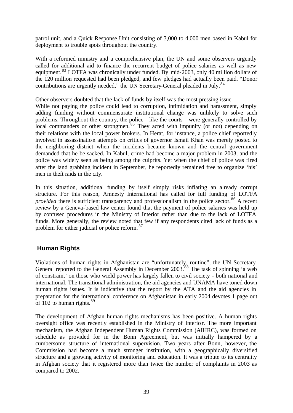patrol unit, and a Quick Response Unit consisting of 3,000 to 4,000 men based in Kabul for deployment to trouble spots throughout the country.

With a reformed ministry and a comprehensive plan, the UN and some observers urgently called for additional aid to finance the recurrent budget of police salaries as well as new equipment.<sup>83</sup> LOTFA was chronically under funded. By mid-2003, only 40 million dollars of the 120 million requested had been pledged, and few pledges had actually been paid. "Donor contributions are urgently needed," the UN Secretary-General pleaded in July.<sup>84</sup>

Other observers doubted that the lack of funds by itself was the most pressing issue.

While not paying the police could lead to corruption, intimidation and harassment, simply adding funding without commensurate institutional change was unlikely to solve such problems. Throughout the country, the police - like the courts - were generally controlled by local commanders or other strongmen.<sup>85</sup> They acted with impunity (or not) depending on their relations with the local power brokers. In Herat, for instance, a police chief reportedly involved in assassination attempts on critics of governor Ismail Khan was merely posted to the neighboring district when the incidents became known and the central government demanded that he be sacked. In Kabul, crime had become a major problem in 2003, and the police was widely seen as being among the culprits. Yet when the chief of police was fired after the land grabbing incident in September, he reportedly remained free to organize 'his' men in theft raids in the city.

In this situation, additional funding by itself simply risks inflating an already corrupt structure. For this reason, Amnesty International has called for full funding of LOTFA *provided* there is sufficient transparency and professionalism in the police sector.<sup>86</sup> A recent review by a Geneva-based law center found that the payment of police salaries was held up by confused procedures in the Ministry of Interior rather than due to the lack of LOTFA funds. More generally, the review noted that few if any respondents cited lack of funds as a problem for either judicial or police reform.<sup>87</sup>

#### **Human Rights**

Violations of human rights in Afghanistan are "unfortunately, routine", the UN Secretary-General reported to the General Assembly in December 2003.<sup>88</sup> The task of spinning 'a web of constraint' on those who wield power has largely fallen to civil society - both national and international. The transitional administration, the aid agencies and UNAMA have toned down human rights issues. It is indicative that the report by the ATA and the aid agencies in preparation for the international conference on Afghanistan in early 2004 devotes 1 page out of 102 to human rights. $89$ 

The development of Afghan human rights mechanisms has been positive. A human rights oversight office was recently established in the Ministry of Interior. The more important mechanism, the Afghan Independent Human Rights Commission (AIHRC), was formed on schedule as provided for in the Bonn Agreement, but was initially hampered by a cumbersome structure of international supervision. Two years after Bonn, however, the Commission had become a much stronger institution, with a geographically diversified structure and a growing activity of monitoring and education. It was a tribute to its centrality in Afghan society that it registered more than twice the number of complaints in 2003 as compared to 2002.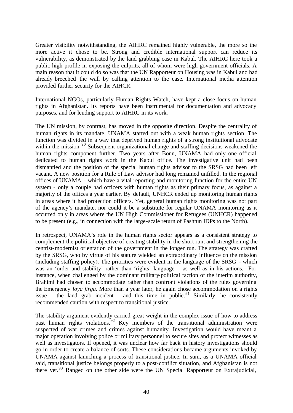Greater visibility notwithstanding, the AIHRC remained highly vulnerable, the more so the more active it chose to be. Strong and credible international support can reduce its vulnerability, as demonstrated by the land grabbing case in Kabul. The AIHRC here took a public high profile in exposing the culprits, all of whom were high government officials. A main reason that it could do so was that the UN Rapporteur on Housing was in Kabul and had already breeched the wall by calling attention to the case. International media attention provided further security for the AIHCR.

International NGOs, particularly Human Rights Watch, have kept a close focus on human rights in Afghanistan. Its reports have been instrumental for documentation and advocacy purposes, and for lending support to AIHRC in its work.

The UN mission, by contrast, has moved in the opposite direction. Despite the centrality of human rights in its mandate, UNAMA started out with a weak human rights section. The function was divided in a way that deprived human rights of a strong institutional advocate within the mission.<sup>90</sup> Subsequent organizational change and staffing decisions weakened the human rights component further. Two years after Bonn, UNAMA had only one official dedicated to human rights work in the Kabul office. The investigative unit had been dismantled and the position of the special human rights advisor to the SRSG had been left vacant. A new position for a Rule of Law advisor had long remained unfilled. In the regional offices of UNAMA - which have a vital reporting and monitoring function for the entire UN system - only a couple had officers with human rights as their primary focus, as against a majority of the offices a year earlier. By default, UNHCR ended up monitoring human rights in areas where it had protection officers. Yet, general human rights monitoring was not part of the agency's mandate, nor could it be a substitute for regular UNAMA monitoring as it occurred only in areas where the UN High Commissioner for Refugees (UNHCR) happened to be present (e.g., in connection with the large-scale return of Pashtun IDPs to the North).

In retrospect, UNAMA's role in the human rights sector appears as a consistent strategy to complement the political objective of creating stability in the short run, and strengthening the centrist-modernist orientation of the government in the longer run. The strategy was crafted by the SRSG, who by virtue of his stature wielded an extraordinary influence on the mission (including staffing policy). The priorities were evident in the language of the SRSG - which was an 'order and stability' rather than 'rights' language - as well as in his actions. For instance, when challenged by the dominant military-political faction of the interim authority, Brahimi had chosen to accommodate rather than confront violations of the rules governing the Emergency *loya jirga*. More than a year later, he again chose accommodation on a rights issue - the land grab incident - and this time in public.<sup>91</sup> Similarly, he consistently recommended caution with respect to transitional justice.

The stability argument evidently carried great weight in the complex issue of how to address past human rights violations.<sup>92</sup> Key members of the transitional administration were suspected of war crimes and crimes against humanity. Investigation would have meant a major operation involving police or military personnel to secure sites and protect witnesses as well as investigators. If opened, it was unclear how far back in history investigations should go in order to create a balance of sorts. These considerations became arguments invoked by UNAMA against launching a process of transitional justice. In sum, as a UNAMA official said, transitional justice belongs properly to a post-conflict situation, and Afghanistan is not there yet.<sup>93</sup> Ranged on the other side were the UN Special Rapporteur on Extrajudicial,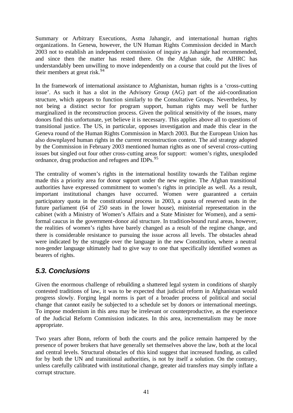Summary or Arbitrary Executions, Asma Jahangir, and international human rights organizations. In Geneva, however, the UN Human Rights Commission decided in March 2003 not to establish an independent commission of inquiry as Jahangir had recommended, and since then the matter has rested there. On the Afghan side, the AIHRC has understandably been unwilling to move independently on a course that could put the lives of their members at great risk.<sup>94</sup>

In the framework of international assistance to Afghanistan, human rights is a 'cross-cutting issue'. As such it has a slot in the Advisory Group (AG) part of the aid-coordination structure, which appears to function similarly to the Consultative Groups. Nevertheless, by not being a distinct sector for program support, human rights may well be further marginalized in the reconstruction process. Given the political sensitivity of the issues, many donors find this unfortunate, yet believe it is necessary. This applies above all to questions of transitional justice. The US, in particular, opposes investigation and made this clear in the Geneva round of the Human Rights Commission in March 2003. But the European Union has also downplayed human rights in the current reconstruction context. The aid strategy adopted by the Commission in February 2003 mentioned human rights as one of several cross-cutting issues but singled out four other cross-cutting areas for support: women's rights, unexploded ordnance, drug production and refugees and IDPs.<sup>95</sup>

The centrality of women's rights in the international hostility towards the Taliban regime made this a priority area for donor support under the new regime. The Afghan transitional authorities have expressed commitment to women's rights in principle as well. As a result, important institutional changes have occurred. Women were guaranteed a certain participatory quota in the constitutional process in 2003, a quota of reserved seats in the future parliament (64 of 250 seats in the lower house), ministerial representation in the cabinet (with a Ministry of Women's Affairs and a State Minister for Women), and a semiformal caucus in the government-donor aid structure. In tradition-bound rural areas, however, the realities of women's rights have barely changed as a result of the regime change, and there is considerable resistance to pursuing the issue across all levels. The obstacles ahead were indicated by the struggle over the language in the new Constitution, where a neutral non-gender language ultimately had to give way to one that specifically identified women as bearers of rights.

## *5.3. Conclusions*

Given the enormous challenge of rebuilding a shattered legal system in conditions of sharply contested traditions of law, it was to be expected that judicial reform in Afghanistan would progress slowly. Forging legal norms is part of a broader process of political and social change that cannot easily be subjected to a schedule set by donors or international meetings. To impose modernism in this area may be irrelevant or counterproductive, as the experience of the Judicial Reform Commission indicates. In this area, incrementalism may be more appropriate.

Two years after Bonn, reform of both the courts and the police remain hampered by the presence of power brokers that have generally set themselves above the law, both at the local and central levels. Structural obstacles of this kind suggest that increased funding, as called for by both the UN and transitional authorities, is not by itself a solution. On the contrary, unless carefully calibrated with institutional change, greater aid transfers may simply inflate a corrupt structure.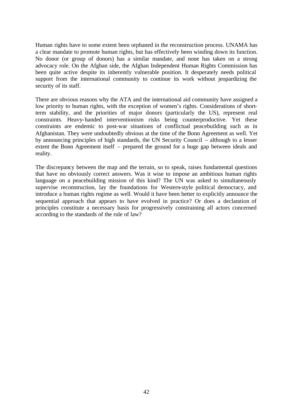Human rights have to some extent been orphaned in the reconstruction process. UNAMA has a clear mandate to promote human rights, but has effectively been winding down its function. No donor (or group of donors) has a similar mandate, and none has taken on a strong advocacy role. On the Afghan side, the Afghan Independent Human Rights Commission has been quite active despite its inherently vulnerable position. It desperately needs political support from the international community to continue its work without jeopardizing the security of its staff.

There are obvious reasons why the ATA and the international aid community have assigned a low priority to human rights, with the exception of women's rights. Considerations of shortterm stability, and the priorities of major donors (particularly the US), represent real constraints. Heavy-handed interventionism risks being counterproductive. Yet these constraints are endemic to post-war situations of conflictual peacebuilding such as in Afghanistan. They were undoubtedly obvious at the time of the Bonn Agreement as well. Yet by announcing principles of high standards, the UN Security Council – although to a lesser extent the Bonn Agreement itself – prepared the ground for a huge gap between ideals and reality.

The discrepancy between the map and the terrain, so to speak, raises fundamental questions that have no obviously correct answers. Was it wise to impose an ambitious human rights language on a peacebuilding mission of this kind? The UN was asked to simultaneously supervise reconstruction, lay the foundations for Western-style political democracy, and introduce a human rights regime as well. Would it have been better to explicitly announce the sequential approach that appears to have evolved in practice? Or does a declaration of principles constitute a necessary basis for progressively constraining all actors concerned according to the standards of the rule of law?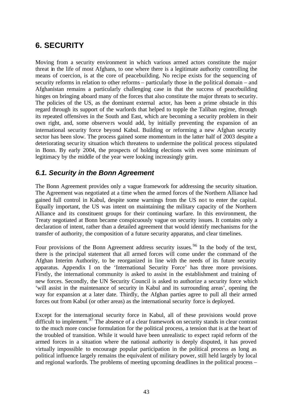# **6. SECURITY**

Moving from a security environment in which various armed actors constitute the major threat in the life of most Afghans, to one where there is a legitimate authority controlling the means of coercion, is at the core of peacebuilding. No recipe exists for the sequencing of security reforms in relation to other reforms – particularly those in the political domain – and Afghanistan remains a particularly challenging case in that the success of peacebuilding hinges on bringing aboard many of the forces that also constitute the major threats to security. The policies of the US, as the dominant external actor, has been a prime obstacle in this regard through its support of the warlords that helped to topple the Taliban regime, through its repeated offensives in the South and East, which are becoming a security problem in their own right, and, some observers would add, by initially preventing the expansion of an international security force beyond Kabul. Building or reforming a new Afghan security sector has been slow. The process gained some momentum in the latter half of 2003 despite a deteriorating security situation which threatens to undermine the political process stipulated in Bonn. By early 2004, the prospects of holding elections with even some minimum of legitimacy by the middle of the year were looking increasingly grim.

## *6.1. Security in the Bonn Agreement*

The Bonn Agreement provides only a vague framework for addressing the security situation. The Agreement was negotiated at a time when the armed forces of the Northern Alliance had gained full control in Kabul, despite some warnings from the US not to enter the capital. Equally important, the US was intent on maintaining the military capacity of the Northern Alliance and its constituent groups for their continuing warfare. In this environment, the Treaty negotiated at Bonn became conspicuously vague on security issues. It contains only a declaration of intent, rather than a detailed agreement that would identify mechanisms for the transfer of authority, the composition of a future security apparatus, and clear timelines.

Four provisions of the Bonn Agreement address security issues.<sup>96</sup> In the body of the text, there is the principal statement that all armed forces will come under the command of the Afghan Interim Authority, to be reorganized in line with the needs of its future security apparatus. Appendix I on the 'International Security Force' has three more provisions. Firstly, the international community is asked to assist in the establishment and training of new forces. Secondly, the UN Security Council is asked to authorize a security force which 'will assist in the maintenance of security in Kabul and its surrounding areas', opening the way for expansion at a later date. Thirdly, the Afghan parties agree to pull all their armed forces out from Kabul (or other areas) as the international security force is deployed.

Except for the international security force in Kabul, all of these provisions would prove difficult to implement.<sup>97</sup> The absence of a clear framework on security stands in clear contrast to the much more concise formulation for the political process, a tension that is at the heart of the troubled of transition. While it would have been unrealistic to expect rapid reform of the armed forces in a situation where the national authority is deeply disputed, it has proved virtually impossible to encourage popular participation in the political process as long as political influence largely remains the equivalent of military power, still held largely by local and regional warlords. The problems of meeting upcoming deadlines in the political process –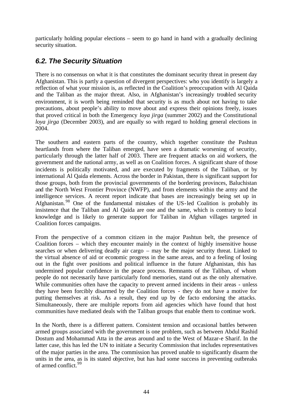particularly holding popular elections – seem to go hand in hand with a gradually declining security situation.

## *6.2. The Security Situation*

There is no consensus on what it is that constitutes the dominant security threat in present day Afghanistan. This is partly a question of divergent perspectives: who you identify is largely a reflection of what your mission is, as reflected in the Coalition's preoccupation with Al Qaida and the Taliban as the major threat. Also, in Afghanistan's increasingly troubled security environment, it is worth being reminded that security is as much about not having to take precautions, about people's ability to move about and express their opinions freely, issues that proved critical in both the Emergency *loya jirga* (summer 2002) and the Constitutional *loya jirga* (December 2003), and are equally so with regard to holding general elections in 2004.

The southern and eastern parts of the country, which together constitute the Pashtun heartlands from where the Taliban emerged, have seen a dramatic worsening of security, particularly through the latter half of 2003. There are frequent attacks on aid workers, the government and the national army, as well as on Coalition forces. A significant share of those incidents is politically motivated, and are executed by fragments of the Taliban, or by international Al Qaida elements. Across the border in Pakistan, there is significant support for those groups, both from the provincial governments of the bordering provinces, Baluchistan and the North West Frontier Province (NWFP), and from elements within the army and the intelligence services. A recent report indicate that bases are increasingly being set up in Afghanistan. <sup>98</sup> One of the fundamental mistakes of the US-led Coalition is probably its insistence that the Taliban and Al Qaida are one and the same, which is contrary to local knowledge and is likely to generate support for Taliban in Afghan villages targeted in Coalition forces campaigns.

From the perspective of a common citizen in the major Pashtun belt, the presence of Coalition forces – which they encounter mainly in the context of highly insensitive house searches or when delivering deadly air cargo – may be the major security threat. Linked to the virtual absence of aid or economic progress in the same areas, and to a feeling of losing out in the fight over positions and political influence in the future Afghanistan, this has undermined popular confidence in the peace process. Remnants of the Taliban, of whom people do not necessarily have particularly fond memories, stand out as the only alternative. While communities often have the capacity to prevent armed incidents in their areas - unless they have been forcibly disarmed by the Coalition forces - they do not have a motive for putting themselves at risk. As a result, they end up by de facto endorsing the attacks. Simultaneously, there are multiple reports from aid agencies which have found that host communities have mediated deals with the Taliban groups that enable them to continue work.

In the North, there is a different pattern. Consistent tension and occasional battles between armed groups associated with the government is one problem, such as between Abdul Rashid Dostum and Mohammad Atta in the areas around and to the West of Mazar-e Sharif. In the latter case, this has led the UN to initiate a Security Commission that includes representatives of the major parties in the area. The commission has proved unable to significantly disarm the units in the area, as is its stated objective, but has had some success in preventing outbreaks of armed conflict.<sup>99</sup>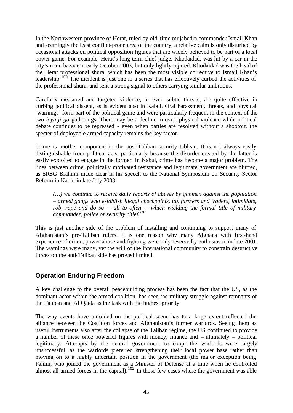In the Northwestern province of Herat, ruled by old-time mujahedin commander Ismail Khan and seemingly the least conflict-prone area of the country, a relative calm is only disturbed by occasional attacks on political opposition figures that are widely believed to be part of a local power game. For example, Herat's long term chief judge, Khodaidad, was hit by a car in the city's main bazaar in early October 2003, but only lightly injured. Khodaidad was the head of the Herat professional shura, which has been the most visible corrective to Ismail Khan's leadership.<sup>100</sup> The incident is just one in a series that has effectively curbed the activities of the professional shura, and sent a strong signal to others carrying similar ambitions.

Carefully measured and targeted violence, or even subtle threats, are quite effective in curbing political dissent, as is evident also in Kabul. Oral harassment, threats, and physical 'warnings' form part of the political game and were particularly frequent in the context of the two *loya jirga* gatherings. There may be a decline in overt physical violence while political debate continues to be repressed - even when battles are resolved without a shootout, the specter of deployable armed capacity remains the key factor.

Crime is another component in the post-Taliban security tableau. It is not always easily distinguishable from political acts, particularly because the disorder created by the latter is easily exploited to engage in the former. In Kabul, crime has become a major problem. The lines between crime, politically motivated resistance and legitimate government are blurred, as SRSG Brahimi made clear in his speech to the National Symposium on Security Sector Reform in Kabul in late July 2003:

*(…) we continue to receive daily reports of abuses by gunmen against the population – armed gangs who establish illegal checkpoints, tax farmers and traders, intimidate, rob, rape and do so – all to often – which wielding the formal title of military commander, police or security chief.<sup>101</sup>*

This is just another side of the problem of installing and continuing to support many of Afghanistan's pre-Taliban rulers. It is one reason why many Afghans with first-hand experience of crime, power abuse and fighting were only reservedly enthusiastic in late 2001. The warnings were many, yet the will of the international community to constrain destructive forces on the anti-Taliban side has proved limited.

#### **Operation Enduring Freedom**

A key challenge to the overall peacebuilding process has been the fact that the US, as the dominant actor within the armed coalition, has seen the military struggle against remnants of the Taliban and Al Qaida as the task with the highest priority.

The way events have unfolded on the political scene has to a large extent reflected the alliance between the Coalition forces and Afghanistan's former warlords. Seeing them as useful instruments also after the collapse of the Taliban regime, the US continued to provide a number of these once powerful figures with money, finance and – ultimately – political legitimacy. Attempts by the central government to coopt the warlords were largely unsuccessful, as the warlords preferred strengthening their local power base rather than moving on to a highly uncertain position in the government (the major exception being Fahim, who joined the government as a Minister of Defense at a time when he controlled almost all armed forces in the capital).<sup>102</sup> In those few cases where the government was able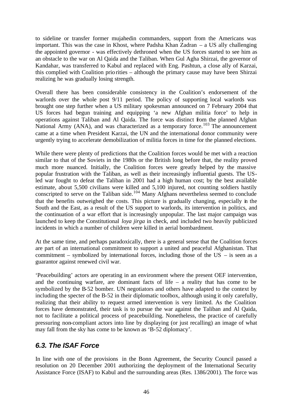to sideline or transfer former mujahedin commanders, support from the Americans was important. This was the case in Khost, where Padsha Khan Zadran – a US ally challenging the appointed governor - was effectively dethroned when the US forces started to see him as an obstacle to the war on Al Qaida and the Taliban. When Gul Agha Shirzai, the governor of Kandahar, was transferred to Kabul and replaced with Eng. Pashtun, a close ally of Karzai, this complied with Coalition priorities – although the primary cause may have been Shirzai realizing he was gradually losing strength.

Overall there has been considerable consistency in the Coalition's endorsement of the warlords over the whole post 9/11 period. The policy of supporting local warlords was brought one step further when a US military spokesman announced on 7 February 2004 that US forces had begun training and equipping 'a new Afghan militia force' to help in operations against Taliban and Al Qaida. The force was distinct from the planned Afghan National Army (ANA), and was characterized as a temporary force.<sup>103</sup> The announcement came at a time when President Karzai, the UN and the international donor community were urgently trying to accelerate demobilization of militia forces in time for the planned elections.

While there were plenty of predictions that the Coalition forces would be met with a reaction similar to that of the Soviets in the 1980s or the British long before that, the reality proved much more nuanced. Initially, the Coalition forces were greatly helped by the massive popular frustration with the Taliban, as well as their increasingly influential guests. The USled war fought to defeat the Taliban in 2001 had a high human cost; by the best available estimate, about 5,500 civilians were killed and 5,100 injured, not counting soldiers hastily conscripted to serve on the Taliban side.<sup>104</sup> Many Afghans nevertheless seemed to conclude that the benefits outweighed the costs. This picture is gradually changing, especially in the South and the East, as a result of the US support to warlords, its intervention in politics, and the continuation of a war effort that is increasingly unpopular. The last major campaign was launched to keep the Constitutional *loya jirga* in check, and included two heavily publicized incidents in which a number of children were killed in aerial bombardment.

At the same time, and perhaps paradoxically, there is a general sense that the Coalition forces are part of an international commitment to support a united and peaceful Afghanistan. That commitment – symbolized by international forces, including those of the  $US -$  is seen as a guarantor against renewed civil war.

'Peacebuilding' actors are operating in an environment where the present OEF intervention, and the continuing warfare, are dominant facts of life  $-$  a reality that has come to be symbolized by the B-52 bomber. UN negotiators and others have adapted to the context by including the specter of the B-52 in their diplomatic toolbox, although using it only carefully, realizing that their ability to request armed intervention is very limited. As the Coalition forces have demonstrated, their task is to pursue the war against the Taliban and Al Qaida, not to facilitate a political process of peacebuilding. Nonetheless, the practice of carefully pressuring non-compliant actors into line by displaying (or just recalling) an image of what may fall from the sky has come to be known as 'B-52 diplomacy'.

### *6.3. The ISAF Force*

In line with one of the provisions in the Bonn Agreement, the Security Council passed a resolution on 20 December 2001 authorizing the deployment of the International Security Assistance Force (ISAF) to Kabul and the surrounding areas (Res. 1386/2001). The force was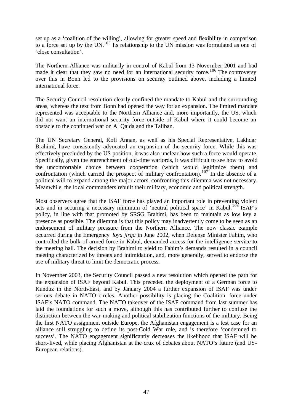set up as a 'coalition of the willing', allowing for greater speed and flexibility in comparison to a force set up by the UN.<sup>105</sup> Its relationship to the UN mission was formulated as one of 'close consultation'.

The Northern Alliance was militarily in control of Kabul from 13 November 2001 and had made it clear that they saw no need for an international security force.<sup>106</sup> The controversy over this in Bonn led to the provisions on security outlined above, including a limited international force.

The Security Council resolution clearly confined the mandate to Kabul and the surrounding areas, whereas the text from Bonn had opened the way for an expansion. The limited mandate represented was acceptable to the Northern Alliance and, more importantly, the US, which did not want an interna tional security force outside of Kabul where it could become an obstacle to the continued war on Al Qaida and the Taliban.

The UN Secretary General, Kofi Annan, as well as his Special Representative, Lakhdar Brahimi, have consistently advocated an expansion of the security force. While this was effectively precluded by the US position, it was also unclear how such a force would operate. Specifically, given the entrenchment of old-time warlords, it was difficult to see how to avoid the uncomfortable choice between cooperation (which would legitimize them) and confrontation (which carried the prospect of military confrontation).<sup>107</sup> In the absence of a political will to expand among the major actors, confronting this dilemma was not necessary. Meanwhile, the local commanders rebuilt their military, economic and political strength.

Most observers agree that the ISAF force has played an important role in preventing violent acts and in securing a necessary minimum of 'neutral political space' in Kabul.<sup>108</sup> ISAF's policy, in line with that promoted by SRSG Brahimi, has been to maintain as low key a presence as possible. The dilemma is that this policy may inadvertently come to be seen as an endorsement of military pressure from the Northern Alliance. The now classic example occurred during the Emergency *loya jirga* in June 2002, when Defense Minister Fahim, who controlled the bulk of armed force in Kabul, demanded access for the intelligence service to the meeting hall. The decision by Brahimi to yield to Fahim's demands resulted in a council meeting characterized by threats and intimidation, and, more generally, served to endorse the use of military threat to limit the democratic process.

In November 2003, the Security Council passed a new resolution which opened the path for the expansion of ISAF beyond Kabul. This preceded the deployment of a German force to Kunduz in the North-East, and by January 2004 a further expansion of ISAF was under serious debate in NATO circles. Another possibility is placing the Coalition force under ISAF's NATO command. The NATO takeover of the ISAF command from last summer has laid the foundations for such a move, although this has contributed further to confuse the distinction between the war-making and political stabilization functions of the military. Being the first NATO assignment outside Europe, the Afghanistan engagement is a test case for an alliance still struggling to define its post-Cold War role, and is therefore 'condemned to success'. The NATO engagement significantly decreases the likelihood that ISAF will be short-lived, while placing Afghanistan at the crux of debates about NATO's future (and US-European relations).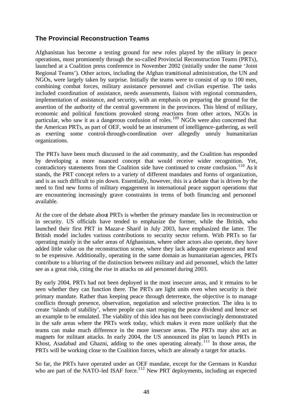#### **The Provincial Reconstruction Teams**

Afghanistan has become a testing ground for new roles played by the military in peace operations, most prominently through the so-called Provincial Reconstruction Teams (PRTs), launched at a Coalition press conference in November 2002 (initially under the name 'Joint Regional Teams'). Other actors, including the Afghan transitional administration, the UN and NGOs, were largely taken by surprise. Initially the teams were to consist of up to 100 men, combining combat forces, military assistance personnel and civilian expertise. The tasks included coordination of assistance, needs assessments, liaison with regional commanders, implementation of assistance, and security, with an emphasis on preparing the ground for the assertion of the authority of the central government in the provinces. This blend of military, economic and political functions provoked strong reactions from other actors, NGOs in particular, who saw it as a dangerous confusion of roles.<sup>109</sup> NGOs were also concerned that the American PRTs, as part of OEF, would be an instrument of intelligence-gathering, as well as exerting some control-through-coordination over allegedly unruly humanitarian organizations.

The PRTs have been much discussed in the aid community, and the Coalition has responded by developing a more nuanced concept that would receive wider recognition. Yet, contradictory statements from the Coalition side have continued to create confusion.<sup>110</sup> As it stands, the PRT concept refers to a variety of different mandates and forms of organization, and is as such difficult to pin down. Essentially, however, this is a debate that is driven by the need to find new forms of military engagement in international peace support operations that are encountering increasingly grave constraints in terms of both financing and personnel available.

At the core of the debate about PRTs is whether the primary mandate lies in reconstruction or in security. US officials have tended to emphasize the former, while the British, who launched their first PRT in Mazar-e Sharif in July 2003, have emphasized the latter. The British model includes various contributions to security sector reform. With PRTs so far operating mainly in the safer areas of Afghanistan, where other actors also operate, they have added little value on the reconstruction scene, where they lack adequate experience and tend to be expensive. Additionally, operating in the same domain as humanitarian agencies, PRTs contribute to a blurring of the distinction between military and aid personnel, which the latter see as a great risk, citing the rise in attacks on aid personnel during 2003.

By early 2004, PRTs had not been deployed in the most insecure areas, and it remains to be seen whether they can function there. The PRTs are light units even when security is their primary mandate. Rather than keeping peace through deterrence, the objective is to manage conflicts through presence, observation, negotiation and selective protection. The idea is to create 'islands of stability', where people can start reaping the peace dividend and hence set an example to be emulated. The viability of this idea has not been convincingly demonstrated in the safe areas where the PRTs work today, which makes it even more unlikely that the teams can make much difference in the more insecure areas. The PRTs may also act as magnets for militant attacks. In early 2004, the US announced its plan to launch PRTs in Khost, Asadabad and Ghazni, adding to the ones operating already. <sup>111</sup> In those areas, the PRTs will be working close to the Coalition forces, which are already a target for attacks.

So far, the PRTs have operated under an OEF mandate, except for the Germans in Kunduz who are part of the NATO-led ISAF force.<sup>112</sup> New PRT deployments, including an expected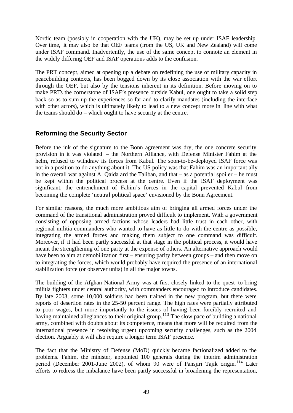Nordic team (possibly in cooperation with the UK), may be set up under ISAF leadership. Over time, it may also be that OEF teams (from the US, UK and New Zealand) will come under ISAF command. Inadvertently, the use of the same concept to connote an element in the widely differing OEF and ISAF operations adds to the confusion.

The PRT concept, aimed at opening up a debate on redefining the use of military capacity in peacebuilding contexts, has been bogged down by its close association with the war effort through the OEF, but also by the tensions inherent in its definition. Before moving on to make PRTs the cornerstone of ISAF's presence outside Kabul, one ought to take a solid step back so as to sum up the experiences so far and to clarify mandates (including the interface with other actors), which is ultimately likely to lead to a new concept more in line with what the teams should do – which ought to have security at the centre.

#### **Reforming the Security Sector**

Before the ink of the signature to the Bonn agreement was dry, the one concrete security provision in it was violated – the Northern Alliance, with Defense Minister Fahim at the helm, refused to withdraw its forces from Kabul. The soon-to-be-deployed ISAF force was not in a position to do anything about it. The US policy was that Fahim was an important ally in the overall war against Al Qaida and the Taliban, and that – as a potential spoiler – he must be kept within the political process at the centre. Even if the ISAF deployment was significant, the entrenchment of Fahim's forces in the capital prevented Kabul from becoming the complete 'neutral political space' envisioned by the Bonn Agreement.

For similar reasons, the much more ambitious aim of bringing all armed forces under the command of the transitional administration proved difficult to implement. With a government consisting of opposing armed factions whose leaders had little trust in each other, with regional militia commanders who wanted to have as little to do with the centre as possible, integrating the armed forces and making them subject to one command was difficult. Moreover, if it had been partly successful at that stage in the political process, it would have meant the strengthening of one party at the expense of others. An alternative approach would have been to aim at demobilization first – ensuring parity between groups – and then move on to integrating the forces, which would probably have required the presence of an international stabilization force (or observer units) in all the major towns.

The building of the Afghan National Army was at first closely linked to the quest to bring militia fighters under central authority, with commanders encouraged to introduce candidates. By late 2003, some 10,000 soldiers had been trained in the new program, but there were reports of desertion rates in the 25-50 percent range. The high rates were partially attributed to poor wages, but more importantly to the issues of having been forcibly recruited and having maintained allegiances to their original group.<sup>113</sup> The slow pace of building a national army, combined with doubts about its competence, means that more will be required from the international presence in resolving urgent upcoming security challenges, such as the 2004 election. Arguably it will also require a longer term ISAF presence.

The fact that the Ministry of Defense (MoD) quickly became factionalized added to the problems. Fahim, the minister, appointed 100 generals during the interim administration period (December 2001-June 2002), of whom 90 were of Pansiiri Tajik origin.<sup>114</sup> Later efforts to redress the imbalance have been partly successful in broadening the representation,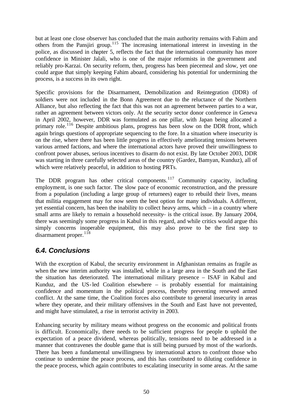but at least one close observer has concluded that the main authority remains with Fahim and others from the Pansjiri group.<sup>115</sup> The increasing international interest in investing in the police, as discussed in chapter 5, reflects the fact that the international community has more confidence in Minister Jalali, who is one of the major reformists in the government and reliably pro-Karzai. On security reform, then, progress has been piecemeal and slow, yet one could argue that simply keeping Fahim aboard, considering his potential for undermining the process, is a success in its own right.

Specific provisions for the Disarmament, Demobilization and Reintegration (DDR) of soldiers were not included in the Bonn Agreement due to the reluctance of the Northern Alliance, but also reflecting the fact that this was not an agreement between parties to a war, rather an agreement between victors only. At the security sector donor conference in Geneva in April 2002, however, DDR was formulated as one pillar, with Japan being allocated a primary role.<sup>116</sup> Despite ambitious plans, progress has been slow on the DDR front, which again brings questions of appropriate sequencing to the fore. In a situation where insecurity is on the rise, where there has been little progress in effectively ameliorating tensions between various armed factions, and where the international actors have proved their unwillingness to confront power abuses, serious incentives to disarm do not exist. By late October 2003, DDR was starting in three carefully selected areas of the country (Gardez, Bamyan, Kunduz), all of which were relatively peaceful, in addition to hosting PRTs.

The DDR program has other critical components.<sup>117</sup> Community capacity, including employment, is one such factor. The slow pace of economic reconstruction, and the pressure from a population (including a large group of returnees) eager to rebuild their lives, means that militia engagement may for now seem the best option for many individuals. A different, yet essential concern, has been the inability to collect heavy arms, which – in a country where small arms are likely to remain a household necessity– is the critical issue. By January 2004, there was seemingly some progress in Kabul in this regard, and while critics would argue this simply concerns inoperable equipment, this may also prove to be the first step to disarmament proper.<sup>118</sup>

## *6.4. Conclusions*

With the exception of Kabul, the security environment in Afghanistan remains as fragile as when the new interim authority was installed, while in a large area in the South and the East the situation has deteriorated. The international military presence – ISAF in Kabul and Kunduz, and the US-led Coalition elsewhere – is probably essential for maintaining confidence and momentum in the political process, thereby preventing renewed armed conflict. At the same time, the Coalition forces also contribute to general insecurity in areas where they operate, and their military offensives in the South and East have not prevented, and might have stimulated, a rise in terrorist activity in 2003.

Enhancing security by military means without progress on the economic and political fronts is difficult. Economically, there needs to be sufficient progress for people to uphold the expectation of a peace dividend, whereas politically, tensions need to be addressed in a manner that contravenes the double game that is still being pursued by most of the warlords. There has been a fundamental unwillingness by international actors to confront those who continue to undermine the peace process, and this has contributed to diluting confidence in the peace process, which again contributes to escalating insecurity in some areas. At the same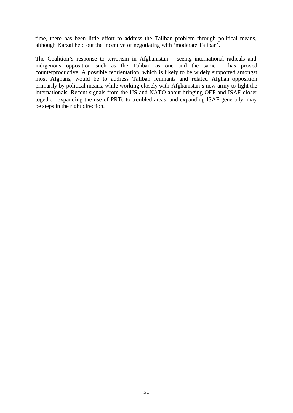time, there has been little effort to address the Taliban problem through political means, although Karzai held out the incentive of negotiating with 'moderate Taliban'.

The Coalition's response to terrorism in Afghanistan – seeing international radicals and indigenous opposition such as the Taliban as one and the same – has proved counterproductive. A possible reorientation, which is likely to be widely supported amongst most Afghans, would be to address Taliban remnants and related Afghan opposition primarily by political means, while working closely with Afghanistan's new army to fight the internationals. Recent signals from the US and NATO about bringing OEF and ISAF closer together, expanding the use of PRTs to troubled areas, and expanding ISAF generally, may be steps in the right direction.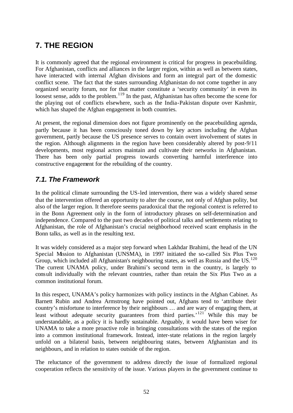# **7. THE REGION**

It is commonly agreed that the regional environment is critical for progress in peacebuilding. For Afghanistan, conflicts and alliances in the larger region, within as well as between states, have interacted with internal Afghan divisions and form an integral part of the domestic conflict scene. The fact that the states surrounding Afghanistan do not come together in any organized security forum, nor for that matter constitute a 'security community' in even its loosest sense, adds to the problem.<sup>119</sup> In the past, Afghanistan has often become the scene for the playing out of conflicts elsewhere, such as the India-Pakistan dispute over Kashmir, which has shaped the Afghan engagement in both countries.

At present, the regional dimension does not figure prominently on the peacebuilding agenda, partly because it has been consciously toned down by key actors including the Afghan government, partly because the US presence serves to contain overt involvement of states in the region. Although alignments in the region have been considerably altered by post-9/11 developments, most regional actors maintain and cultivate their networks in Afghanistan. There has been only partial progress towards converting harmful interference into constructive engagement for the rebuilding of the country.

## *7.1. The Framework*

In the political climate surrounding the US-led intervention, there was a widely shared sense that the intervention offered an opportunity to alter the course, not only of Afghan polity, but also of the larger region. It therefore seems paradoxical that the regional context is referred to in the Bonn Agreement only in the form of introductory phrases on self-determination and independence. Compared to the past two decades of political talks and settlements relating to Afghanistan, the role of Afghanistan's crucial neighborhood received scant emphasis in the Bonn talks, as well as in the resulting text.

It was widely considered as a major step forward when Lakhdar Brahimi, the head of the UN Special Mission to Afghanistan (UNSMA), in 1997 initiated the so-called Six Plus Two Group, which included all Afghanistan's neighbouring states, as well as Russia and the US.<sup>120</sup> The current UNAMA policy, under Brahimi's second term in the country, is largely to consult individually with the relevant countries, rather than retain the Six Plus Two as a common institutional forum.

In this respect, UNAMA's policy harmonizes with policy instincts in the Afghan Cabinet. As Barnett Rubin and Andrea Armstrong have pointed out, Afghans tend to 'attribute their country's misfortune to interference by their neighbours … and are wary of engaging them, at least without adequate security guarantees from third parties.<sup>'121</sup> While this may be understandable, as a policy it is hardly sustainable. Arguably, it would have been wiser for UNAMA to take a more proactive role in bringing consultations with the states of the region into a common institutional framework. Instead, inter-state relations in the region largely unfold on a bilateral basis, between neighbouring states, between Afghanistan and its neighbours, and in relation to states outside of the region.

The reluctance of the government to address directly the issue of formalized regional cooperation reflects the sensitivity of the issue. Various players in the government continue to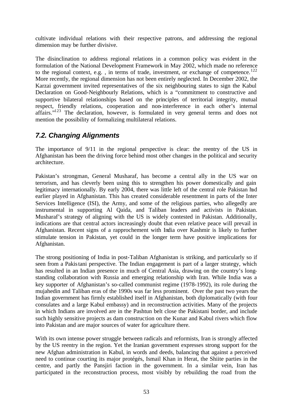cultivate individual relations with their respective patrons, and addressing the regional dimension may be further divisive.

The disinclination to address regional relations in a common policy was evident in the formulation of the National Development Framework in May 2002, which made no reference to the regional context, e.g., in terms of trade, investment, or exchange of competence.<sup>122</sup> More recently, the regional dimension has not been entirely neglected. In December 2002, the Karzai government invited representatives of the six neighbouring states to sign the Kabul Declaration on Good-Neighbourly Relations, which is a "commitment to constructive and supportive bilateral relationships based on the principles of territorial integrity, mutual respect, friendly relations, cooperation and non-interference in each other's internal affairs."<sup>123</sup> The declaration, however, is formulated in very general terms and does not mention the possibility of formalizing multilateral relations.

## *7.2. Changing Alignments*

The importance of 9/11 in the regional perspective is clear: the reentry of the US in Afghanistan has been the driving force behind most other changes in the political and security architecture.

Pakistan's strongman, General Musharaf, has become a central ally in the US war on terrorism, and has cleverly been using this to strengthen his power domestically and gain legitimacy internationally. By early 2004, there was little left of the central role Pakistan had earlier played in Afghanistan. This has created considerable resentment in parts of the Inter Services Intelligence (ISI), the Army, and some of the religious parties, who allegedly are instrumental in supporting Al Qaida, and Taliban leaders and activists in Pakistan. Musharaf's strategy of aligning with the US is widely contested in Pakistan. Additionally, indications are that central actors increasingly doubt that even relative peace will prevail in Afghanistan. Recent signs of a rapprochement with India over Kashmir is likely to further stimulate tension in Pakistan, yet could in the longer term have positive implications for Afghanistan.

The strong positioning of India in post-Taliban Afghanistan is striking, and particularly so if seen from a Pakistani perspective. The Indian engagement is part of a larger strategy, which has resulted in an Indian presence in much of Central Asia, drawing on the country's longstanding collaboration with Russia and emerging relationship with Iran. While India was a key supporter of Afghanistan's so-called communist regime (1978-1992), its role during the mujahedin and Taliban eras of the 1990s was far less prominent. Over the past two years the Indian government has firmly established itself in Afghanistan, both diplomatically (with four consulates and a large Kabul embassy) and in reconstruction activities. Many of the projects in which Indians are involved are in the Pashtun belt close the Pakistani border, and include such highly sensitive projects as dam construction on the Kunar and Kabul rivers which flow into Pakistan and are major sources of water for agriculture there.

With its own intense power struggle between radicals and reformists, Iran is strongly affected by the US reentry in the region. Yet the Iranian government expresses strong support for the new Afghan administration in Kabul, in words and deeds, balancing that against a perceived need to continue courting its major protégés, Ismail Khan in Herat, the Shiite parties in the centre, and partly the Pansjiri faction in the government. In a similar vein, Iran has participated in the reconstruction process, most visibly by rebuilding the road from the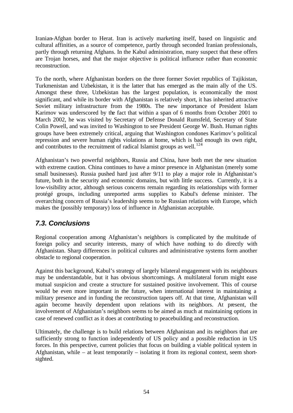Iranian-Afghan border to Herat. Iran is actively marketing itself, based on linguistic and cultural affinities, as a source of competence, partly through seconded Iranian professionals, partly through returning Afghans. In the Kabul administration, many suspect that these offers are Trojan horses, and that the major objective is political influence rather than economic reconstruction.

To the north, where Afghanistan borders on the three former Soviet republics of Tajikistan, Turkmenistan and Uzbekistan, it is the latter that has emerged as the main ally of the US. Amongst these three, Uzbekistan has the largest population, is economically the most significant, and while its border with Afghanistan is relatively short, it has inherited attractive Soviet military infrastructure from the 1980s. The new importance of President Islam Karimov was underscored by the fact that within a span of 6 months from October 2001 to March 2002, he was visited by Secretary of Defense Donald Rumsfeld, Secretary of State Colin Powell, and was invited to Washington to see President George W. Bush. Human rights groups have been extremely critical, arguing that Washington condones Karimov's political repression and severe human rights violations at home, which is bad enough its own right, and contributes to the recruitment of radical Islamist groups as well.<sup>124</sup>

Afghanistan's two powerful neighbors, Russia and China, have both met the new situation with extreme caution. China continues to have a minor presence in Afghanistan (merely some small businesses). Russia pushed hard just after 9/11 to play a major role in Afghanistan's future, both in the security and economic domains, but with little success. Currently, it is a low-visibility actor, although serious concerns remain regarding its relationships with former protégé groups, including unreported arms supplies to Kabul's defense minister. The overarching concern of Russia's leadership seems to be Russian relations with Europe, which makes the (possibly temporary) loss of influence in Afghanistan acceptable.

## *7.3. Conclusions*

Regional cooperation among Afghanistan's neighbors is complicated by the multitude of foreign policy and security interests, many of which have nothing to do directly with Afghanistan. Sharp differences in political cultures and administrative systems form another obstacle to regional cooperation.

Against this background, Kabul's strategy of largely bilateral engagement with its neighbours may be understandable, but it has obvious shortcomings. A multilateral forum might ease mutual suspicion and create a structure for sustained positive involvement. This of course would be even more important in the future, when international interest in maintaining a military presence and in funding the reconstruction tapers off. At that time, Afghanistan will again become heavily dependent upon relations with its neighbors. At present, the involvement of Afghanistan's neighbors seems to be aimed as much at maintaining options in case of renewed conflict as it does at contributing to peacebuilding and reconstruction.

Ultimately, the challenge is to build relations between Afghanistan and its neighbors that are sufficiently strong to function independently of US policy and a possible reduction in US forces. In this perspective, current policies that focus on building a viable political system in Afghanistan, while – at least temporarily – isolating it from its regional context, seem shortsighted.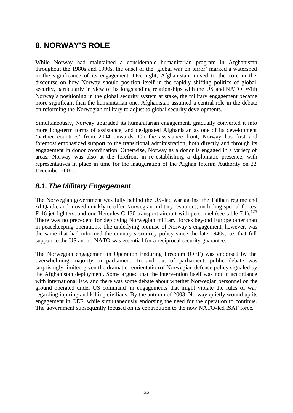# **8. NORWAY'S ROLE**

While Norway had maintained a considerable humanitarian program in Afghanistan throughout the 1980s and 1990s, the onset of the 'global war on terror' marked a watershed in the significance of its engagement. Overnight, Afghanistan moved to the core in the discourse on how Norway should position itself in the rapidly shifting politics of global security, particularly in view of its longstanding relationships with the US and NATO. With Norway's positioning in the global security system at stake, the military engagement became more significant than the humanitarian one. Afghanistan assumed a central role in the debate on reforming the Norwegian military to adjust to global security developments.

Simultaneously, Norway upgraded its humanitarian engagement, gradually converted it into more long-term forms of assistance, and designated Afghanistan as one of its development 'partner countries' from 2004 onwards. On the assistance front, Norway has first and foremost emphasized support to the transitional administration, both directly and through its engagement in donor coordination. Otherwise, Norway as a donor is engaged in a variety of areas. Norway was also at the forefront in re-establishing a diplomatic presence, with representatives in place in time for the inauguration of the Afghan Interim Authority on 22 December 2001.

## *8.1. The Military Engagement*

The Norwegian government was fully behind the US-led war against the Taliban regime and Al Qaida, and moved quickly to offer Norwegian military resources, including special forces, F-16 jet fighters, and one Hercules C-130 transport aircraft with personnel (see table 7.1).<sup>125</sup> There was no precedent for deploying Norwegian military forces beyond Europe other than in peacekeeping operations. The underlying premise of Norway's engagement, however, was the same that had informed the country's security policy since the late 1940s, i.e. that full support to the US and to NATO was essential for a reciprocal security guarantee.

The Norwegian engagement in Operation Enduring Freedom (OEF) was endorsed by the overwhelming majority in parliament. In and out of parliament, public debate was surprisingly limited given the dramatic reorientation of Norwegian defense policy signaled by the Afghanistan deployment. Some argued that the intervention itself was not in accordance with international law, and there was some debate about whether Norwegian personnel on the ground operated under US command in engagements that might violate the rules of war regarding injuring and killing civilians. By the autumn of 2003, Norway quietly wound up its engagement in OEF, while simultaneously endorsing the need for the operation to continue. The government subsequently focused on its contribution to the now NATO-led ISAF force.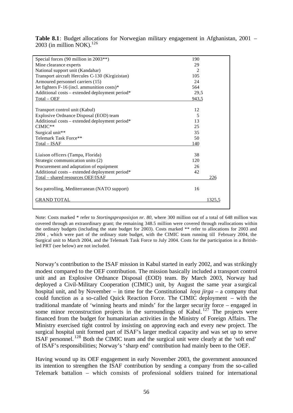| Special forces $(90$ million in $2003**$ )      | 190                         |
|-------------------------------------------------|-----------------------------|
| Mine clearance experts                          | 29                          |
| National support unit (Kandahar)                | $\mathcal{D}_{\mathcal{L}}$ |
| Transport aircraft Hercules C-130 (Kirgizistan) | 105                         |
|                                                 |                             |
| Armoured personnel carriers (15)                | 24                          |
| Jet fighters F-16 (incl. ammunition costs)*     | 564                         |
| Additional costs - extended deployment period*  | 29,5                        |
| $Total - OEF$                                   | 943,5                       |
|                                                 |                             |
| Transport control unit (Kabul)                  | 12                          |
| Explosive Ordnance Disposal (EOD) team          | 5                           |
| Additional costs – extended deployment period*  | 13                          |
| $CIMIC**$                                       | 25                          |
| Surgical unit**                                 | 35                          |
| Telemark Task Force**                           | 50                          |
| Total - ISAF                                    | 140                         |
|                                                 |                             |
| Liaison officers (Tampa, Florida)               | 38                          |
| Strategic communication units (2)               | 120                         |
| Procurement and adaptation of equipment         | 26                          |
| Additional costs - extended deployment period*  | 42                          |
| Total - shared resources OEF/ISAF               | 226                         |
|                                                 |                             |
| Sea patrolling, Mediterranean (NATO support)    | 16                          |
| <b>GRAND TOTAL</b>                              | 1325.5                      |
|                                                 |                             |

**Table 8.1**: Budget allocations for Norwegian military engagement in Afghanistan, 2001 – 2003 (in million NOK). $^{126}$ 

Note: Costs marked \* refer to *Stortingsproposisjon nr. 80*, where 300 million out of a total of 648 million was covered through an extraordinary grant; the remaining 348.5 million were covered through reallocations within the ordinary budgets (including the state budget for 2003). Costs marked \*\* refer to allocations for 2003 and 2004 , which were part of the ordinary state budget, with the CIMIC team running till February 2004, the Surgical unit to March 2004, and the Telemark Task Force to July 2004. Costs for the participation in a Britishled PRT (see below) are not included.

Norway's contribution to the ISAF mission in Kabul started in early 2002, and was strikingly modest compared to the OEF contribution. The mission basically included a transport control unit and an Explosive Ordnance Disposal (EOD) team. By March 2003, Norway had deployed a Civil-Military Cooperation (CIMIC) unit, by August the same year a surgical hospital unit, and by November – in time for the Constitutional *loya jirga* – a company that could function as a so-called Quick Reaction Force. The CIMIC deployment – with the traditional mandate of 'winning hearts and minds' for the larger security force – engaged in some minor reconstruction projects in the surroundings of Kabul.  $127$  The projects were financed from the budget for humanitarian activities in the Ministry of Foreign Affairs. The Ministry exercised tight control by insisting on approving each and every new project. The surgical hospital unit formed part of ISAF's larger medical capacity and was set up to serve ISAF personnel. <sup>128</sup> Both the CIMIC team and the surgical unit were clearly at the 'soft end' of ISAF's responsibilities; Norway's 'sharp end' contribution had mainly been to the OEF.

Having wound up its OEF engagement in early November 2003, the government announced its intention to strengthen the ISAF contribution by sending a company from the so-called Telemark battalion – which consists of professional soldiers trained for international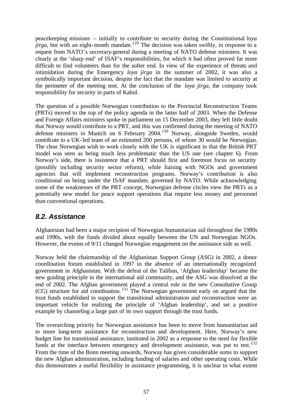peacekeeping missions – initially to contribute to security during the Constitutional *loya jirga*, but with an eight-month mandate.<sup>129</sup> The decision was taken swiftly, in response to a request from NATO's secretary-general during a meeting of NATO defense ministers. It was clearly at the 'sharp end' of ISAF's responsibilities, for which it had often proved far more difficult to find volunteers than for the softer end. In view of the experience of threats and intimidation during the Emergency *loya jirga* in the summer of 2002, it was also a symbolically important decision, despite the fact that the mandate was limited to security at the perimeter of the meeting tent. At the conclusion of the *loya jirga*, the company took responsibility for security in parts of Kabul.

The question of a possible Norwegian contribution to the Provincial Reconstruction Teams (PRTs) moved to the top of the policy agenda in the latter half of 2003. When the Defense and Foreign Affairs ministers spoke in parliament on 15 December 2003, they left little doubt that Norway would contribute to a PRT, and this was confirmed during the meeting of NATO defense ministers in Munich on 6 February 2004.<sup>130</sup> Norway, alongside Sweden, would contribute to a UK-led team of an estimated 200 persons, of whom 30 would be Norwegian. The clear Norwegian wish to work closely with the UK is significant in that the British PRT model was seen as being much less problematic than the US one (see chapter 6). From Norway's side, there is insistence that a PRT should first and foremost focus on security (possibly including security sector reform), while liaising with NGOs and government agencies that will implement reconstruction programs. Norway's contribution is also conditional on being under the ISAF mandate, governed by NATO. While acknowledging some of the weaknesses of the PRT concept, Norwegian defense circles view the PRTs as a potentially new model for peace support operations that require less money and personnel than conventional operations.

## *8.2. Assistance*

Afghanistan had been a major recipient of Norwegian humanitarian aid throughout the 1980s and 1990s, with the funds divided about equally between the UN and Norwegian NGOs. However, the events of 9/11 changed Norwegian engagement on the assistance side as well.

Norway held the chairmanship of the Afghanistan Support Group (ASG) in 2002, a donor coordination forum established in 1997 in the absence of an internationally recognized government in Afghanistan. With the defeat of the Taliban, 'Afghan leadership' became the new guiding principle in the international aid community, and the ASG was dissolved at the end of 2002. The Afghan government played a central role in the new Consultative Group (CG) structure for aid coordination.<sup>131</sup> The Norwegian government early on argued that the trust funds established to support the transitional administration and reconstruction were an important vehicle for realizing the principle of 'Afghan leadership', and set a positive example by channeling a large part of its own support through the trust funds.

The overarching priority for Norwegian assistance has been to move from humanitarian aid to more long-term assistance for reconstruction and development. Here, Norway's new budget line for transitional assistance, instituted in 2002 as a response to the need for flexible funds at the interface between emergency and development assistance, was put to test.<sup>132</sup> From the time of the Bonn meeting onwards, Norway has given considerable sums to support the new Afghan administration, including funding of salaries and other operating costs. While this demonstrates a useful flexibility in assistance programming, it is unclear to what extent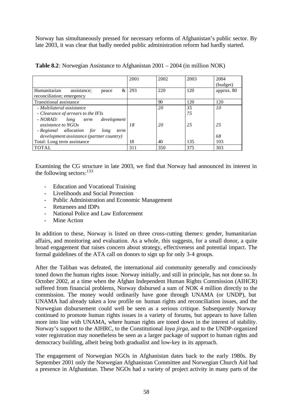Norway has simultaneously pressed for necessary reforms of Afghanistan's public sector. By late 2003, it was clear that badly needed public administration reform had hardly started.

|                                           | 2001 | 2002 | 2003 | 2004       |
|-------------------------------------------|------|------|------|------------|
|                                           |      |      |      | (budget)   |
| Humanitarian<br>&<br>assistance:<br>peace | 293  | 220  | 120  | approx. 80 |
| reconciliation; emergency                 |      |      |      |            |
| <b>Transitional assistance</b>            |      | 90   | 120  | 120        |
| - Multilateral assistance                 |      | 20   | 35   | 10         |
| - Clearance of arrears to the IFIs        |      |      | 75   |            |
| - NORAD:<br>long term<br>development      |      |      |      |            |
| assistance to NGOs                        | 18   | 20   | 25   | 25         |
| - Regional allocation for<br>long<br>term |      |      |      |            |
| development assistance (partner country)  |      |      |      | 68         |
| Total: Long term assistance               | 18   | 40   | 135  | 103        |
| <b>TOTAL</b>                              | 311  | 350  | 375  | 303        |

**Table 8.2**: Norwegian Assistance to Afghanistan 2001 – 2004 (in million NOK)

Examining the CG structure in late 2003, we find that Norway had announced its interest in the following sectors:  $133$ 

- Education and Vocational Training
- Livelihoods and Social Protection
- Public Administration and Economic Management
- Returnees and IDPs
- National Police and Law Enforcement
- Mine Action

In addition to these, Norway is listed on three cross-cutting theme s: gender, humanitarian affairs, and monitoring and evaluation. As a whole, this suggests, for a small donor, a quite broad engagement that raises concern about strategy, effectiveness and potential impact. The formal guidelines of the ATA call on donors to sign up for only 3-4 groups.

After the Taliban was defeated, the international aid community generally and consciously toned down the human rights issue. Norway initially, and still in principle, has not done so. In October 2002, at a time when the Afghan Independent Human Rights Commission (AIHCR) suffered from financial problems, Norway disbursed a sum of NOK 4 million directly to the commission. The money would ordinarily have gone through UNAMA (or UNDP), but UNAMA had already taken a low profile on human rights and reconciliation issues, and the Norwegian disbursement could well be seen as a serious critique. Subsequently Norway continued to promote human rights issues in a variety of forums, but appears to have fallen more into line with UNAMA, where human rights are toned down in the interest of stability. Norway's support to the AIHRC, to the Constitutional *loya jirga*, and to the UNDP-organized voter registration may nonetheless be seen as a larger package of support to human rights and democracy building, albeit being both gradualist and low-key in its approach.

The engagement of Norwegian NGOs in Afghanistan dates back to the early 1980s. By September 2001 only the Norwegian Afghanistan Committee and Norwegian Church Aid had a presence in Afghanistan. These NGOs had a variety of project activity in many parts of the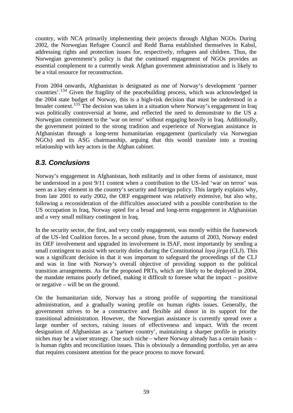country, with NCA primarily implementing their projects through Afghan NGOs. During 2002, the Norwegian Refugee Council and Redd Barna established themselves in Kabul, addressing rights and protection issues for, respectively, refugees and children. Thus, the Norwegian government's policy is that the continued engagement of NGOs provides an essential complement to a currently weak Afghan government administration and is likely to be a vital resource for reconstruction.

From 2004 onwards, Afghanistan is designated as one of Norway's development 'partner countries'.<sup>134</sup> Given the fragility of the peacebuilding process, which was acknowledged in the 2004 state budget of Norway, this is a high-risk decision that must be understood in a broader context.<sup>135</sup> The decision was taken in a situation where Norway's engagement in Iraq was politically controversial at home, and reflected the need to demonstrate to the US a Norwegian commitment to the 'war on terror' without engaging heavily in Iraq. Additionally, the government pointed to the strong tradition and experience of Norwegian assistance in Afghanistan through a long-term humanitarian engagement (particularly via Norwegian NGOs) and its ASG chairmanship, arguing that this would translate into a trusting relationship with key actors in the Afghan cabinet.

## *8.3. Conclusions*

Norway's engagement in Afghanistan, both militarily and in other forms of assistance, must be understood in a post 9/11 context when a contribution to the US-led 'war on terror' was seen as a key element in the country's security and foreign policy. This largely explains why, from late 2001 to early 2002, the OEF engagement was relatively extensive, but also why, following a reconsideration of the difficulties associated with a possible contribution to the US occupation in Iraq, Norway opted for a broad and long-term engagement in Afghanistan and a very small military contingent in Iraq.

In the security sector, the first, and very costly engagement, was mostly within the framework of the US-led Coalition forces. In a second phase, from the autumn of 2003, Norway ended its OEF involvement and upgraded its involvement in ISAF, most importantly by sending a small contingent to assist with security duties during the Constitutional *loya jirga* (CLJ). This was a significant decision in that it was important to safeguard the proceedings of the CLJ and was in line with Norway's overall objective of providing support to the political transition arrangements. As for the proposed PRTs, which are likely to be deployed in 2004, the mandate remains poorly defined, making it difficult to foresee what the impact – positive or negative – will be on the ground.

On the humanitarian side, Norway has a strong profile of supporting the transitional administration, and a gradually waning profile on human rights issues. Generally, the government strives to be a constructive and flexible aid donor in its support for the transitional administration. However, the Norwegian assistance is currently spread over a large number of sectors, raising issues of effectiveness and impact. With the recent designation of Afghanistan as a 'partner country', maintaining a sharper profile in priority niches may be a wiser strategy. One such niche – where Norway already has a certain basis – is human rights and reconciliation issues. This is obviously a demanding portfolio, yet an area that requires consistent attention for the peace process to move forward.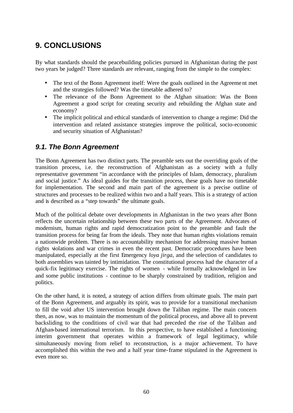# **9. CONCLUSIONS**

By what standards should the peacebuilding policies pursued in Afghanistan during the past two years be judged? Three standards are relevant, ranging from the simple to the complex:

- The text of the Bonn Agreement itself: Were the goals outlined in the Agreement met and the strategies followed? Was the timetable adhered to?
- The relevance of the Bonn Agreement to the Afghan situation: Was the Bonn Agreement a good script for creating security and rebuilding the Afghan state and economy?
- The implicit political and ethical standards of intervention to change a regime: Did the intervention and related assistance strategies improve the political, socio-economic and security situation of Afghanistan?

## *9.1. The Bonn Agreement*

The Bonn Agreement has two distinct parts. The preamble sets out the overriding goals of the transition process, i.e. the reconstruction of Afghanistan as a society with a fully representative government "in accordance with the principles of Islam, democracy, pluralism and social justice." As ideal guides for the transition process, these goals have no timetable for implementation. The second and main part of the agreement is a precise outline of structures and processes to be realized within two and a half years. This is a strategy of action and is described as a "step towards" the ultimate goals.

Much of the political debate over developments in Afghanistan in the two years after Bonn reflects the uncertain relationship between these two parts of the Agreement. Advocates of modernism, human rights and rapid democratization point to the preamble and fault the transition process for being far from the ideals. They note that human rights violations remain a nationwide problem. There is no accountability mechanism for addressing massive human rights violations and war crimes in even the recent past. Democratic procedures have been manipulated, especially at the first Emergency *loya jirga*, and the selection of candidates to both assemblies was tainted by intimidation. The constitutional process had the character of a quick-fix legitimacy exercise. The rights of women - while formally acknowledged in law and some public institutions - continue to be sharply constrained by tradition, religion and politics.

On the other hand, it is noted, a strategy of action differs from ultimate goals. The main part of the Bonn Agreement, and arguably its spirit, was to provide for a transitional mechanism to fill the void after US intervention brought down the Taliban regime. The main concern then, as now, was to maintain the momentum of the political process, and above all to prevent backsliding to the conditions of civil war that had preceded the rise of the Taliban and Afghan-based international terrorism. In this perspective, to have established a functioning interim government that operates within a framework of legal legitimacy, while simultaneously moving from relief to reconstruction, is a major achievement. To have accomplished this within the two and a half year time-frame stipulated in the Agreement is even more so.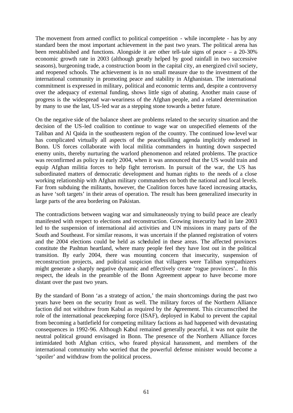The movement from armed conflict to political competition - while incomplete - has by any standard been the most important achievement in the past two years. The political arena has been reestablished and functions. Alongside it are other tell-tale signs of peace – a 20-30% economic growth rate in 2003 (although greatly helped by good rainfall in two successive seasons), burgeoning trade, a construction boom in the capital city, an energized civil society, and reopened schools. The achievement is in no small measure due to the investment of the international community in promoting peace and stability in Afghanistan. The international commitment is expressed in military, political and economic terms and, despite a controversy over the adequacy of external funding, shows little sign of abating. Another main cause of progress is the widespread war-weariness of the Afghan people, and a related determination by many to use the last, US-led war as a stepping stone towards a better future.

On the negative side of the balance sheet are problems related to the security situation and the decision of the US-led coalition to continue to wage war on unspecified elements of the Taliban and Al Qaida in the southeastern region of the country. The continued low-level war has complicated virtually all aspects of the peacebuilding agenda implicitly endorsed in Bonn. US forces collaborate with local militia commanders in hunting down suspected enemy units, thereby nurturing the warlord phenomenon and related problems. The practice was reconfirmed as policy in early 2004, when it was announced that the US would train and equip Afghan militia forces to help fight terrorism. In pursuit of the war, the US has subordinated matters of democratic development and human rights to the needs of a close working relationship with Afghan military commanders on both the national and local levels. Far from subduing the militants, however, the Coalition forces have faced increasing attacks, as have 'soft targets' in their areas of operation. The result has been generalized insecurity in large parts of the area bordering on Pakistan.

The contradictions between waging war and simultaneously trying to build peace are clearly manifested with respect to elections and reconstruction. Growing insecurity had in late 2003 led to the suspension of international aid activities and UN missions in many parts of the South and Southeast. For similar reasons, it was uncertain if the planned registration of voters and the 2004 elections could be held as scheduled in these areas. The affected provinces constitute the Pashtun heartland, where many people feel they have lost out in the political transition. By early 2004, there was mounting concern that insecurity, suspension of reconstruction projects, and political suspicion that villagers were Taliban sympathizers might generate a sharply negative dynamic and effectively create 'rogue provinces'.. In this respect, the ideals in the preamble of the Bonn Agreement appear to have become more distant over the past two years.

By the standard of Bonn 'as a strategy of action,' the main shortcomings during the past two years have been on the security front as well. The military forces of the Northern Alliance faction did not withdraw from Kabul as required by the Agreement. This circumscribed the role of the international peacekeeping force (ISAF), deployed in Kabul to prevent the capital from becoming a battlefield for competing military factions as had happened with devastating consequences in 1992-96. Although Kabul remained generally peaceful, it was not quite the neutral political ground envisaged in Bonn. The presence of the Northern Alliance forces intimidated both Afghan critics, who feared physical harassment, and members of the international community who worried that the powerful defense minister would become a 'spoiler' and withdraw from the political process.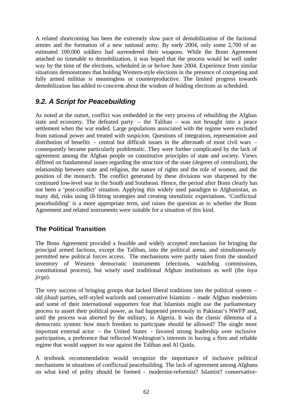A related shortcoming has been the extremely slow pace of demobilization of the factional armies and the formation of a new national army. By early 2004, only some 2,700 of an estimated 100,000 soldiers had surrendered their weapons. While the Bonn Agreement attached no timetable to demobilization, it was hoped that the process would be well under way by the time of the elections, scheduled in or before June 2004. Experience from similar situations demonstrates that holding Western-style elections in the presence of competing and fully armed militias is meaningless or counterproductive. The limited progress towards demobilization has added to concerns about the wisdom of holding elections as scheduled.

## *9.2. A Script for Peacebuilding*

As noted at the outset, conflict was embedded in the very process of rebuilding the Afghan state and economy. The defeated party  $-$  the Taliban  $-$  was not brought into a peace settlement when the war ended. Large populations associated with the regime were excluded from national power and treated with suspicion. Questions of integration, representation and distribution of benefits – central but difficult issues in the aftermath of most civil wars – consequently became particularly problematic. They were further complicated by the lack of agreement among the Afghan people on constitutive principles of state and society. Views differed on fundamental issues regarding the struc ture of the state (degrees of centralism), the relationship between state and religion, the nature of rights and the role of women, and the position of the monarch. The conflict generated by these divisions was sharpened by the continued low-level war in the South and Southeast. Hence, the period after Bonn clearly has not been a 'post-conflict' situation. Applying this widely used paradigm to Afghanistan, as many did, risks using ill-fitting strategies and creating unrealistic expectations. 'Conflictual peacebuilding' is a more appropriate term, and raises the question as to whether the Bonn Agreement and related instruments were suitable for a situation of this kind.

### **The Political Transition**

The Bonn Agreement provided a feasible and widely accepted mechanism for bringing the principal armed factions, except the Taliban, into the political arena, and simultaneously permitted new political forces access. The mechanisms were partly taken from the standard inventory of Western democratic instruments (elections, watchdog commissions, constitutional process), but wisely used traditional Afghan institutions as well (the *loya jirga*).

The very success of bringing groups that lacked liberal traditions into the political system – old *jihadi* parties, self-styled warlords and conservative Islamists – made Afghan modernists and some of their international supporters fear that Islamists might use the parliamentary process to assert their political power, as had happened previously in Pakistan's NWFP and, until the process was aborted by the military, in Algeria. It was the classic dilemma of a democratic system: how much freedom to participate should be allowed? The single most important external actor – the United States - favored strong leadership over inclusive participation, a preference that reflected Washington's interests in having a firm and reliable regime that would support its war against the Taliban and Al Qaida.

A textbook recommendation would recognize the importance of inclusive political mechanisms in situations of conflictual peacebuilding. The lack of agreement among Afghans on what kind of polity should be formed - modernist-reformist? Islamist? conservative-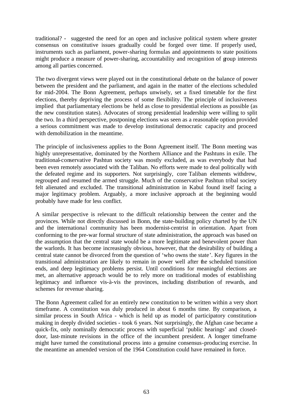traditional? - suggested the need for an open and inclusive political system where greater consensus on constitutive issues gradually could be forged over time. If properly used, instruments such as parliament, power-sharing formulas and appointments to state positions might produce a measure of power-sharing, accountability and recognition of group interests among all parties concerned.

The two divergent views were played out in the constitutional debate on the balance of power between the president and the parliament, and again in the matter of the elections scheduled for mid-2004. The Bonn Agreement, perhaps unwisely, set a fixed timetable for the first elections, thereby depriving the process of some flexibility. The principle of inclusiveness implied that parliamentary elections be held as close to presidential elections as possible (as the new constitution states). Advocates of strong presidential leadership were willing to split the two. In a third perspective, postponing elections was seen as a reasonable option provided a serious commitment was made to develop institutional democratic capacity and proceed with demobilization in the meantime.

The principle of inclusiveness applies to the Bonn Agreement itself. The Bonn meeting was highly unrepresentative, dominated by the Northern Alliance and the Pashtuns in exile. The traditional-conservative Pashtun society was mostly excluded, as was everybody that had been even remotely associated with the Taliban. No efforts were made to deal politically with the defeated regime and its supporters. Not surprisingly, core Taliban elements withdrew, regrouped and resumed the armed struggle. Much of the conservative Pashtun tribal society felt alienated and excluded. The transitional administration in Kabul found itself facing a major legitimacy problem. Arguably, a more inclusive approach at the beginning would probably have made for less conflict.

A similar perspective is relevant to the difficult relationship between the center and the provinces. While not directly discussed in Bonn, the state-building policy charted by the UN and the international community has been modernist-centrist in orientation. Apart from conforming to the pre-war formal structure of state administration, the approach was based on the assumption that the central state would be a more legitimate and benevolent power than the warlords. It has become increasingly obvious, however, that the desirability of building a central state cannot be divorced from the question of 'who owns the state'. Key figures in the transitional administration are likely to remain in power well after the scheduled transition ends, and deep legitimacy problems persist. Until conditions for meaningful elections are met, an alternative approach would be to rely more on traditional modes of establishing legitimacy and influence vis-à-vis the provinces, including distribution of rewards, and schemes for revenue sharing.

The Bonn Agreement called for an entirely new constitution to be written within a very short timeframe. A constitution was duly produced in about 6 months time. By comparison, a similar process in South Africa - which is held up as model of participatory constitutionmaking in deeply divided societies - took 6 years. Not surprisingly, the Afghan case became a quick-fix, only nominally democratic process with superficial 'public hearings' and closeddoor, last-minute revisions in the office of the incumbent president. A longer timeframe might have turned the constitutional process into a genuine consensus-producing exercise. In the meantime an amended version of the 1964 Constitution could have remained in force.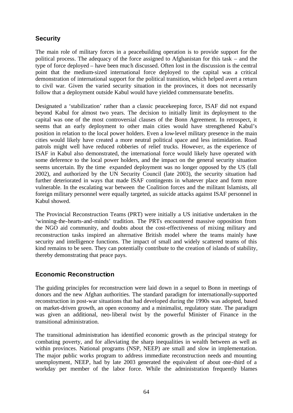## **Security**

The main role of military forces in a peacebuilding operation is to provide support for the political process. The adequacy of the force assigned to Afghanistan for this task – and the type of force deployed – have been much discussed. Often lost in the discussion is the central point that the medium-sized international force deployed to the capital was a critical demonstration of international support for the political transition, which helped avert a return to civil war. Given the varied security situation in the provinces, it does not necessarily follow that a deployment outside Kabul would have yielded commensurate benefits.

Designated a 'stabilization' rather than a classic peacekeeping force, ISAF did not expand beyond Kabul for almost two years. The decision to initially limit its deployment to the capital was one of the most controversial clauses of the Bonn Agreement. In retrospect, it seems that an early deployment to other main cities would have strengthened Kabul's position in relation to the local power holders. Even a low-level military presence in the main cities would likely have created a more neutral political space and less intimidation. Road patrols might well have reduced robberies of relief trucks. However, as the experience of ISAF in Kabul also demonstrated, the international force would likely have operated with some deference to the local power holders, and the impact on the general security situation seems uncertain. By the time expanded deployment was no longer opposed by the US (fall 2002), and authorized by the UN Security Council (late 2003), the security situation had further deteriorated in ways that made ISAF contingents in whatever place and form more vulnerable. In the escalating war between the Coalition forces and the militant Islamists, all foreign military personnel were equally targeted, as suicide attacks against ISAF personnel in Kabul showed.

The Provincial Reconstruction Teams (PRT) were initially a US initiative undertaken in the 'winning-the-hearts-and-minds' tradition. The PRTs encountered massive opposition from the NGO aid community, and doubts about the cost-effectiveness of mixing military and reconstruction tasks inspired an alternative British model where the teams mainly have security and intelligence functions. The impact of small and widely scattered teams of this kind remains to be seen. They can potentially contribute to the creation of islands of stability, thereby demonstrating that peace pays.

### **Economic Reconstruction**

The guiding principles for reconstruction were laid down in a sequel to Bonn in meetings of donors and the new Afghan authorities. The standard paradigm for internationally-supported reconstruction in post-war situations that had developed during the 1990s was adopted, based on market-driven growth, an open economy and a minimalist, regulatory state. The paradigm was given an additional, neo-liberal twist by the powerful Minister of Finance in the transitional administration.

The transitional administration has identified economic growth as the principal strategy for combating poverty, and for alleviating the sharp inequalities in wealth between as well as within provinces. National programs (NSP, NEEP) are small and slow in implementation. The major public works program to address immediate reconstruction needs and mounting unemployment, NEEP, had by late 2003 generated the equivalent of about one-third of a workday per member of the labor force. While the administration frequently blames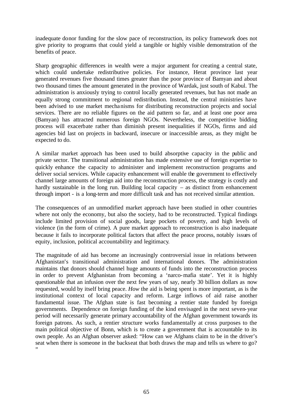inadequate donor funding for the slow pace of reconstruction, its policy framework does not give priority to programs that could yield a tangible or highly visible demonstration of the benefits of peace.

Sharp geographic differences in wealth were a major argument for creating a central state, which could undertake redistributive policies. For instance, Herat province last year generated revenues five thousand times greater than the poor province of Bamyan and about two thousand times the amount generated in the province of Wardak, just south of Kabul. The administration is anxiously trying to control locally generated revenues, but has not made an equally strong commitment to regional redistribution. Instead, the central ministries have been advised to use market mechanisms for distributing reconstruction projects and social services. There are no reliable figures on the aid pattern so far, and at least one poor area (Bamyan) has attracted numerous foreign NGOs. Nevertheless, the competitive bidding process will exacerbate rather than diminish present inequalities if NGOs, firms and aid agencies bid last on projects in backward, insecure or inaccessible areas, as they might be expected to do.

A similar market approach has been used to build absorptive capacity in the public and private sector. The transitional administration has made extensive use of foreign expertise to quickly enhance the capacity to administer and implement reconstruction programs and deliver social services. While capacity enhancement will enable the government to effectively channel large amounts of foreign aid into the reconstruction process, the strategy is costly and hardly sustainable in the long run. Building local capacity – as distinct from enhancement through import - is a long-term and more difficult task and has not received similar attention.

The consequences of an unmodified market approach have been studied in other countries where not only the economy, but also the society, had to be reconstructed. Typical findings include limited provision of social goods, large pockets of poverty, and high levels of violence (in the form of crime). A pure market approach to reconstruction is also inadequate because it fails to incorporate political factors that affect the peace process, notably issues of equity, inclusion, political accountability and legitimacy.

The magnitude of aid has become an increasingly controversial issue in relations between Afghanistan's transitional administration and international donors. The administration maintains that donors should channel huge amounts of funds into the reconstruction process in order to prevent Afghanistan from becoming a 'narco-mafia state'. Yet it is highly questionable that an infusion over the next few years of say, nearly 30 billion dollars as now requested, would by itself bring peace. *How* the aid is being spent is more important, as is the institutional context of local capacity and reform. Large inflows of aid raise another fundamental issue. The Afghan state is fast becoming a rentier state funded by foreign governments. Dependence on foreign funding of the kind envisaged in the next seven-year period will necessarily generate primary accountability of the Afghan government towards its foreign patrons. As such, a rentier structure works fundamentally at cross purposes to the main political objective of Bonn, which is to create a government that is accountable to its own people. As an Afghan observer asked: "How can we Afghans claim to be in the driver's seat when there is someone in the backseat that both draws the map and tells us where to go? "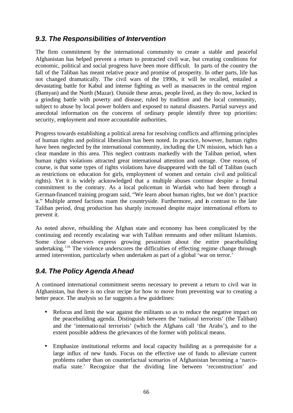## *9.3. The Responsibilities of Intervention*

The firm commitment by the international community to create a stable and peaceful Afghanistan has helped prevent a return to protracted civil war, but creating conditions for economic, political and social progress have been more difficult. In parts of the country the fall of the Taliban has meant relative peace and promise of prosperity. In other parts, life has not changed dramatically. The civil wars of the 1990s, it will be recalled, entailed a devastating battle for Kabul and intense fighting as well as massacres in the central region (Bamyan) and the North (Mazar). Outside these areas, people lived, as they do now, locked in a grinding battle with poverty and disease, ruled by tradition and the local community, subject to abuse by local power holders and exposed to natural disasters. Partial surveys and anecdotal information on the concerns of ordinary people identify three top priorities: security, employment and more accountable authorities.

Progress towards establishing a political arena for resolving conflicts and affirming principles of human rights and political liberalism has been noted. In practice, however, human rights have been neglected by the international community, including the UN mission, which has a clear mandate in this area. This neglect contrasts markedly with the Taliban period, when human rights violations attracted great international attention and outrage. One reason, of course, is that some types of rights violations have disappeared with the fall of Taliban (such as restrictions on education for girls, employment of women and certain civil and political rights). Yet it is widely acknowledged that a multiple abuses continue despite a formal commitment to the contrary. As a local policeman in Wardak who had been through a German-financed training program said, "We learn about human rights, but we don't practice it." Multiple armed factions roam the countryside. Furthermore, and in contrast to the late Taliban period, drug production has sharply increased despite major international efforts to prevent it.

As noted above, rebuilding the Afghan state and economy has been complicated by the continuing and recently escalating war with Taliban remnants and other militant Islamists. Some close observers express growing pessimism about the entire peacebuilding undertaking. <sup>136</sup> The violence underscores the difficulties of effecting regime change through armed intervention, particularly when undertaken as part of a global 'war on terror.'

## *9.4. The Policy Agenda Ahead*

A continued international commitment seems necessary to prevent a return to civil war in Afghanistan, but there is no clear recipe for how to move from preventing war to creating a better peace. The analysis so far suggests a few guidelines:

- Refocus and limit the war against the militants so as to reduce the negative impact on the peacebuilding agenda. Distinguish between the 'national terrorists' (the Taliban) and the 'international terrorists' (which the Afghans call 'the Arabs'), and to the extent possible address the grievances of the former with political means.
- Emphasize institutional reforms and local capacity building as a prerequisite for a large influx of new funds. Focus on the effective use of funds to alleviate current problems rather than on counterfactual scenarios of Afghanistan becoming a 'narcomafia state.' Recognize that the dividing line between 'reconstruction' and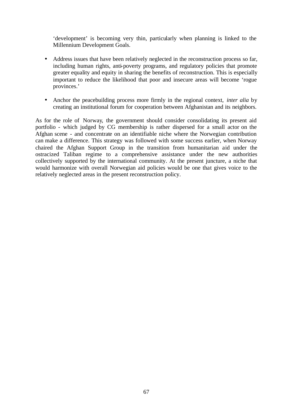'development' is becoming very thin, particularly when planning is linked to the Millennium Development Goals.

- Address issues that have been relatively neglected in the reconstruction process so far, including human rights, anti-poverty programs, and regulatory policies that promote greater equality and equity in sharing the benefits of reconstruction. This is especially important to reduce the likelihood that poor and insecure areas will become 'rogue provinces.'
- Anchor the peacebuilding process more firmly in the regional context, *inter alia* by creating an institutional forum for cooperation between Afghanistan and its neighbors.

As for the role of Norway, the government should consider consolidating its present aid portfolio - which judged by CG membership is rather dispersed for a small actor on the Afghan scene - and concentrate on an identifiable niche where the Norwegian contribution can make a difference. This strategy was followed with some success earlier, when Norway chaired the Afghan Support Group in the transition from humanitarian aid under the ostracized Taliban regime to a comprehensive assistance under the new authorities collectively supported by the international community. At the present juncture, a niche that would harmonize with overall Norwegian aid policies would be one that gives voice to the relatively neglected areas in the present reconstruction policy.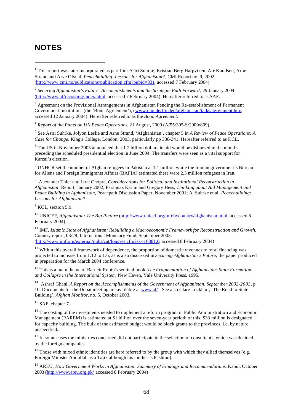## **NOTES**

j

<sup>2</sup> Securing Afghanistan's Future: Accomplishments and the Strategic Path Forward, 29 January 2004 (http://www.af/recosting/index.html, accessed 7 February 2004). Hereafter referred to as SAF.

<sup>3</sup> Agreement on the Provisional Arrangements in Afghanistan Pending the Re-establishment of Permanent Government Institutions (the 'Bonn Agreement'), (www.uno.de/frieden/afghanistan/talks/agreement.htm, accessed 12 January 2004). Hereafter referred to as the *Bonn Agreement*.

4 *Report of the Panel on UN Peace Operations*, 21 August, 2000 (A/55/305-S/2000/809).

5 See Astri Suhrke, Jolyon Leslie and Arne Strand, 'Afghanistan', chapter 5 in *A Review of Peace Operations: A Case for Change*, King's College, London, 2003, particularly pp 338-341. Hereafter referred to as KCL.

 $6$  The US in November 2003 announced that 1.2 billion dollars in aid would be disbursed in the months preceding the scheduled presidential election in June 2004. The transfers were seen as a vital support for Karzai's election.

<sup>7</sup> UNHCR set the number of Afghan refugees in Pakistan at 1.1 million while the Iranian government's Bureau for Aliens and Foreign Immigrants Affairs (BAFIA) estimated there were 2.3 million refugees in Iran.

8 Alexander Thier and Jarat Chopra, *Considerations for Political and Institutional Reconstruction in Afghanistan*, Report, January 2002; Farahnaz Karim and Gregory Hess, *Thinking about Aid Management and Peace Building in Afghanistan,* Peacepath Discussion Paper, November 2001; A. Suhrke et al, *Peacebuilding: Lessons for Afghanistan?*

9 KCL*,* section 5.9.

<sup>10</sup> UNICEF, *Afghanistan: The Big Picture* (http://www.unicef.org/infobycountry/afghanistan.html, accessed 8 February 2004)

<sup>11</sup> IMF, *Islamic State of Afghanistan: Rebuilding a Macroeconomic Framework for Reconstruction and Growth*, Country report, 03/29, International Monetary Fund, September 2003. (http://www.imf.org/external/pubs/cat/longres.cfm?sk=16881.0, accessed 8 February 2004)

 $12$  Within this overall framework of dependence, the proportion of domestic revenues to total financing was projected to increase from 1:12 to 1:6, as is also discussed in *Securing Afghanistan's Future*, the paper produced in preparation for the March 2004 conference*.*

<sup>13</sup> This is a main theme of Barnett Rubin's seminal book, *The Fragmentation of Afghanistan: State Formation and Collapse in the International System*, New Haven, Yale University Press, 1995.

<sup>14</sup> Ashraf Ghani, *A Report on the Accomplishments of the Government of Afghanistan, September 2002-2003*, p 10. Documents for the Dubai meeting are available at www.af/. See also Clare Lockhart, 'The Road to State Building', *Afghan Monitor*, no. 5, October 2003.

 $15$  SAF, chapter 7.

<sup>16</sup> The costing of the investments needed to implement a reform program in Public Administration and Economic Management (PAREM) is estimated at \$1 billion over the seven-year period; of this, \$33 million is designated for capacity building. The bulk of the estimated budget would be block grants to the provinces, i.e. by nature unspecified.

 $17$  In some cases the ministries concerned did not participate in the selection of consultants, which was decided by the foreign companies.

<sup>18</sup> Those with mixed ethnic identities are here referred to by the group with which they allied themselves (e.g. Foreign Minister Abdullah as a Tajik although his mother is Pashtun).

<sup>19</sup> AREU, *How Government Works in Afghanistan: Summary of Findings and Recommendations*, Kabul, October 2003 (http://www.areu.org.pk/ accessed 8 February 2004)

<sup>&</sup>lt;sup>1</sup> This report was later incorporated as part I in: Astri Suhrke, Kristian Berg Harpviken, Are Knudsen, Arne Strand and Arve Ofstad, *Peacebuilding: Lessons for Afghanistan?*, CMI Report no. 9, 2002. (http://www.cmi.no/publications/publication.cfm?pubid=831, accessed 7 February 2004)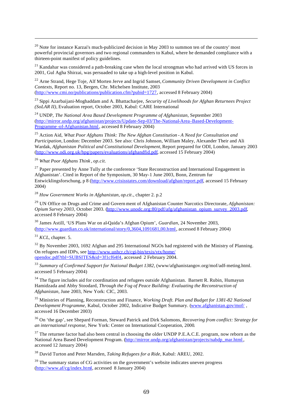$20$  Note for instance Karzai's much-publicized decision in May 2003 to summon ten of the country' most powerful provincial governors and two regional commanders to Kabul, where he demanded compliance with a thirteen-point manifest of policy guidelines.

 $21$  Kandahar was considered a path-breaking case when the local strongman who had arrived with US forces in 2001, Gul Agha Shirzai, was persuaded to take up a high-level position in Kabul.

<sup>22</sup> Arne Strand, Hege Toje, Alf Morten Jerve and Ingrid Samset, *Community Driven Development in Conflict Contexts*, Report no. 13, Bergen, Chr. Michelsen Institute, 2003 (http://www.cmi.no/publications/publication.cfm?pubid=1727, accessed 8 February 2004)

<sup>23</sup> Sippi Azarbaijani-Moghaddam and A. Bhattacharjee, *Security of Livelihoods for Afghan Returnees Project (SoLAR II),* Evaluation report, October 2003, Kabul: CARE International

<sup>24</sup> UNDP, *The National Area Based Development Programme of Afghanistan*, September 2003 (http://mirror.undp.org/afghanistan/projects/Update-Sep-03/The-National-Area-Based-Development-Programme -of-Afghanistan.html , accessed 8 February 2004)

<sup>25</sup> Action Aid, *What Poor Afghans Think: The New Afghan Constitution - A Need for Consultation and Participation,* London: December 2003. See also: Chris Johnson, William Maley, Alexander Their and Ali Wardak, *Afghanistan Political and Constitutional Development,* Report prepared for ODI, London, January 2003 (http://www.odi.org.uk/hpg/papers/evaluations/afghandfid.pdf, accessed 15 February 2004)

<sup>26</sup> *What Poor Afghans Think* , *op.cit.*

 $^{27}$  Paper presented by Anne Tully at the conference 'State Reconstruction and International Engagement in Afghanistan'. Cited in Report of the Symposium, 30 May-1 June 2003, Bonn, Zentrum fur Entwicklingsforschung, p 8 (http://www.crisisstates.com/download/afghan/report.pdf, accessed 15 February 2004)

<sup>28</sup> *How Government Works in Afghanistan*, *op.cit*., chapter 2. p.2

<sup>29</sup> UN Office on Drugs and Crime and Govern ment of Afghanistan Counter Narcotics Directorate, *Afghanistan: Opium Survey 2003*, October 2003. (http://www.unodc.org:80/pdf/afg/afghanistan\_opium\_survey\_2003.pdf, accessed 8 February 2004)

<sup>30</sup> James Astill, 'US Plans War on al-Qaida's Afghan Opium', *Guardian*, 24 November 2003, (http://www.guardian.co.uk/international/story/0,3604,1091681,00.html, accessed 8 February 2004)

<sup>31</sup> *KCL*, chapter. 5.

j

<sup>32</sup> By November 2003, 1692 Afghan and 295 International NGOs had registered with the Ministry of Planning. On refugees and IDPs, see http://www.unhcr.ch/cgi-bin/texis/vtx/home/ opendoc.pdf?tbl=SUBSITES&id=3f1cf64f4, accessed 2 February 2004.

<sup>33</sup> Summary of Confirmed Support for National Budget 1382, (www/afghanistangov.org/mof/adf-meting.html. accessed 5 February 2004)

<sup>34</sup> The figure includes aid for coordination and refugees outside Afghanistan. Barnett R. Rubin, Humayun Hamidzada and Abby Stoodard, *Through the Fog of Peace Building: Evaluating the Reconstruction of Afghanistan,* June 2003, New York: CIC, 2003.

<sup>35</sup> Ministries of Planning, Reconstruction and Finance, *Working Draft. Plan and Budget for 1381-82 National Development Programme,* Kabul, October 2002, Indicative Budget Summary. (www.afghanistan.gov/mof/ , accessed 16 December 2003)

<sup>36</sup> On 'the gap', see Shepard Forman, Steward Patrick and Dirk Salomons, *Recovering from conflict: Strategy for an international response,* New York: Center on International Cooperation, 2000.

<sup>37</sup> The returnee factor had also been central in choosing the older UNDP P.E.A.C.E. program, now reborn as the National Area Based Development Program. (http://mirror.undp.org/afghanistan/projects/nabdp\_mar.html , accessed 12 January 2004)

<sup>38</sup> David Turton and Peter Marsden, *Taking Refugees for a Ride,* Kabul: AREU, 2002.

 $39$  The summary status of CG activities on the government's website indicates uneven progress (http://www.af/cg/index.html, accessed 8 January 2004)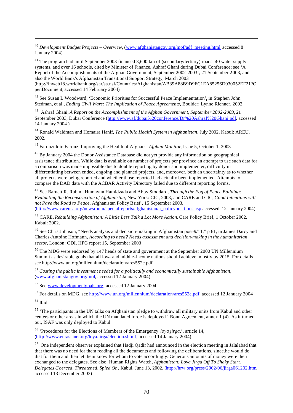<sup>40</sup> *Development Budget Projects – Overview*, (www.afghanistangov.org/mof/adf\_meeting.html accessed 8 January 2004)

 $41$  The program had until September 2003 financed 3,600 km of (secondary/tertiary) roads, 40 water supply systems, and over 16 schools, cited by Minister of Finance, Ashraf Ghani during Dubai Conference; see 'A Report of the Accomplishments of the Afghan Government, September 2002-2003', 21 September 2003, and also the World Bank's Afghanistan Transitional Support Strategy, March 2003 (http://lnweb18.worldbank.org/sar/sa.nsf/Countries/Afghanistan/AB39A88B9D9FC1EA85256D030052EF21?O penDocument, accessed 14 February 2004)

<sup>42</sup> See Susan L.Woodward, 'Economic Priorities for Successful Peace Implementation', in Stephen John Stedman, et al., *Ending Civil Wars: The Implication of Peace Agreements*, Boulder: Lynne Rienner, 2002.

<sup>43</sup> Ashraf Ghani, *A Report on the Accomplishment of the Afghan Government, September 2002-2003*, 21 September 2003, Dubai Conference (http://www.af/dubai%20conference/Dr%20Ashraf%20Ghani.pdf, accessed 14 January 2004 )

<sup>44</sup> Ronald Waldman and Homaira Hanif, *The Public Health System in Afghanistan*. July 2002, Kabul: AREU, 2002.

<sup>45</sup> Farouzuldin Farouz, Improving the Health of Afghans, *Afghan Monitor*, Issue 5, October 1, 2003

<sup>46</sup> By January 2004 the Donor Assistance Database did not yet provide any information on geographical assistance distribution. While data is available on number of projects per province an attempt to use such data for a comparison was made impossible due to double reporting by donor and implementer, difficulty in differentiating between ended, ongoing and planned projects, and, moreover, both an uncertainty as to whether all projects were being reported and whether those reported had actually been implemented. Attempts to compare the DAD data with the ACBAR Activity Directory failed due to different reporting forms.

<sup>47</sup> See Barnett R. Rubin, Humayun Hamidzada and Abby Stoddard, *Through the Fog of Peace Building: Evaluating the Reconstruction of Afghanistan*, New York: CIC, 2003, and CARE and CIC, *Good Intentions will not Pave the Road to Peace*, Afghanistan Policy Brief , 15 September 2003, (http://www.careusa.org/newsroom/specialreports/afghanistan/a\_policypositions.asp accessed 12 January 2004)

<sup>48</sup> CARE, *Rebuilding Afghanistan: A Little Less Talk a Lot More Action.* Care Policy Brief, 1 October 2002, Kabul: 2002.

<sup>49</sup> See Chris Johnson, "Needs analysis and decision-making in Afghanistan post-9/11," p 61, in James Darcy and Charles-Antoine Hofmann, *According to need? Needs assessment and decision-making in the humanitarian sector*, London: ODI, HPG report 15, September 2003

<sup>50</sup> The MDG were endorsed by 147 heads of state and government at the September 2000 UN Millennium Summit as desirable goals that all low- and middle-income nations should achieve, mostly by 2015. For details see http://www.un.org/millennium/declaration/ares552e.pdf

<sup>51</sup> *Costing the public investment needed for a politically and economically sustainable Afghanistan,* (www.afghanistangov.org/mof, accessed 12 January 2004)

<sup>52</sup> See www.developmentgoals.org, accessed 12 January 2004

<sup>53</sup> For details on MDG, see http://www.un.org/millennium/declaration/ares552e.pdf, accessed 12 January 2004 <sup>54</sup> Ibid.

j

<sup>55</sup> 'The participants in the UN talks on Afghanistan pledge to withdraw all military units from Kabul and other centers or other areas in which the UN mandated force is deployed.' Bonn Agreement, annex 1 (4). As it turned out, ISAF was only deployed to Kabul.

<sup>56</sup> 'Procedures for the Elections of Members of the Emergency *loya jirga*.', article 14, (http://www.eurasianet.org/loya.jirga/election.shtml, accessed 14 January 2004)

<sup>57</sup> One independent observer explained that Hadji Qadir had announced in the election meeting in Jalalabad that that there was no need for them reading all the documents and following the deliberations, since.he would do that for them and then let them know for whom to vote accordingly. Generous amounts of money were then exchanged to the delegates. See also: Human Rights Watch, *Afghanistan: Loya Jirga Off To Shaky Start. Delegates Coerced, Threatened, Spied On*, Kabul, June 13, 2002, (http://hrw.org/press/2002/06/jirga061202.htm, accessed 13 December 2003)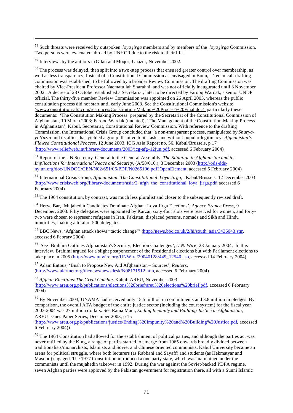<sup>58</sup> Such threats were received by outspoken *loya jirga* members and by members of the *loya jirga* Commission. Two persons were evacuated abroad by UNHCR due to the risk to their life.

<sup>59</sup> Interviews by the authors in Gilan and Moqor, Ghazni, November 2002.

j

 $60$  The process was delayed, then split into a two-step process that ensured greater control over membership, as well as less transparency. Instead of a Constitutional Commission as envisaged in Bonn, a 'technical' drafting commission was established, to be followed by a broader Review Commission. The drafting Commission was chaired by Vice-President Professor Naematullah Sharahni, and was not officially inaugurated until 3 November 2002. A decree of 28 October established a Secretariat, later to be directed by Farooq Wardak, a senior UNDP official. The thirty-five member Review Commission was appointed on 26 April 2003, whereas the public consultation process did not start until early June 2003. See the Constitutional Commission's website (www.constitution-afg.com/resrouces/Constitution-Making%20Process%20Final.doc), particularly these documents: 'The Constitution Making Process' prepared by the Secretariat of the Constitutional Commission of Afghanistan, 10 March 2003; Farooq Wardak (undated), 'The Management of the Constitution-Making Process in Afghanistan', Kabul, Secretariat, Constitutional Review Commission. With reference to the drafting Commission, the International Crisis Group concluded that "a non-transparent process, manipulated by *Shuryayi Nazar* and its allies, has yielded a group ill suited to its tasks and without popular legitimacy" *Afghanistan's Flawed Constitutional Process*, 12 June 2003, ICG Asia Report no. 56, Kabul/Brussels, p 17 (http://www.reliefweb.int/library/documents/2003/icg-afg-12jun.pdf, accessed 6 February 2004)

<sup>61</sup> Report of the UN Secretary-General to the General Assembly, *The Situation in Afghanistan and its Implications for International Peace and Security*, (A/58/616,), 3 December 2003 (http://ods-ddsny.un.org/doc/UNDOC/GEN/N02/651/06/PDF/N0265106.pdf?OpenElement, accessed 6 February 2004)

<sup>62</sup> International Crisis Group, *Afghanistan: The Constitutional Loya Jirga,* , Kabul/Brussels, 12 December 2003 (http://www.crisisweb.org//library/documents/asia/2 afgh\_the\_constitutional\_loya\_jirga.pdf, accessed 6 February 2004)

<sup>63</sup> The 1964 constitution, by contrast, was much less pluralist and closer to the subsequently revised draft.

<sup>64</sup> Herve Bar, 'Mujahedin Candidates Dominate Afghan Loya Jirga Elections', *Agence France Press*, 9 December, 2003. Fifty delegates were appointed by Karzai, sixty-four slots were reserved for women, and fortytwo were chosen to represent refugees in Iran, Pakistan, displaced persons, nomads and Sikh and Hindu minorities, making a total of 500 delegates.

<sup>65</sup> BBC News, 'Afghan attack shows "tactic change"' **(**http://news.bbc.co.uk/2/hi/south\_asia/3436043.stm, accessed 6 Febrary 2004)

<sup>66</sup> See 'Brahimi Outlines Afghanistan's Security, Election Challenges', *U.N. Wire*, 28 January 2004, In this interview, Brahimi argued for a slight postponement of the Presidential elections but with Parliament elections to take place in 2005 (http://www.unwire.org/UNWire/20040128/449\_12540.asp, accessed 14 February 2004)

<sup>67</sup> Adam Entous, 'Bush to Propose New Aid Afghanistan – Sources', *Reuters*, (http://www.alertnet.org/thenews/newsdesk/N08171512.htm, accessed 6 February 2004)

<sup>68</sup> *Afghan Elections*: *The Great Gamble*. Kabul: AREU, November 2003 (http://www.areu.org.pk/publications/elections%20brief/areu%20elections%20brief.pdf, accessed 6 February 2004)

 $^{69}$  By November 2003, UNAMA had received only 15.5 million in commitments and 3.8 million in pledges. By comparison, the overall ATA budget of the entire justice sector (including the court system) for the fiscal year 2003-2004 was 27 million dollars. See Rama Mani, *Ending Impunity and Building Justice in Afghanistan*, AREU Issues Paper Series, December 2003, p 15

(http://www.areu.org.pk/publications/justice/Ending%20Impunity%20and%20Building%20Justice.pdf, accessed 6 February 2004))

 $70$  The 1964 Constitution had allowed for the establishment of political parties, and although the parties act was never ratified by the King, a range of parties started to emerge from 1965 onwards broadly divided between traditionalists/monarchists, Islamists and Soviet and Chinese oriented communists. Kabul University became an arena for political struggle, where both lecturers (as Rabbani and Sayaff) and students (as Hekmatyar and Masood) engaged. The 1977 Constitution introduced a one party state, which was maintained under the communists until the mujahedin takeover in 1992. During the war against the Soviet-backed PDPA regime, seven Afghan parties were approved by the Pakistan government for registration there, all with a Sunni Islamic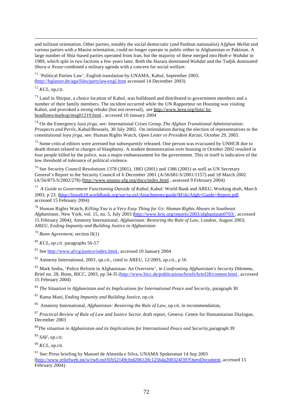and militant orientation. Other parties, notably the social democratic (and Pashtun nationalist) A*fghan Mellat* and various parties with a Maoist orientation, could no longer operate in public either in Afghanistan or Pakistan. A large number of Shia -based parties operated from Iran, but the majority of these merged into *Hezb-e Wahdat* in 1989, which split in two factions a few years later. Both the Hazara dominated *Wahdat* and the Tadjik dominated *Shura-e Nezar* combined a military agenda with a concern for social welfare.

<sup>71</sup> 'Political Parties Law', English translation by UNAMA, Kabul, September 2003, (http://bglatzer.de/aga/files/partylaw-engl.htm, accessed 14 December 2003)

<sup>72</sup> *KCL*, op,cit.

j

 $73$  Land in Shirpur, a choice location of Kabul, was bulldozed and distributed to government members and a number of their family members. The incident occurred while the UN Rapporteur on Housing was visiting Kabul, and provoked a strong rebuke (but not reversal), see http://www.hrea.org/lists/ hrheadlines/markup/msg01219.html , accessed 10 January 2004

<sup>74</sup> On the Emergency *loya jirga*, see: International Crises Group, *The Afghan Transitional Administration: Prospects and Perils,* Kabul/Brussels, 30 July 2002*.* On intimidation during the election of representatives to the constitutional *loya jirga*, see: Human Rights Watch, *Open Letter to President Karzai*, October 29, 2003.

<sup>75</sup> Some critical editors were arrested but subsequently released. One person was evacuated by UNHCR due to death threats related to charges of blasphemy. A student demonstration over housing in October 2002 resulted in four people killed by the police, was a major embarrassment for the government. This in itself is indicative of the low threshold of tolerance of political violence.

<sup>76</sup> See Security Council Resolutions 1378 (2001), 1883 (2001) and 1386 (2001) as well as UN Secretary General's Report to the Security Council of 6 December 2001 (A/56/681-S/2001/1157) and 18 March 2002 (A/56/875-S/2002/278) (http://www.unama-afg.org/docs/index.html , assessed 9 February 2004)

77 *A Guide to Government Functioning Outside of Kabul,* Kabul: World Bank and AREU, Working draft, March 2003, p 23. (http://lnweb18.worldbank.org/sar/sa.nsf/Attachments/guide/\$File/Afgh+Guide+Report.pdf, accessed 15 February 2004)

<sup>78</sup> Human Rights Watch*, Killing You is a Very Easy Thing for Us: Human Rights Abuses in Southeast Afghanistan*, New York, vol. 15, no. 5, July 2003 (http://www.hrw.org/reports/2003/afghanistan0703/, accessed 15 February 2004); Amnesty International, *Afghanistan: Restoring the Rule of Law*, London, August 2003; AREU, *Ending Impunity and Building Justice in Afghanistan*

<sup>79</sup> *Bonn Agreement*, section II(1)

<sup>80</sup> *KCL*, *op.cit*. paragraphs 56-57

 $81$  See http://www.af/cg/justice/index.html, accessed 10 January 2004

<sup>82</sup> Amnesty International, 2003*, op.cit*., cited in AREU, 12/2003, *op.cit*., p 16

<sup>83</sup> Mark Sedra, 'Police Reform in Afghanistan: An Overview', in *Confronting Afghanistan's Security Dilemma*, Brief no. 28, Bonn, BICC, 2003, pp 34-35 (http://www.bicc.de/publications/briefs/brief28/content.html , accessed 15 February 2004)

<sup>84</sup> *The Situation in Afghanistan and its Implications for International Peace and Security*, paragraph 30

<sup>85</sup> Rama Mani, *Ending Impunity and Building Justice*, op.cit.

<sup>86</sup> Amnesty International, *Afghanistan: Restoring the Rule of Law*, op.cit. in recommendation,

<sup>87</sup> *Practical Review of Rule of Law and Justice Sector*, draft report, Geneva: Centre for Humanitarian Dialogue, December 2003

<sup>88</sup>*The situation in Afghanistan and its Implications for International Peace and Security*,paragraph 39

<sup>89</sup> *SAF*, *op.cit.*

<sup>90</sup> *KCL*, op.cit.

 $91$  See: Press briefing by Manoel de Almeida e Silva, UNAMA Spokesman 14 Sep 2003 (http://www.reliefweb.int/w/rwb.nsf/0/b52149cfed206120c1256da200324f39?OpenDocument, accessed 15 February 2004)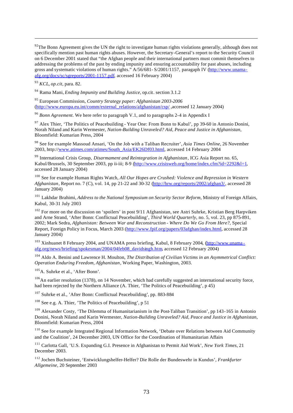$92$ The Bonn Agreement gives the UN the right to investigate human rights violations generally, although does not specifically mention past human rights abuses. However, the Secretary-General's report to the Security Council on 6 December 2001 stated that "the Afghan people and their international partners must commit themselves to addressing the problems of the past by ending impunity and ensuring accountability for past abuses, including gross and systematic violations of human rights." A/56/681- S/2001/1157, paragaph IV (http://www.unamaafg.org/docs/sc/sgreports/2001-1157.pdf, accessed 16 February 2004)

<sup>93</sup> *KCL*, *op.cit*, para. 82.

j

<sup>94</sup> Rama Mani, *Ending Impunity and Building Justice*, op.cit. section 3.1.2

<sup>95</sup> European Commission, *Country Strategy paper: Afghanistan 2003-2006* (http://www.europa.eu.int/comm/external\_relations/afghanistan/csp/ ,accessed 12 January 2004)

<sup>96</sup> *Bonn Agreement*. We here refer to paragraph V.1, and to paragraphs 2-4 in Appendix I

<sup>97</sup> Alex Thier, 'The Politics of Peacebuilding - Year One: From Bonn to Kabul', pp 39-60 in Antonio Donini, Norah Niland and Karin Wermester, *Nation-Building Unraveled? Aid, Peace and Justice in Afghanistan*, Bloomfield: Kumarian Press, 2004

<sup>98</sup> See for example Massoud Ansari, 'On the Job with a Taliban Recruiter', *Asia Times Online*, 26 November 2003, http://www.atimes.com/atimes/South\_Asia/EK26Df03.html, accessed 14 February 2004

<sup>99</sup> International Crisis Group, *Disarmament and Reintegration in Afghanistan*, ICG Asia Report no. 65, Kabul/Brussels, 30 September 2003, pp ii-iii; 8-9 (http://www.crisisweb.org/home/index.cfm?id=2292&l=1, accessed 28 January 2004)

<sup>100</sup> See for example Human Rights Watch, *All Our Hopes are Crushed: Violence and Repression in Western Afghanistan*, Report no. 7 (C), vol. 14, pp 21-22 and 30-32 (http://hrw.org/reports/2002/afghan3/, accessed 28 January 2004)

<sup>101</sup> Lakhdar Brahimi, *Address to the National Symposium on Security Sector Reform*, Ministry of Foreign Affairs, Kabul, 30-31 July 2003

 $102$  For more on the discussion on 'spoilers' in post 9/11 Afghanistan, see Astri Suhrke, Kristian Berg Harpviken and Arne Strand, 'After Bonn: Conflictual Peacebuilding', *Third World Quarterly*, no. 5, vol. 23, pp 875-891, 2002; Mark Sedra, *Afghanistan: Between War and Reconstruction - Where Do We Go From Here?*, Special Report, Foreign Policy in Focus, March 2003 (http://www.fpif.org/papers/03afghan/index.html, accessed 28 January 2004)

<sup>103</sup> Xinhuanet 8 February 2004, and UNAMA press briefing, Kabul, 8 February 2004, (http://www.unamaafg.org/news/briefing/spokesman/2004/04feb08\_davidsingh.htm, accessed 12 February 2004)

<sup>104</sup> Aldo A. Benini and Lawrence H. Moulton, *The Distribution of Civilian Victims in an Asymmetrical Conflict: Operation Enduring Freedom, Afghanistan*, Working Paper, Washington, 2003.

<sup>105</sup>A. Suhrke et al., 'After Bonn'.

<sup>106</sup>An earlier resolution (1378), on 14 November, which had carefully suggested an international security force, had been rejected by the Northern Alliance (A. Thier, 'The Politics of Peacebuilding', p 45)

<sup>107</sup> Suhrke et al., 'After Bonn: Conflictual Peacebuilding', pp. 883-884

<sup>108</sup> See e.g. A. Thier, 'The Politics of Peacebuilding', p 51

<sup>109</sup> Alexander Costy, 'The Dilemma of Humanitarianism in the Post-Taliban Transition', pp 143-165 in Antonio Donini, Norah Niland and Karin Wermester, *Nation-Building Unraveled? Aid, Peace and Justice in Afghanistan*, Bloomfield: Kumarian Press, 2004

<sup>110</sup> See for example Integrated Regional Information Network, 'Debate over Relations between Aid Community and the Coalition', 24 December 2003, UN Office for the Coordination of Humanitarian Affairs

<sup>111</sup> Carlotta Gall, 'U.S. Expanding G.I. Presence in Afghanistan to Permit Aid Work', *New York Times*, 21 December 2003.

<sup>112</sup> Jochen Buchsteiner, 'Entwicklungshelfer-Helfer? Die Rolle der Bundeswehr in Kundus', *Frankfurter Allgemeine*, 20 September 2003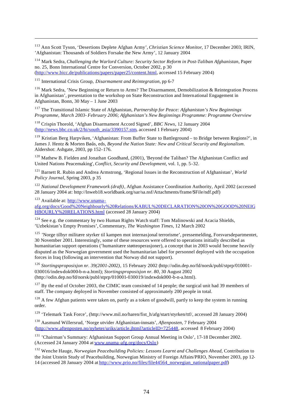<sup>113</sup> Ann Scott Tyson, 'Desertions Deplete Afghan Army', *Christian Science Monitor*, 17 December 2003; IRIN, 'Afghanistan: Thousands of Soldiers Forsake the New Army', 12 January 2004

<sup>114</sup> Mark Sedra, *Challenging the Warlord Culture: Security Sector Reform in Post-Taliban Afghanistan*, Paper no. 25, Bonn International Centre for Conversion, October 2002, p 30 (http://www.bicc.de/publications/papers/paper25/content.html, accessed 15 February 2004)

<sup>115</sup> International Crisis Group, *Disarmament and Reintegration*, pp 6-7

<sup>116</sup> Mark Sedra, 'New Beginning or Return to Arms? The Disarmament, Demobilization & Reintegration Process in Afghanistan', presentation to the workshop on State Reconstruction and International Engagement in Afghanistan, Bonn, 30 May – 1 June 2003

<sup>117</sup> The Transitional Islamic State of Afghanistan, *Partnership for Peace: Afghanistan's New Beginnings Programme, March 2003- February 2006*; *Afghanistan's New Beginnings Programme: Programme Overview*

<sup>118</sup> Crispin Thorold, 'Afghan Disarmament Accord Signed', *BBC News*, 12 January 2004 (http://news.bbc.co.uk/2/hi/south\_asia/3390157.stm, accessed 1 February 2004)

<sup>119</sup> Kristian Berg Harpviken, 'Afghanistan: From Buffer State to Battleground – to Bridge between Regions?', in James J. Hentz & Morten Bøås, eds, *Beyond the Nation State: New and Critical Security and Regionalism*. Aldershot: Ashgate, 2003, pp 152–176.

<sup>120</sup> Mathew B. Fielden and Jonathan Goodhand, (2001), 'Beyond the Taliban? The Afghanistan Conflict and United Nations Peacemaking', *Conflict, Security and Development*, vol. 1, pp. 5-32.

<sup>121</sup> Barnett R. Rubin and Andrea Armstrong, 'Regional Issues in the Reconstruction of Afghanistan', *World Policy Journal*, Spring 2003, p 35

<sup>122</sup> *National Development Framework (draft)*, Afghan Assistance Coordination Authority, April 2002 (accessed 28 January 2004 at: http://lnweb18.worldbank.org/sar/sa.nsf/Attachments/frame/\$File/ndf.pdf)

<sup>123</sup> Available at: http://www.unama-

j

afg.org/docs/Good%20Neighbourly%20Relations/KABUL%20DECLARATION%20ON%20GOOD%20NEIG HBOURLY%20RELATIONS.html (accessed 28 January 2004)

 $124$  See e.g. the commentary by two Human Rights Watch staff: Tom Malinowski and Acacia Shields, 'Uzbekistan's Empty Promises', Commentary, *The Washington Times*, 12 March 2002

<sup>125</sup> 'Norge tilbyr militære styrker til kampen mot internasjonal terrorisme', pressemelding, Forsvarsdepartmentet, 30 November 2001. Interestingly, some of these resources were offered to operations initially described as humanitarian support operations ('humanitære støtteoperasjoner), a concept that in 2003 would become heavily disputed as the Norwegian government used the humanitarian label for personnel deployed with the occupation forces in Iraq (following an intervention that Norway did not support).

<sup>126</sup> *Stortingsproposisjon nr. 39(2001-2002)*, 15 February 2002 (http://odin.dep.no/fd/norsk/publ/stprp/010001- 030016/index-dok000-b-n-a.html); *Stortingsproposisjon nr. 80*, 30 August 2002 (http://odin.dep.no/fd/norsk/publ/stprp/010001-030019/index-dok000-b-n-a.html).

 $127$  By the end of October 2003, the CIMIC team consisted of 14 people; the surgical unit had 39 members of staff. The company deployed in November consisted of approximately 200 people in total.

 $128$  A few Afghan patients were taken on, partly as a token of goodwill, partly to keep the system in running order.

<sup>129</sup> 'Telemark Task Force', (http://www.mil.no/haren/fist\_h/afg/start/styrken/ttf/, accessed 28 January 2004)

<sup>130</sup> Aasmund Willersrud, 'Norge utvider Afghanistan-innsats', *Aftenposten,* 7 February 2004 (http://www.aftenposten.no/nyheter/uriks/article.jhtml?articleID=725448, accessed 8 February 2004)

<sup>131</sup> 'Chairman's Summary: Afghanistan Support Group Annual Meeting in Oslo', 17-18 December 2002. (Accessed 24 January 2004 at www.unama -afg.org/docs/Oslo)

<sup>132</sup> Wenche Hauge, *Norwegian Peacebuilding Policies: Lessons Learnt and Challenges Ahead*, Contribution to the Joint Utstein Study of Peacebuilding, Norwegian Ministry of Foreign Affairs/PRIO, November 2003, pp 12- 14 (accessed 28 January 2004 at http://www.prio.no/files/file44564\_norwegian\_nationalpaper.pdf)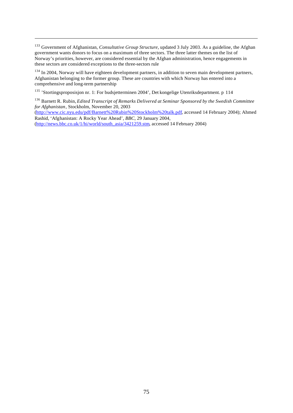<sup>133</sup> Government of Afghanistan, *Consultative Group Structure*, updated 3 July 2003. As a guideline, the Afghan government wants donors to focus on a maximum of three sectors. The three latter themes on the list of Norway's priorities, however, are considered essential by the Afghan administration, hence engagements in these sectors are considered exceptions to the three-sectors rule

<sup>134</sup> In 2004, Norway will have eighteen development partners, in addition to seven main development partners, Afghanistan belonging to the former group. These are countries with which Norway has entered into a comprehensive and long-term partnership

<sup>135</sup> 'Stortingsproposisjon nr. 1: For budsjetterminen 2004', Det kongelige Utenriksdepartment. p 114

<sup>136</sup> Barnett R. Rubin, *Edited Transcript of Remarks Delivered at Seminar Sponsored by the Swedish Committee for Afghanistan*, Stockholm, November 20, 2003

(http://www.cic.nyu.edu/pdf/Barnett%20Rubin%20Stockholm%20talk.pdf, accessed 14 February 2004); Ahmed Rashid, 'Afghanistan: A Rocky Year Ahead', *BBC*, 29 January 2004,

(http://news.bbc.co.uk/1/hi/world/south\_asia/3421259.stm, accessed 14 February 2004)

j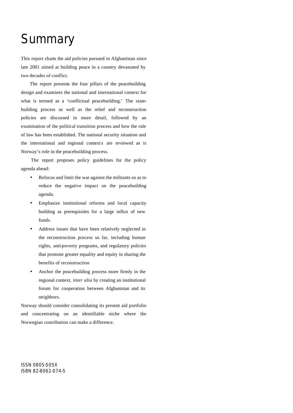# **Summary**

This report charts the aid policies pursued in Afghanistan since late 2001 aimed at building peace in a country devastated by two decades of conflict.

The report presents the four pillars of the peacebuilding design and examines the national and international context for what is termed as a 'conflictual peacebuilding.' The statebuilding process as well as the relief and reconstruction policies are discussed in more detail, followed by an examination of the political transition process and how the rule of law has been established. The national security situation and the international and regional contexts are reviewed as is Norway's role in the peacebuilding process.

 The report proposes policy guidelines for the policy agenda ahead:

- Refocus and limit the war against the militants so as to reduce the negative impact on the peacebuilding agenda.
- Emphasize institutional reforms and local capacity building as prerequisites for a large influx of new funds.
- Address issues that have been relatively neglected in the reconstruction process so far, including human rights, anti-poverty programs, and regulatory policies that promote greater equality and equity in sharing the benefits of reconstruction
- Anchor the peacebuilding process more firmly in the regional context, *inter alia* by creating an institutional forum for cooperation between Afghanistan and its neighbors.

Norway should consider consolidating its present aid portfolio and concentrating on an identifiable niche where the Norwegian contribution can make a difference.

ISSN 0805-505X ISBN 82-8062-074-5